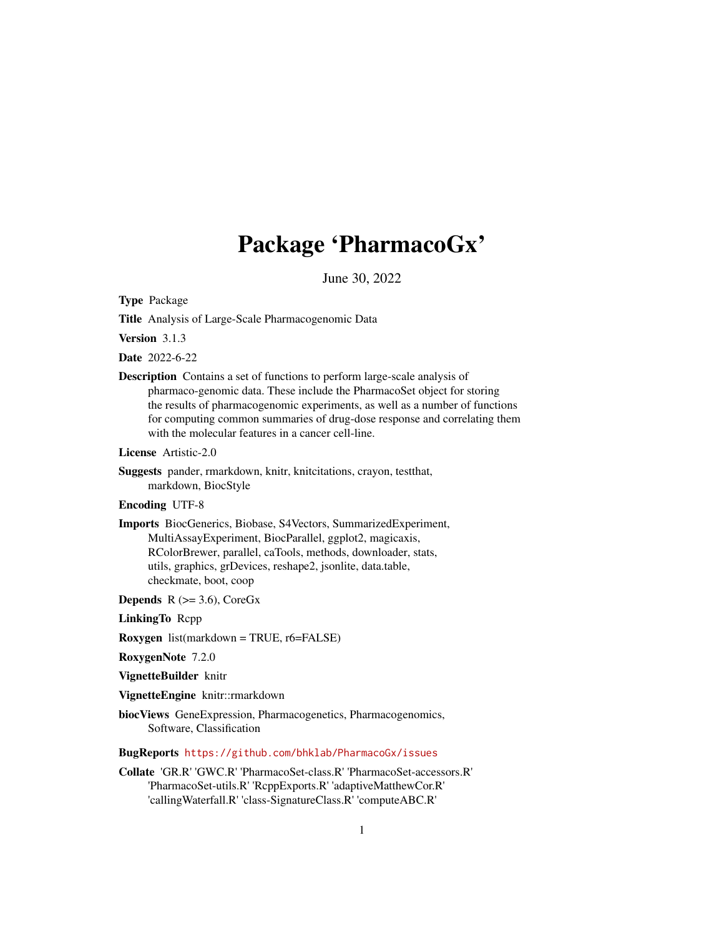## Package 'PharmacoGx'

June 30, 2022

<span id="page-0-0"></span>Type Package

Title Analysis of Large-Scale Pharmacogenomic Data

Version 3.1.3

Date 2022-6-22

Description Contains a set of functions to perform large-scale analysis of pharmaco-genomic data. These include the PharmacoSet object for storing the results of pharmacogenomic experiments, as well as a number of functions for computing common summaries of drug-dose response and correlating them with the molecular features in a cancer cell-line.

License Artistic-2.0

Suggests pander, rmarkdown, knitr, knitcitations, crayon, testthat, markdown, BiocStyle

#### Encoding UTF-8

Imports BiocGenerics, Biobase, S4Vectors, SummarizedExperiment, MultiAssayExperiment, BiocParallel, ggplot2, magicaxis, RColorBrewer, parallel, caTools, methods, downloader, stats, utils, graphics, grDevices, reshape2, jsonlite, data.table, checkmate, boot, coop

**Depends** R  $(>= 3.6)$ , CoreGx

LinkingTo Rcpp

Roxygen list(markdown = TRUE, r6=FALSE)

RoxygenNote 7.2.0

VignetteBuilder knitr

VignetteEngine knitr::rmarkdown

biocViews GeneExpression, Pharmacogenetics, Pharmacogenomics, Software, Classification

BugReports <https://github.com/bhklab/PharmacoGx/issues>

Collate 'GR.R' 'GWC.R' 'PharmacoSet-class.R' 'PharmacoSet-accessors.R' 'PharmacoSet-utils.R' 'RcppExports.R' 'adaptiveMatthewCor.R' 'callingWaterfall.R' 'class-SignatureClass.R' 'computeABC.R'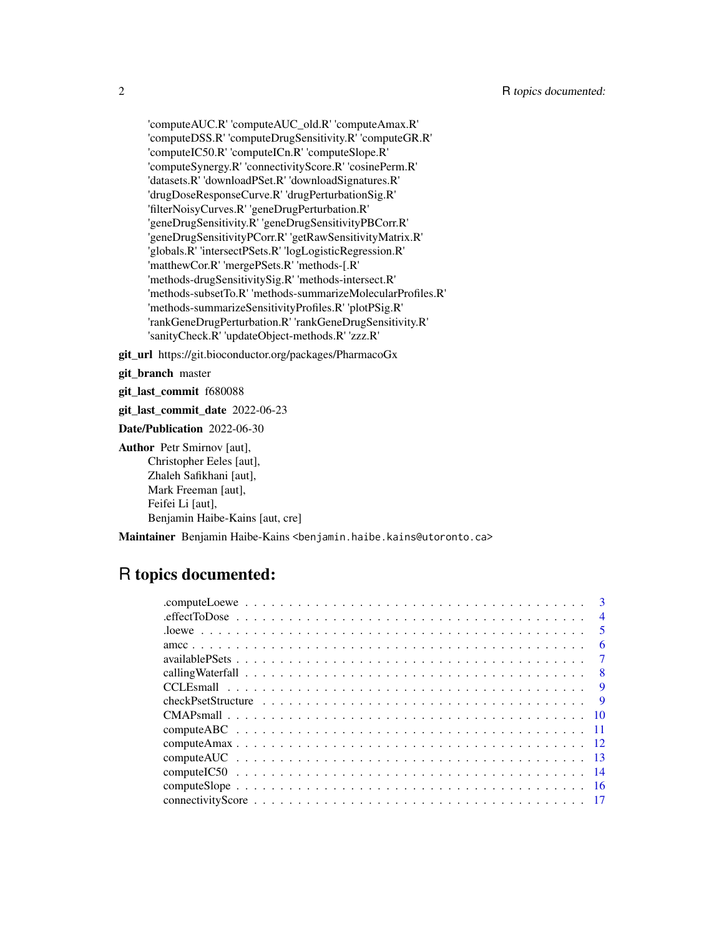'computeAUC.R' 'computeAUC\_old.R' 'computeAmax.R' 'computeDSS.R' 'computeDrugSensitivity.R' 'computeGR.R' 'computeIC50.R' 'computeICn.R' 'computeSlope.R' 'computeSynergy.R' 'connectivityScore.R' 'cosinePerm.R' 'datasets.R' 'downloadPSet.R' 'downloadSignatures.R' 'drugDoseResponseCurve.R' 'drugPerturbationSig.R' 'filterNoisyCurves.R' 'geneDrugPerturbation.R' 'geneDrugSensitivity.R' 'geneDrugSensitivityPBCorr.R' 'geneDrugSensitivityPCorr.R' 'getRawSensitivityMatrix.R' 'globals.R' 'intersectPSets.R' 'logLogisticRegression.R' 'matthewCor.R' 'mergePSets.R' 'methods-[.R' 'methods-drugSensitivitySig.R' 'methods-intersect.R' 'methods-subsetTo.R' 'methods-summarizeMolecularProfiles.R' 'methods-summarizeSensitivityProfiles.R' 'plotPSig.R' 'rankGeneDrugPerturbation.R' 'rankGeneDrugSensitivity.R' 'sanityCheck.R' 'updateObject-methods.R' 'zzz.R'

git\_url https://git.bioconductor.org/packages/PharmacoGx

git\_branch master

git\_last\_commit f680088

git\_last\_commit\_date 2022-06-23

Date/Publication 2022-06-30

Author Petr Smirnov [aut], Christopher Eeles [aut], Zhaleh Safikhani [aut], Mark Freeman [aut], Feifei Li [aut], Benjamin Haibe-Kains [aut, cre]

Maintainer Benjamin Haibe-Kains <benjamin.haibe.kains@utoronto.ca>

## R topics documented:

| $\mathbf{R}$             |
|--------------------------|
| $\overline{\mathcal{A}}$ |
| $\overline{\mathbf{5}}$  |
| 6                        |
|                          |
|                          |
| <b>9</b>                 |
| -9                       |
|                          |
|                          |
|                          |
|                          |
|                          |
|                          |
|                          |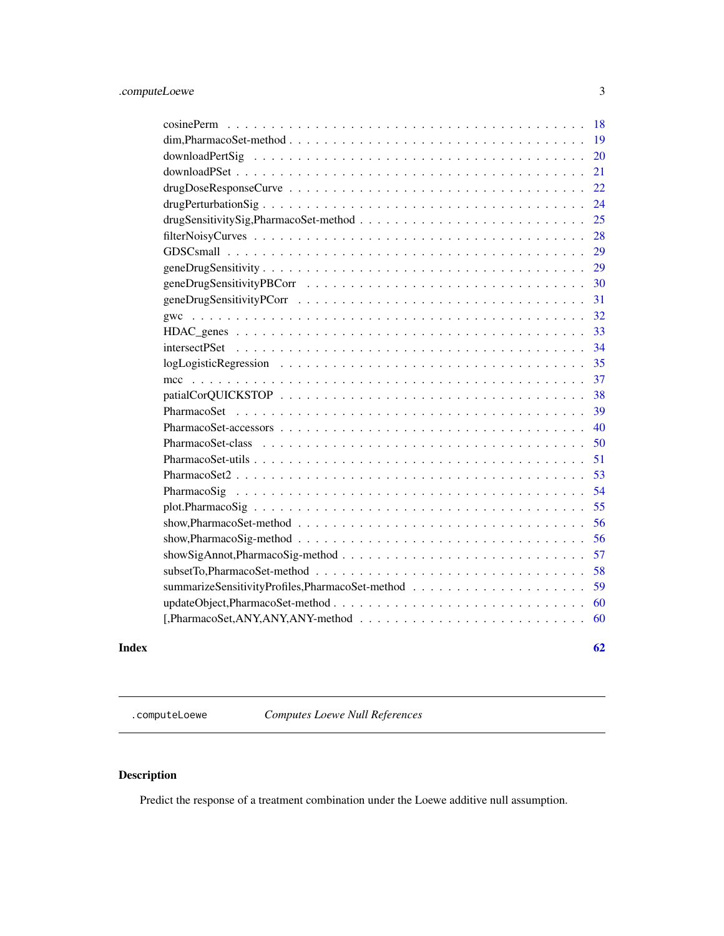<span id="page-2-0"></span>

| 18                                                                                                                         |
|----------------------------------------------------------------------------------------------------------------------------|
| 19<br>$dim, Pharmaco Set-method \dots \dots \dots \dots \dots \dots \dots \dots \dots \dots \dots \dots \dots \dots \dots$ |
| 20                                                                                                                         |
| 21                                                                                                                         |
| 22                                                                                                                         |
| 24                                                                                                                         |
| 25                                                                                                                         |
| 28                                                                                                                         |
| 29                                                                                                                         |
| 29                                                                                                                         |
| 30                                                                                                                         |
| 31                                                                                                                         |
| 32                                                                                                                         |
| 33                                                                                                                         |
| 34                                                                                                                         |
| 35                                                                                                                         |
| 37                                                                                                                         |
| 38                                                                                                                         |
| 39                                                                                                                         |
| 40                                                                                                                         |
| 50                                                                                                                         |
| 51                                                                                                                         |
| 53                                                                                                                         |
| 54                                                                                                                         |
| 55                                                                                                                         |
| 56                                                                                                                         |
| 56                                                                                                                         |
| 57                                                                                                                         |
| 58                                                                                                                         |
| 59                                                                                                                         |
| 60                                                                                                                         |
| 60                                                                                                                         |
|                                                                                                                            |

#### $\blacksquare$  Index  $\blacksquare$

.computeLoewe *Computes Loewe Null References*

### Description

Predict the response of a treatment combination under the Loewe additive null assumption.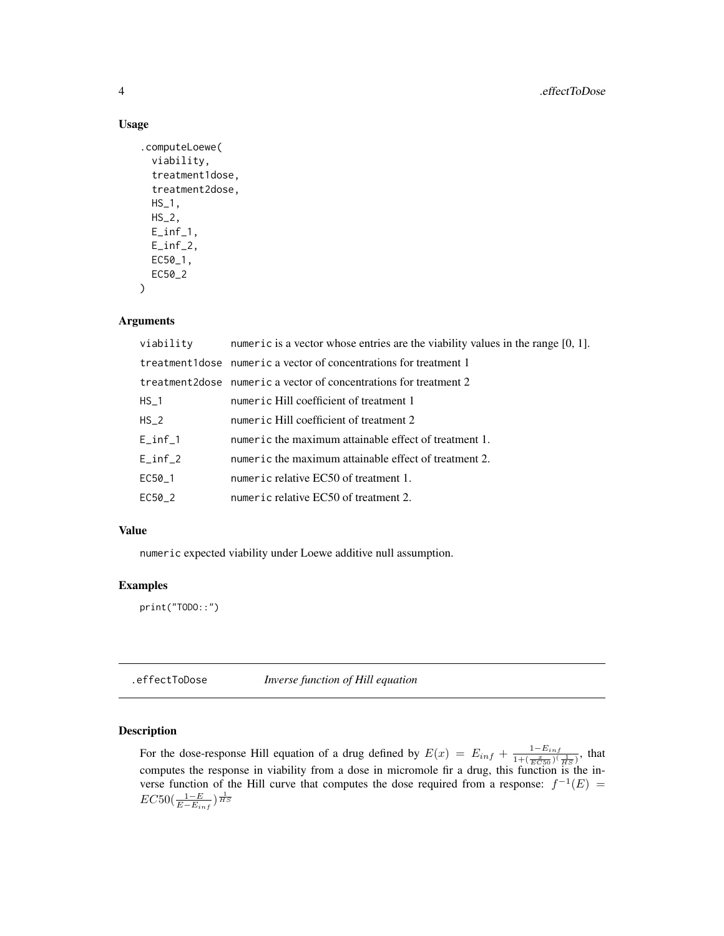#### Usage

```
.computeLoewe(
  viability,
  treatment1dose,
  treatment2dose,
 HS_1,
 HS_2,
 E\_inf\_1,
 E_inf_2,
 EC50_1,
 EC50_2
)
```
#### Arguments

| viability   | numeric is a vector whose entries are the viability values in the range $[0, 1]$ . |
|-------------|------------------------------------------------------------------------------------|
|             | treatment1dose numeric a vector of concentrations for treatment 1                  |
|             | treatment 2 dose numeric a vector of concentrations for treatment 2                |
| $HS_1$      | numeric Hill coefficient of treatment 1                                            |
| $HS_2$      | numeric Hill coefficient of treatment 2                                            |
| $E\_inf\_1$ | numeric the maximum attainable effect of treatment 1.                              |
| $E_{in}f_2$ | numeric the maximum attainable effect of treatment 2.                              |
| EC50_1      | numeric relative EC50 of treatment 1.                                              |
| EC50_2      | numeric relative EC50 of treatment 2.                                              |
|             |                                                                                    |

### Value

numeric expected viability under Loewe additive null assumption.

### Examples

print("TODO::")

.effectToDose *Inverse function of Hill equation*

### Description

For the dose-response Hill equation of a drug defined by  $E(x) = E_{inf} + \frac{1-E_{inf}}{1+(-x-1)}$  $\frac{1 - E_{inf}}{1 + (\frac{x}{EC50})(\frac{1}{HS})}$ , that computes the response in viability from a dose in micromole fir a drug, this function is the inverse function of the Hill curve that computes the dose required from a response:  $f^{-1}(E)$  =  $EC50(\frac{1-E}{E-E_{inf}})^{\frac{1}{HS}}$ 

<span id="page-3-0"></span>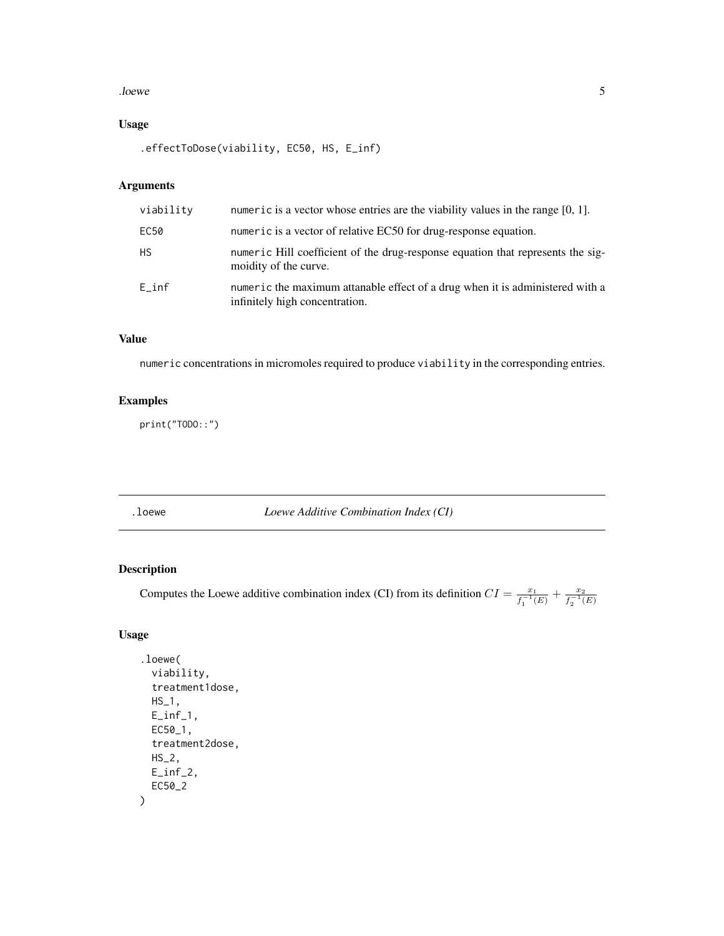#### <span id="page-4-0"></span>. *loewe* 5

### Usage

.effectToDose(viability, EC50, HS, E\_inf)

### Arguments

| viability       | numeric is a vector whose entries are the viability values in the range $[0, 1]$ .                              |
|-----------------|-----------------------------------------------------------------------------------------------------------------|
| EC50            | numeric is a vector of relative EC50 for drug-response equation.                                                |
| <b>HS</b>       | numeric Hill coefficient of the drug-response equation that represents the sig-<br>moidity of the curve.        |
| $E_{\perp}$ inf | numeric the maximum attanable effect of a drug when it is administered with a<br>infinitely high concentration. |

### Value

numeric concentrations in micromoles required to produce viability in the corresponding entries.

### Examples

print("TODO::")

.loewe *Loewe Additive Combination Index (CI)*

### Description

Computes the Loewe additive combination index (CI) from its definition  $CI = \frac{x_1}{x_1}$  $\frac{x_1}{f_1^{-1}(E)} + \frac{x_2}{f_2^{-1}(E)}$  $\overline{f_2^{-1}(E)}$ 

```
.loewe(
  viability,
  treatment1dose,
 HS_1,
 E\_inf\_1,
 EC50_1,
  treatment2dose,
 HS_2,
 E_inf_2,
 EC50_2
\mathcal{L}
```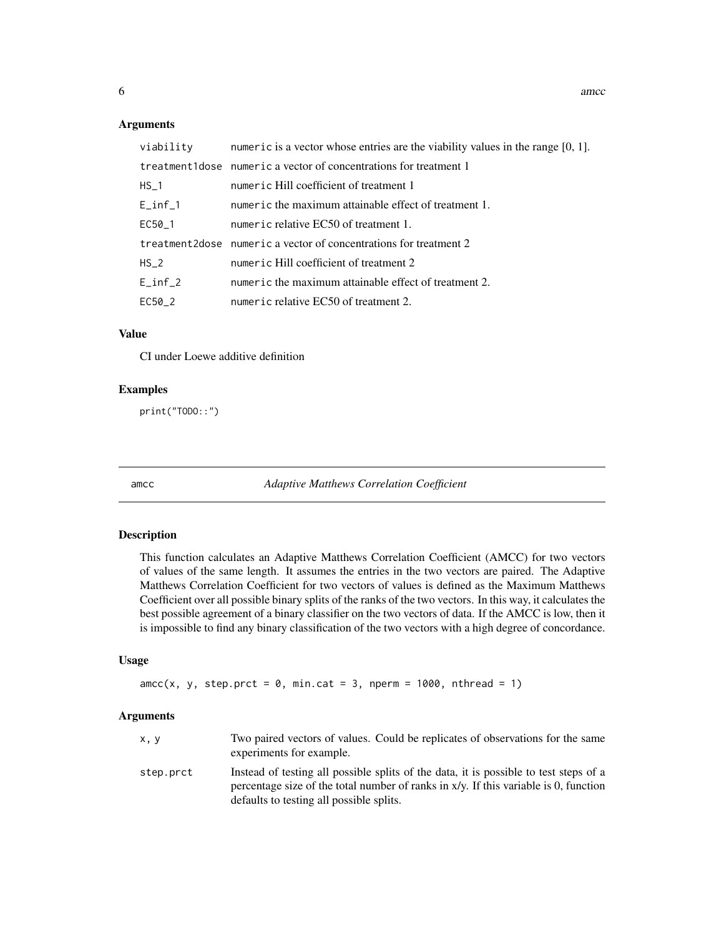<span id="page-5-0"></span>

|             | viability numeric is a vector whose entries are the viability values in the range $[0, 1]$ . |
|-------------|----------------------------------------------------------------------------------------------|
|             | treatment1dose numeric a vector of concentrations for treatment 1                            |
| $HS_1$      | numeric Hill coefficient of treatment 1                                                      |
| $E_{int1}$  | numeric the maximum attainable effect of treatment 1.                                        |
| EC50_1      | numeric relative EC50 of treatment 1.                                                        |
|             | treatment 2 dose numeric a vector of concentrations for treatment 2                          |
| $HS_2$      | numeric Hill coefficient of treatment 2                                                      |
| $E_{in}f_2$ | numeric the maximum attainable effect of treatment 2.                                        |
| EC50_2      | numeric relative EC50 of treatment 2.                                                        |

### Value

CI under Loewe additive definition

### Examples

print("TODO::")

amcc *Adaptive Matthews Correlation Coefficient*

### Description

This function calculates an Adaptive Matthews Correlation Coefficient (AMCC) for two vectors of values of the same length. It assumes the entries in the two vectors are paired. The Adaptive Matthews Correlation Coefficient for two vectors of values is defined as the Maximum Matthews Coefficient over all possible binary splits of the ranks of the two vectors. In this way, it calculates the best possible agreement of a binary classifier on the two vectors of data. If the AMCC is low, then it is impossible to find any binary classification of the two vectors with a high degree of concordance.

#### Usage

```
\text{ance}(x, y, \text{step}.\text{prot} = 0, \text{min}.\text{cat} = 3, \text{nperm} = 1000, \text{nthread} = 1)
```

| x, y      | Two paired vectors of values. Could be replicates of observations for the same<br>experiments for example.                                                                                                                   |
|-----------|------------------------------------------------------------------------------------------------------------------------------------------------------------------------------------------------------------------------------|
| step.prct | Instead of testing all possible splits of the data, it is possible to test steps of a<br>percentage size of the total number of ranks in $x/y$ . If this variable is 0, function<br>defaults to testing all possible splits. |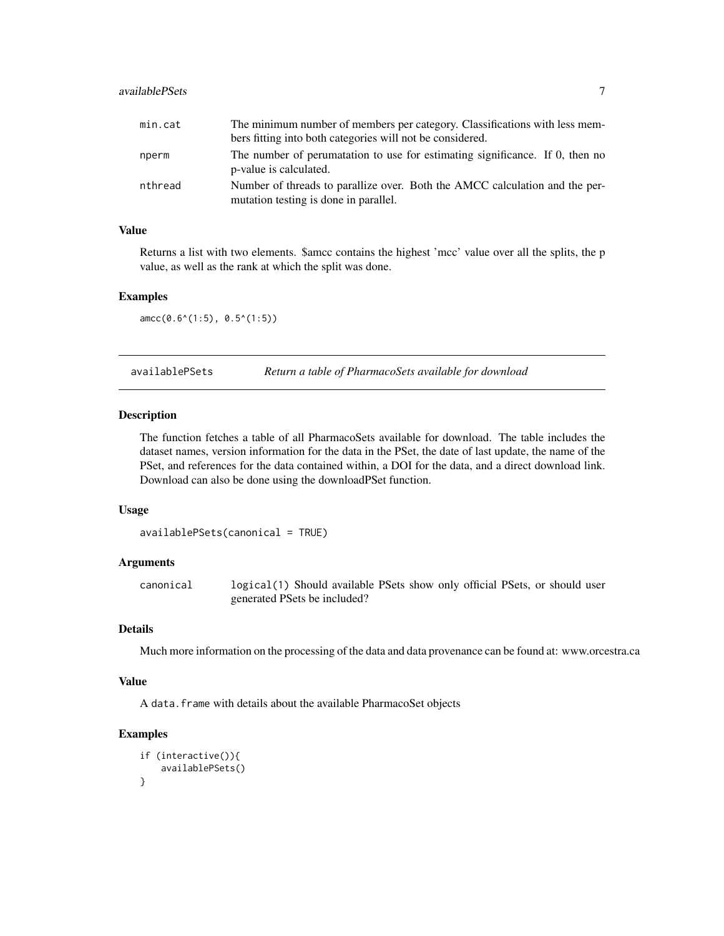### <span id="page-6-0"></span>availablePSets 7

| min.cat | The minimum number of members per category. Classifications with less mem-                                           |
|---------|----------------------------------------------------------------------------------------------------------------------|
|         | bers fitting into both categories will not be considered.                                                            |
| nperm   | The number of perumatation to use for estimating significance. If 0, then no<br>p-value is calculated.               |
| nthread | Number of threads to parallize over. Both the AMCC calculation and the per-<br>mutation testing is done in parallel. |

#### Value

Returns a list with two elements. \$amcc contains the highest 'mcc' value over all the splits, the p value, as well as the rank at which the split was done.

#### Examples

amcc(0.6^(1:5), 0.5^(1:5))

availablePSets *Return a table of PharmacoSets available for download*

### Description

The function fetches a table of all PharmacoSets available for download. The table includes the dataset names, version information for the data in the PSet, the date of last update, the name of the PSet, and references for the data contained within, a DOI for the data, and a direct download link. Download can also be done using the downloadPSet function.

#### Usage

```
availablePSets(canonical = TRUE)
```
#### Arguments

canonical logical(1) Should available PSets show only official PSets, or should user generated PSets be included?

### Details

Much more information on the processing of the data and data provenance can be found at: www.orcestra.ca

#### Value

A data.frame with details about the available PharmacoSet objects

### Examples

```
if (interactive()){
    availablePSets()
}
```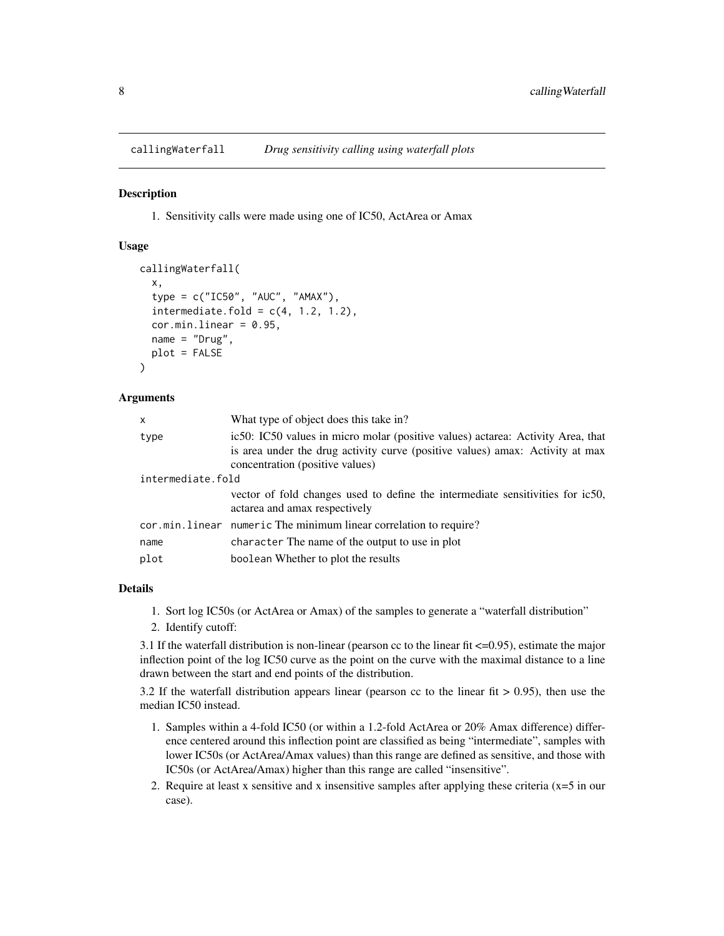<span id="page-7-0"></span>callingWaterfall *Drug sensitivity calling using waterfall plots*

### **Description**

1. Sensitivity calls were made using one of IC50, ActArea or Amax

#### Usage

```
callingWaterfall(
  x,
  type = c("IC50", "AUC", "AMAX"),
  intermediate.fold = c(4, 1.2, 1.2),
  cor.minuinear = 0.95,
  name = "Drug",plot = FALSE
)
```
#### Arguments

| $\mathsf{x}$      | What type of object does this take in?                                                                                                                                                              |  |
|-------------------|-----------------------------------------------------------------------------------------------------------------------------------------------------------------------------------------------------|--|
| type              | ic50: IC50 values in micro molar (positive values) actarea: Activity Area, that<br>is area under the drug activity curve (positive values) amax: Activity at max<br>concentration (positive values) |  |
| intermediate.fold |                                                                                                                                                                                                     |  |
|                   | vector of fold changes used to define the intermediate sensitivities for ic50,<br>actarea and amax respectively                                                                                     |  |
|                   | cor.min.linear numeric The minimum linear correlation to require?                                                                                                                                   |  |
| name              | character The name of the output to use in plot                                                                                                                                                     |  |
| plot              | boolean Whether to plot the results                                                                                                                                                                 |  |
|                   |                                                                                                                                                                                                     |  |

#### Details

- 1. Sort log IC50s (or ActArea or Amax) of the samples to generate a "waterfall distribution"
- 2. Identify cutoff:

3.1 If the waterfall distribution is non-linear (pearson cc to the linear fit  $\leq 0.95$ ), estimate the major inflection point of the log IC50 curve as the point on the curve with the maximal distance to a line drawn between the start and end points of the distribution.

3.2 If the waterfall distribution appears linear (pearson cc to the linear fit  $> 0.95$ ), then use the median IC50 instead.

- 1. Samples within a 4-fold IC50 (or within a 1.2-fold ActArea or 20% Amax difference) difference centered around this inflection point are classified as being "intermediate", samples with lower IC50s (or ActArea/Amax values) than this range are defined as sensitive, and those with IC50s (or ActArea/Amax) higher than this range are called "insensitive".
- 2. Require at least x sensitive and x insensitive samples after applying these criteria  $(x=5$  in our case).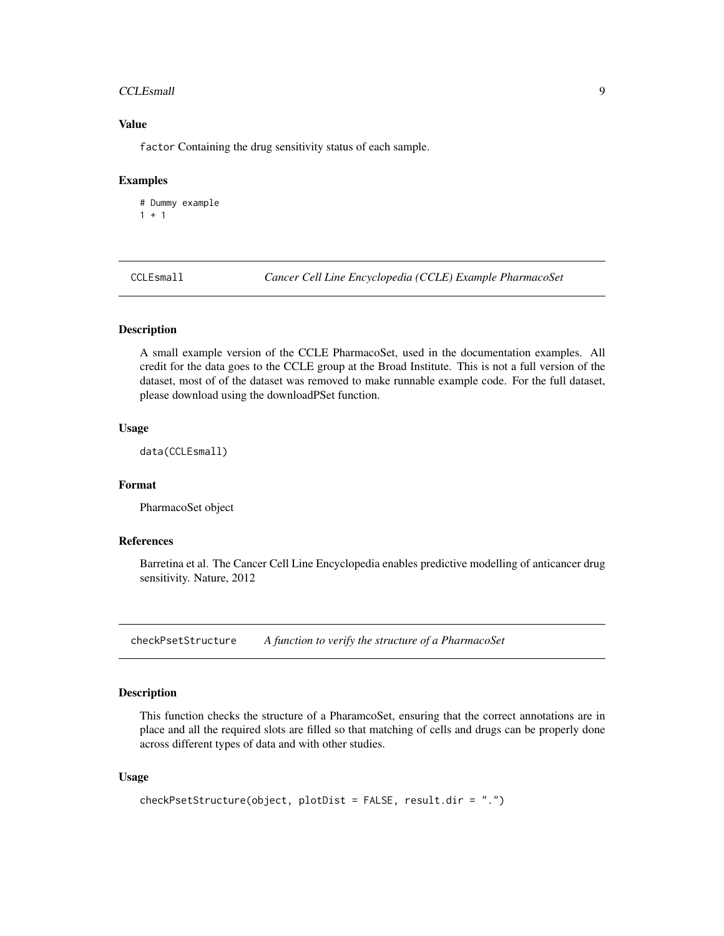#### <span id="page-8-0"></span>CCLEsmall 9

### Value

factor Containing the drug sensitivity status of each sample.

#### Examples

```
# Dummy example
1 + 1
```
CCLEsmall *Cancer Cell Line Encyclopedia (CCLE) Example PharmacoSet*

### Description

A small example version of the CCLE PharmacoSet, used in the documentation examples. All credit for the data goes to the CCLE group at the Broad Institute. This is not a full version of the dataset, most of of the dataset was removed to make runnable example code. For the full dataset, please download using the downloadPSet function.

### Usage

data(CCLEsmall)

### Format

PharmacoSet object

### References

Barretina et al. The Cancer Cell Line Encyclopedia enables predictive modelling of anticancer drug sensitivity. Nature, 2012

checkPsetStructure *A function to verify the structure of a PharmacoSet*

### Description

This function checks the structure of a PharamcoSet, ensuring that the correct annotations are in place and all the required slots are filled so that matching of cells and drugs can be properly done across different types of data and with other studies.

```
checkPsetStructure(object, plotDist = FALSE, result.dir = ".")
```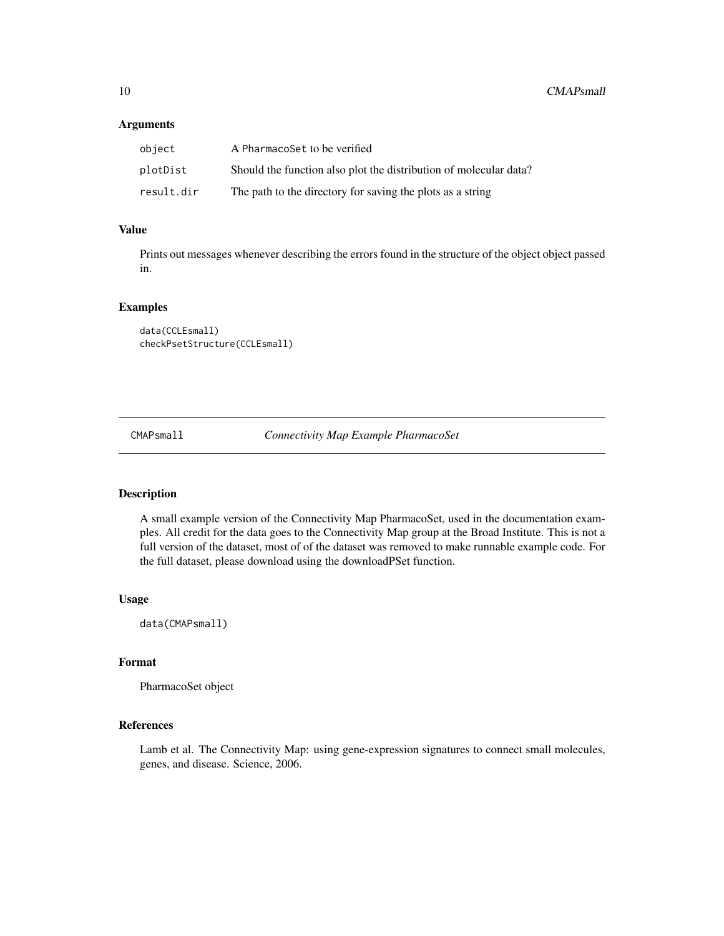<span id="page-9-0"></span>

| object     | A PharmacoSet to be verified                                      |
|------------|-------------------------------------------------------------------|
| plotDist   | Should the function also plot the distribution of molecular data? |
| result.dir | The path to the directory for saving the plots as a string        |

### Value

Prints out messages whenever describing the errors found in the structure of the object object passed in.

#### Examples

```
data(CCLEsmall)
checkPsetStructure(CCLEsmall)
```
CMAPsmall *Connectivity Map Example PharmacoSet*

### Description

A small example version of the Connectivity Map PharmacoSet, used in the documentation examples. All credit for the data goes to the Connectivity Map group at the Broad Institute. This is not a full version of the dataset, most of of the dataset was removed to make runnable example code. For the full dataset, please download using the downloadPSet function.

### Usage

data(CMAPsmall)

#### Format

PharmacoSet object

### References

Lamb et al. The Connectivity Map: using gene-expression signatures to connect small molecules, genes, and disease. Science, 2006.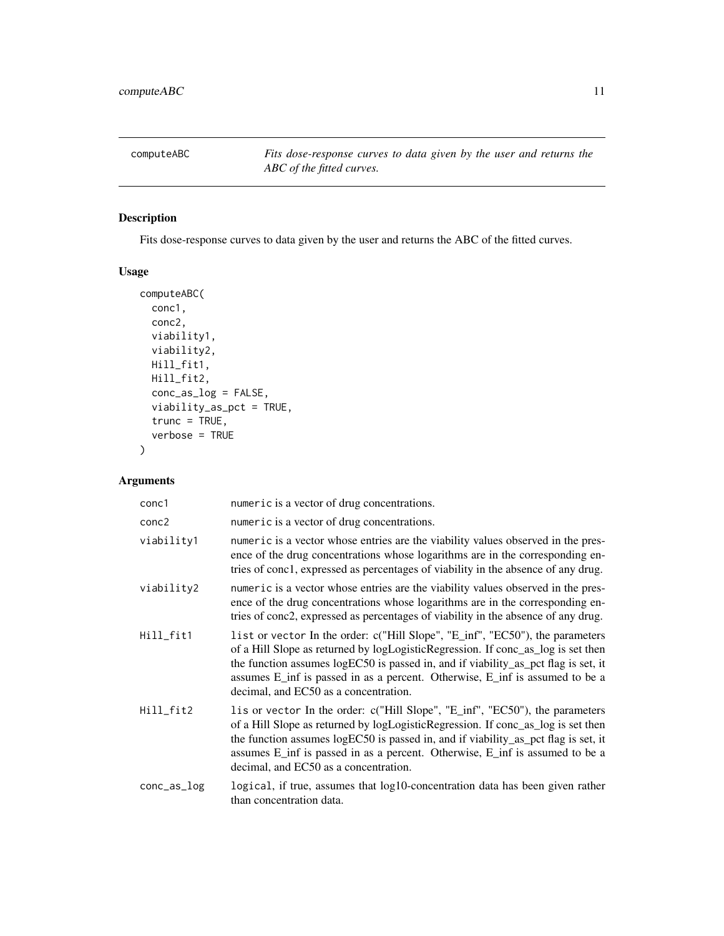<span id="page-10-0"></span>computeABC *Fits dose-response curves to data given by the user and returns the ABC of the fitted curves.*

### Description

Fits dose-response curves to data given by the user and returns the ABC of the fitted curves.

### Usage

```
computeABC(
 conc1,
 conc2,
  viability1,
  viability2,
 Hill_fit1,
 Hill_fit2,
  conc_as_log = FALSE,
  viability_as_pct = TRUE,
  true = TRUE,verbose = TRUE
\mathcal{L}
```

| conc1       | numeric is a vector of drug concentrations.                                                                                                                                                                                                                                                                                                                                      |
|-------------|----------------------------------------------------------------------------------------------------------------------------------------------------------------------------------------------------------------------------------------------------------------------------------------------------------------------------------------------------------------------------------|
| conc2       | numeric is a vector of drug concentrations.                                                                                                                                                                                                                                                                                                                                      |
| viability1  | numeric is a vector whose entries are the viability values observed in the pres-<br>ence of the drug concentrations whose logarithms are in the corresponding en-<br>tries of conc1, expressed as percentages of viability in the absence of any drug.                                                                                                                           |
| viability2  | numeric is a vector whose entries are the viability values observed in the pres-<br>ence of the drug concentrations whose logarithms are in the corresponding en-<br>tries of conc2, expressed as percentages of viability in the absence of any drug.                                                                                                                           |
| Hill_fit1   | list or vector In the order: c("Hill Slope", "E_inf", "EC50"), the parameters<br>of a Hill Slope as returned by logLogisticRegression. If conc_as_log is set then<br>the function assumes logEC50 is passed in, and if viability_as_pct flag is set, it<br>assumes E_inf is passed in as a percent. Otherwise, E_inf is assumed to be a<br>decimal, and EC50 as a concentration. |
| Hill_fit2   | lis or vector In the order: c("Hill Slope", "E_inf", "EC50"), the parameters<br>of a Hill Slope as returned by logLogisticRegression. If conc_as_log is set then<br>the function assumes logEC50 is passed in, and if viability_as_pct flag is set, it<br>assumes E_inf is passed in as a percent. Otherwise, E_inf is assumed to be a<br>decimal, and EC50 as a concentration.  |
| conc_as_log | logical, if true, assumes that $log 10$ -concentration data has been given rather<br>than concentration data.                                                                                                                                                                                                                                                                    |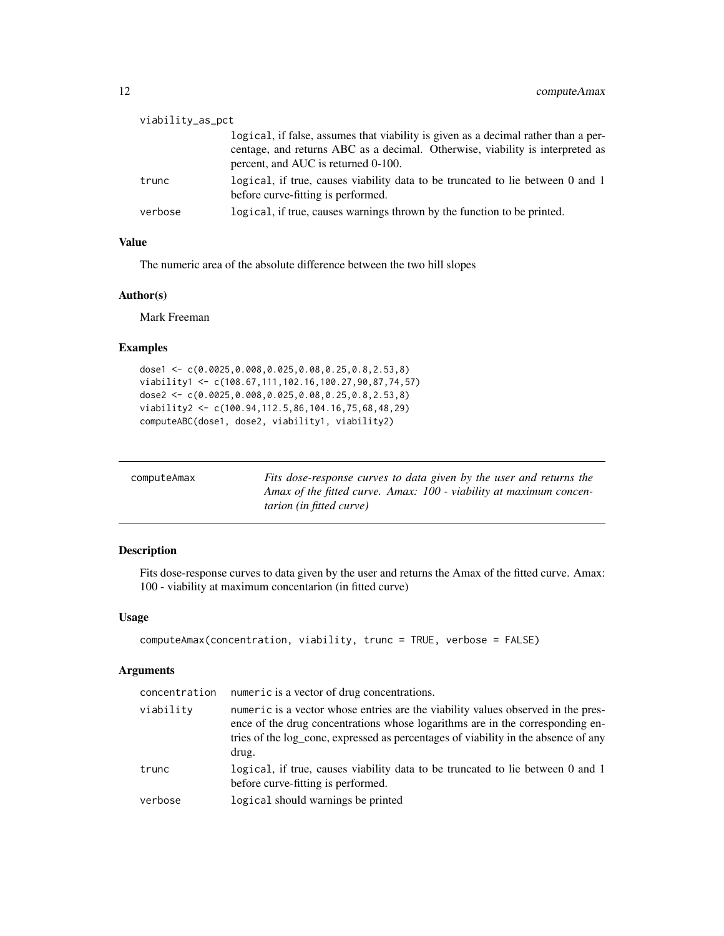<span id="page-11-0"></span>

| viability_as_pct |                                                                                                                                                                                                            |
|------------------|------------------------------------------------------------------------------------------------------------------------------------------------------------------------------------------------------------|
|                  | logical, if false, assumes that viability is given as a decimal rather than a per-<br>centage, and returns ABC as a decimal. Otherwise, viability is interpreted as<br>percent, and AUC is returned 0-100. |
| trunc            | logical, if true, causes viability data to be truncated to lie between 0 and 1<br>before curve-fitting is performed.                                                                                       |
| verbose          | logical, if true, causes warnings thrown by the function to be printed.                                                                                                                                    |

#### Value

The numeric area of the absolute difference between the two hill slopes

#### Author(s)

Mark Freeman

### Examples

```
dose1 <- c(0.0025,0.008,0.025,0.08,0.25,0.8,2.53,8)
viability1 <- c(108.67,111,102.16,100.27,90,87,74,57)
dose2 <- c(0.0025,0.008,0.025,0.08,0.25,0.8,2.53,8)
viability2 <- c(100.94,112.5,86,104.16,75,68,48,29)
computeABC(dose1, dose2, viability1, viability2)
```

| computeAmax | Fits dose-response curves to data given by the user and returns the |
|-------------|---------------------------------------------------------------------|
|             | Amax of the fitted curve. Amax: 100 - viability at maximum concen-  |
|             | <i>tarion (in fitted curve)</i>                                     |

### Description

Fits dose-response curves to data given by the user and returns the Amax of the fitted curve. Amax: 100 - viability at maximum concentarion (in fitted curve)

### Usage

```
computeAmax(concentration, viability, trunc = TRUE, verbose = FALSE)
```

| concentration | numeric is a vector of drug concentrations.                                                                                                                                                                                                                      |
|---------------|------------------------------------------------------------------------------------------------------------------------------------------------------------------------------------------------------------------------------------------------------------------|
| viability     | numeric is a vector whose entries are the viability values observed in the pres-<br>ence of the drug concentrations whose logarithms are in the corresponding en-<br>tries of the log_conc, expressed as percentages of viability in the absence of any<br>drug. |
| trunc         | logical, if true, causes viability data to be truncated to lie between 0 and 1<br>before curve-fitting is performed.                                                                                                                                             |
| verbose       | logical should warnings be printed                                                                                                                                                                                                                               |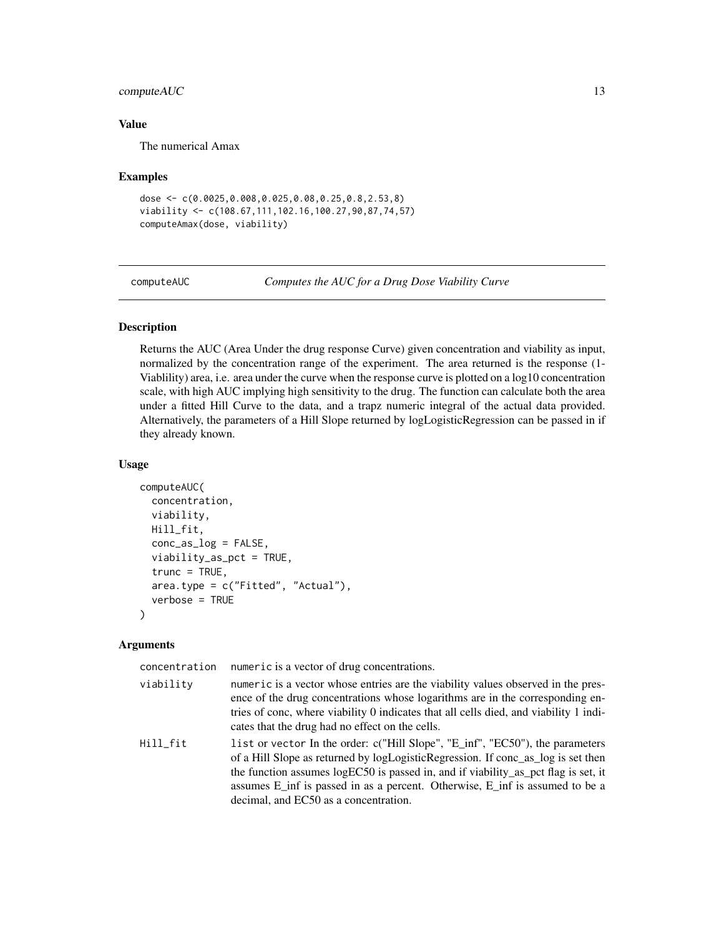### <span id="page-12-0"></span>compute AUC 13

### Value

The numerical Amax

#### Examples

```
dose <- c(0.0025,0.008,0.025,0.08,0.25,0.8,2.53,8)
viability <- c(108.67,111,102.16,100.27,90,87,74,57)
computeAmax(dose, viability)
```
computeAUC *Computes the AUC for a Drug Dose Viability Curve*

#### Description

Returns the AUC (Area Under the drug response Curve) given concentration and viability as input, normalized by the concentration range of the experiment. The area returned is the response (1- Viablility) area, i.e. area under the curve when the response curve is plotted on a log10 concentration scale, with high AUC implying high sensitivity to the drug. The function can calculate both the area under a fitted Hill Curve to the data, and a trapz numeric integral of the actual data provided. Alternatively, the parameters of a Hill Slope returned by logLogisticRegression can be passed in if they already known.

#### Usage

```
computeAUC(
  concentration,
  viability,
 Hill_fit,
  conc_as_log = FALSE,
  viability_as_pct = TRUE,
  true = TRUE,area.type = c("Fitted", "Actual"),
  verbose = TRUE
)
```

| concentration | numeric is a vector of drug concentrations.                                                                                                                                                                                                                                                                                                                                      |
|---------------|----------------------------------------------------------------------------------------------------------------------------------------------------------------------------------------------------------------------------------------------------------------------------------------------------------------------------------------------------------------------------------|
| viability     | numeric is a vector whose entries are the viability values observed in the pres-<br>ence of the drug concentrations whose logarithms are in the corresponding en-<br>tries of conc, where viability 0 indicates that all cells died, and viability 1 indi-<br>cates that the drug had no effect on the cells.                                                                    |
| Hill fit      | list or vector In the order: c("Hill Slope", "E_inf", "EC50"), the parameters<br>of a Hill Slope as returned by logLogisticRegression. If conc_as_log is set then<br>the function assumes logEC50 is passed in, and if viability_as_pct flag is set, it<br>assumes E_inf is passed in as a percent. Otherwise, E_inf is assumed to be a<br>decimal, and EC50 as a concentration. |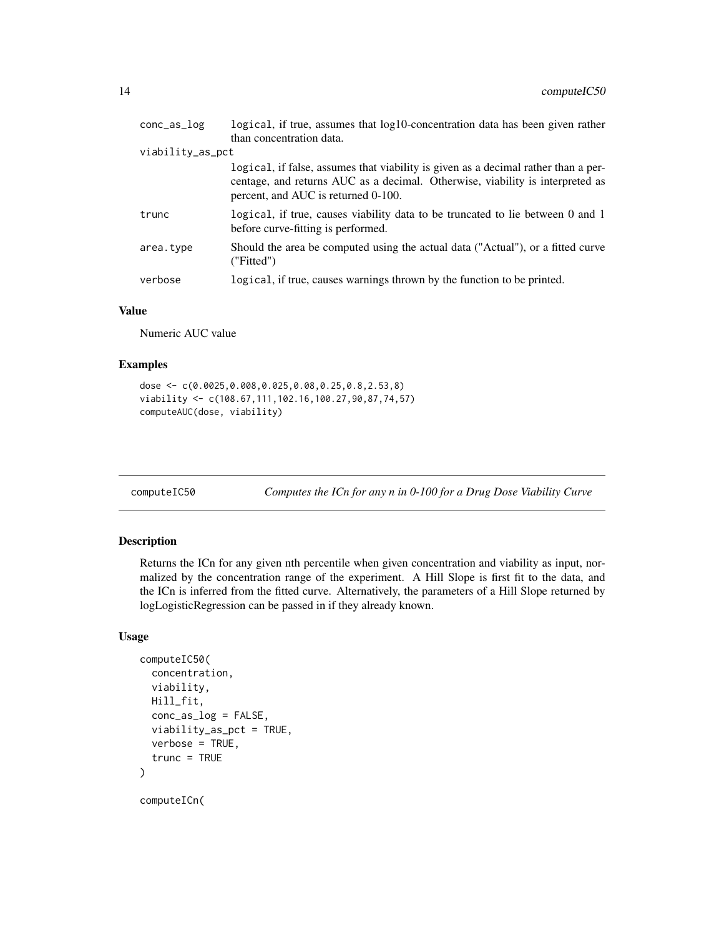<span id="page-13-0"></span>

| conc <sub>as</sub> log | logical, if true, assumes that log10-concentration data has been given rather                                                                                                                              |
|------------------------|------------------------------------------------------------------------------------------------------------------------------------------------------------------------------------------------------------|
|                        | than concentration data.                                                                                                                                                                                   |
| viability_as_pct       |                                                                                                                                                                                                            |
|                        | logical, if false, assumes that viability is given as a decimal rather than a per-<br>centage, and returns AUC as a decimal. Otherwise, viability is interpreted as<br>percent, and AUC is returned 0-100. |
| trunc                  | logical, if true, causes viability data to be truncated to lie between 0 and 1<br>before curve-fitting is performed.                                                                                       |
| area.type              | Should the area be computed using the actual data ("Actual"), or a fitted curve<br>('Fitted")                                                                                                              |
| verbose                | logical, if true, causes warnings thrown by the function to be printed.                                                                                                                                    |

### Value

Numeric AUC value

### Examples

```
dose <- c(0.0025,0.008,0.025,0.08,0.25,0.8,2.53,8)
viability <- c(108.67,111,102.16,100.27,90,87,74,57)
computeAUC(dose, viability)
```
Computes the ICn for any n in 0-100 for a Drug Dose Viability Curve

### Description

Returns the ICn for any given nth percentile when given concentration and viability as input, normalized by the concentration range of the experiment. A Hill Slope is first fit to the data, and the ICn is inferred from the fitted curve. Alternatively, the parameters of a Hill Slope returned by logLogisticRegression can be passed in if they already known.

```
computeIC50(
  concentration,
  viability,
 Hill_fit,
  conc_as_log = FALSE,
  viability_as_pct = TRUE,
  verbose = TRUE,
  trunc = TRUE
)
computeICn(
```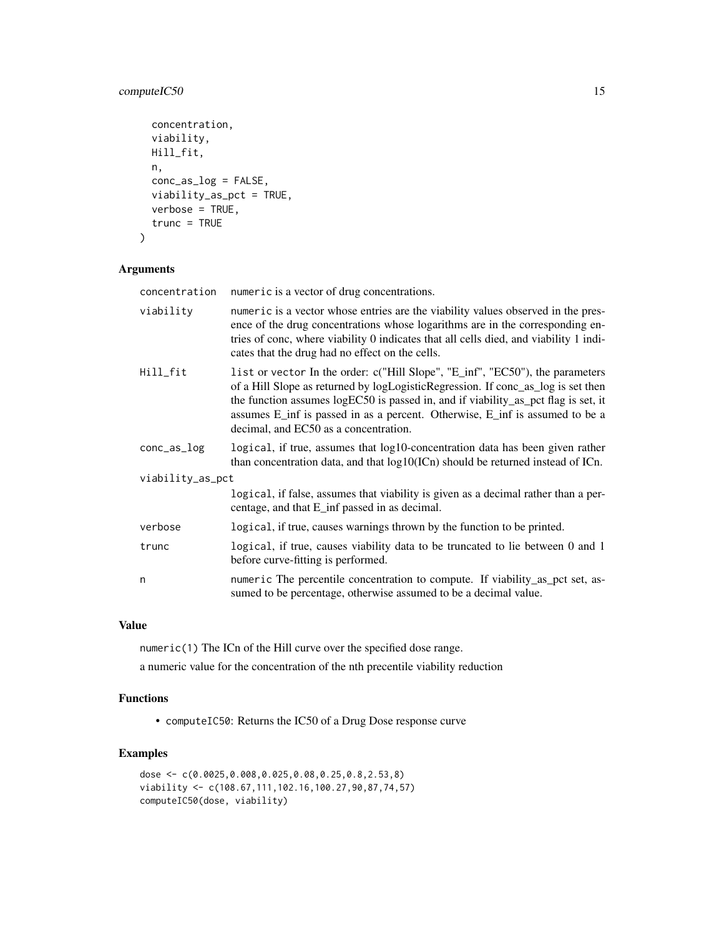### computeIC50 15

```
concentration,
viability,
Hill_fit,
n,
conc_as_log = FALSE,
viability_as_pct = TRUE,
verbose = TRUE,
trunc = TRUE
```
### Arguments

)

| concentration    | numeric is a vector of drug concentrations.                                                                                                                                                                                                                                                                                                                                      |  |
|------------------|----------------------------------------------------------------------------------------------------------------------------------------------------------------------------------------------------------------------------------------------------------------------------------------------------------------------------------------------------------------------------------|--|
| viability        | numeric is a vector whose entries are the viability values observed in the pres-<br>ence of the drug concentrations whose logarithms are in the corresponding en-<br>tries of conc, where viability 0 indicates that all cells died, and viability 1 indi-<br>cates that the drug had no effect on the cells.                                                                    |  |
| Hill_fit         | list or vector In the order: c("Hill Slope", "E_inf", "EC50"), the parameters<br>of a Hill Slope as returned by logLogisticRegression. If conc_as_log is set then<br>the function assumes logEC50 is passed in, and if viability_as_pct flag is set, it<br>assumes E_inf is passed in as a percent. Otherwise, E_inf is assumed to be a<br>decimal, and EC50 as a concentration. |  |
| conc_as_log      | logical, if true, assumes that log10-concentration data has been given rather<br>than concentration data, and that log10(ICn) should be returned instead of ICn.                                                                                                                                                                                                                 |  |
| viability_as_pct |                                                                                                                                                                                                                                                                                                                                                                                  |  |
|                  | logical, if false, assumes that viability is given as a decimal rather than a per-<br>centage, and that E_inf passed in as decimal.                                                                                                                                                                                                                                              |  |
| verbose          | logical, if true, causes warnings thrown by the function to be printed.                                                                                                                                                                                                                                                                                                          |  |
| trunc            | logical, if true, causes viability data to be truncated to lie between 0 and 1<br>before curve-fitting is performed.                                                                                                                                                                                                                                                             |  |
| n                | numeric The percentile concentration to compute. If viability_as_pct set, as-<br>sumed to be percentage, otherwise assumed to be a decimal value.                                                                                                                                                                                                                                |  |

### Value

numeric(1) The ICn of the Hill curve over the specified dose range.

a numeric value for the concentration of the nth precentile viability reduction

### Functions

• computeIC50: Returns the IC50 of a Drug Dose response curve

### Examples

```
dose <- c(0.0025,0.008,0.025,0.08,0.25,0.8,2.53,8)
viability <- c(108.67,111,102.16,100.27,90,87,74,57)
computeIC50(dose, viability)
```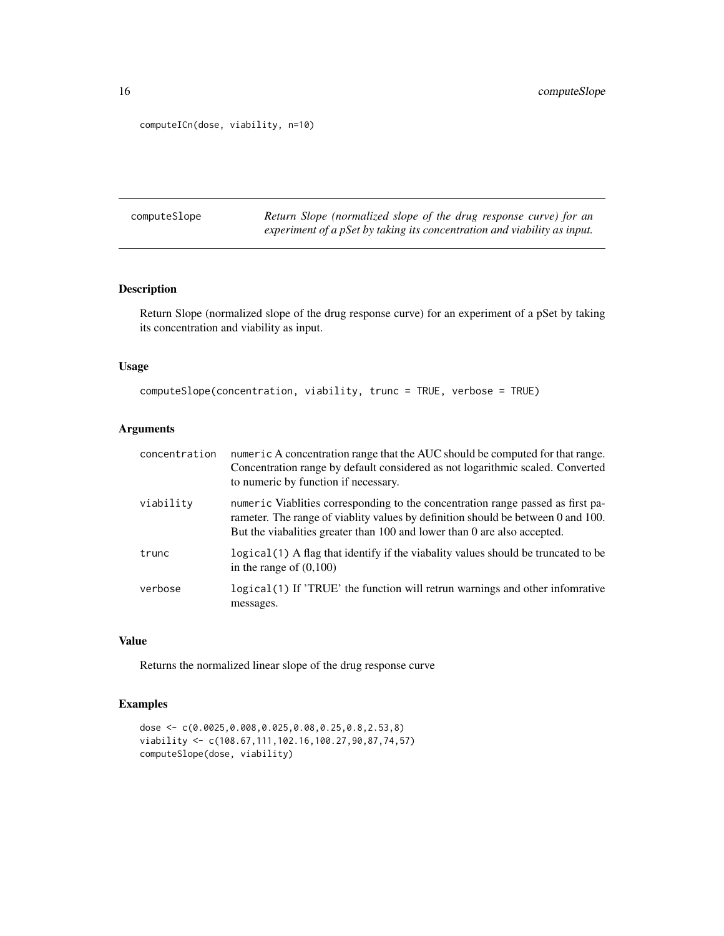```
computeICn(dose, viability, n=10)
```
computeSlope *Return Slope (normalized slope of the drug response curve) for an experiment of a pSet by taking its concentration and viability as input.*

### Description

Return Slope (normalized slope of the drug response curve) for an experiment of a pSet by taking its concentration and viability as input.

### Usage

```
computeSlope(concentration, viability, trunc = TRUE, verbose = TRUE)
```
### Arguments

| concentration | numeric A concentration range that the AUC should be computed for that range.<br>Concentration range by default considered as not logarithmic scaled. Converted<br>to numeric by function if necessary.                                         |
|---------------|-------------------------------------------------------------------------------------------------------------------------------------------------------------------------------------------------------------------------------------------------|
| viability     | numeric Viablities corresponding to the concentration range passed as first pa-<br>rameter. The range of viablity values by definition should be between 0 and 100.<br>But the viabalities greater than 100 and lower than 0 are also accepted. |
| trunc         | logical (1) A flag that identify if the viabality values should be truncated to be<br>in the range of $(0,100)$                                                                                                                                 |
| verbose       | logical (1) If 'TRUE' the function will retrun warnings and other infomrative<br>messages.                                                                                                                                                      |

#### Value

Returns the normalized linear slope of the drug response curve

### Examples

```
dose <- c(0.0025,0.008,0.025,0.08,0.25,0.8,2.53,8)
viability <- c(108.67,111,102.16,100.27,90,87,74,57)
computeSlope(dose, viability)
```
<span id="page-15-0"></span>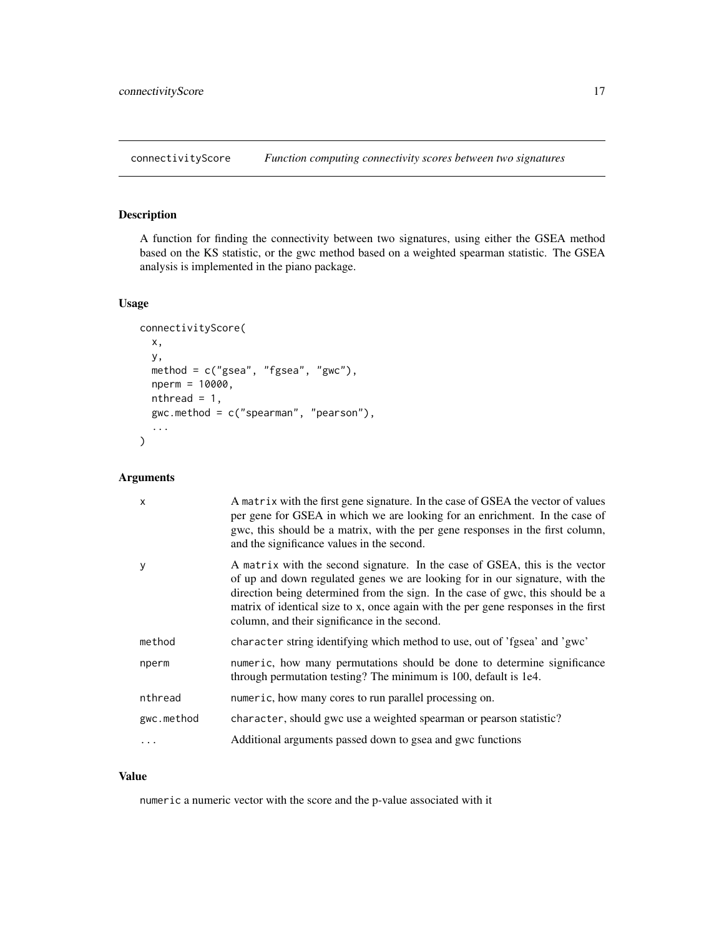<span id="page-16-0"></span>connectivityScore *Function computing connectivity scores between two signatures*

### Description

A function for finding the connectivity between two signatures, using either the GSEA method based on the KS statistic, or the gwc method based on a weighted spearman statistic. The GSEA analysis is implemented in the piano package.

### Usage

```
connectivityScore(
  x,
  y,
  method = c("gsea", "fgsea", "gwc"),
  nperm = 10000,
  nthread = 1,
  gwc.method = c("spearman", "pearson"),
  ...
\mathcal{L}
```
### Arguments

| $\mathsf{x}$ | A matrix with the first gene signature. In the case of GSEA the vector of values<br>per gene for GSEA in which we are looking for an enrichment. In the case of<br>gwc, this should be a matrix, with the per gene responses in the first column,<br>and the significance values in the second.                                                                                      |
|--------------|--------------------------------------------------------------------------------------------------------------------------------------------------------------------------------------------------------------------------------------------------------------------------------------------------------------------------------------------------------------------------------------|
| y            | A matrix with the second signature. In the case of GSEA, this is the vector<br>of up and down regulated genes we are looking for in our signature, with the<br>direction being determined from the sign. In the case of gwc, this should be a<br>matrix of identical size to x, once again with the per gene responses in the first<br>column, and their significance in the second. |
| method       | character string identifying which method to use, out of 'fgsea' and 'gwc'                                                                                                                                                                                                                                                                                                           |
| nperm        | numeric, how many permutations should be done to determine significance<br>through permutation testing? The minimum is 100, default is 1e4.                                                                                                                                                                                                                                          |
| nthread      | numeric, how many cores to run parallel processing on.                                                                                                                                                                                                                                                                                                                               |
| gwc.method   | character, should gwc use a weighted spearman or pearson statistic?                                                                                                                                                                                                                                                                                                                  |
|              | Additional arguments passed down to gsea and gwc functions                                                                                                                                                                                                                                                                                                                           |

### Value

numeric a numeric vector with the score and the p-value associated with it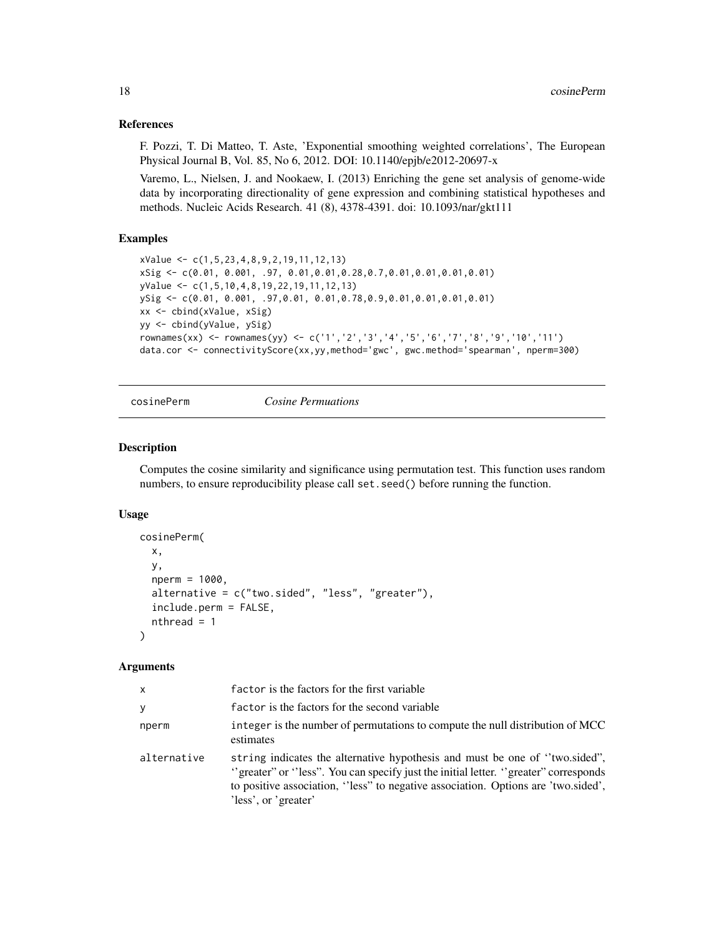#### <span id="page-17-0"></span>References

F. Pozzi, T. Di Matteo, T. Aste, 'Exponential smoothing weighted correlations', The European Physical Journal B, Vol. 85, No 6, 2012. DOI: 10.1140/epjb/e2012-20697-x

Varemo, L., Nielsen, J. and Nookaew, I. (2013) Enriching the gene set analysis of genome-wide data by incorporating directionality of gene expression and combining statistical hypotheses and methods. Nucleic Acids Research. 41 (8), 4378-4391. doi: 10.1093/nar/gkt111

### Examples

```
xValue <- c(1,5,23,4,8,9,2,19,11,12,13)
xSig <- c(0.01, 0.001, .97, 0.01,0.01,0.28,0.7,0.01,0.01,0.01,0.01)
yValue <- c(1,5,10,4,8,19,22,19,11,12,13)
ySig <- c(0.01, 0.001, .97,0.01, 0.01,0.78,0.9,0.01,0.01,0.01,0.01)
xx <- cbind(xValue, xSig)
yy <- cbind(yValue, ySig)
rownames(xx) <- rownames(yy) <- c('1','2','3','4','5','6','7','8','9','10','11')
data.cor <- connectivityScore(xx,yy,method='gwc', gwc.method='spearman', nperm=300)
```
cosinePerm *Cosine Permuations*

### Description

Computes the cosine similarity and significance using permutation test. This function uses random numbers, to ensure reproducibility please call set. seed() before running the function.

#### Usage

```
cosinePerm(
  x,
  y,
  nperm = 1000,
  alternative = c("two.sided", "less", "greater"),
  include.perm = FALSE,
  nthread = 1
```
#### Arguments

)

| x           | factor is the factors for the first variable                                                                                                                                                                                                                                    |
|-------------|---------------------------------------------------------------------------------------------------------------------------------------------------------------------------------------------------------------------------------------------------------------------------------|
| v           | factor is the factors for the second variable                                                                                                                                                                                                                                   |
| nperm       | integer is the number of permutations to compute the null distribution of MCC<br>estimates                                                                                                                                                                                      |
| alternative | string indicates the alternative hypothesis and must be one of "two.sided",<br>"greater" or "less". You can specify just the initial letter. "greater" corresponds<br>to positive association, "less" to negative association. Options are 'two.sided',<br>'less', or 'greater' |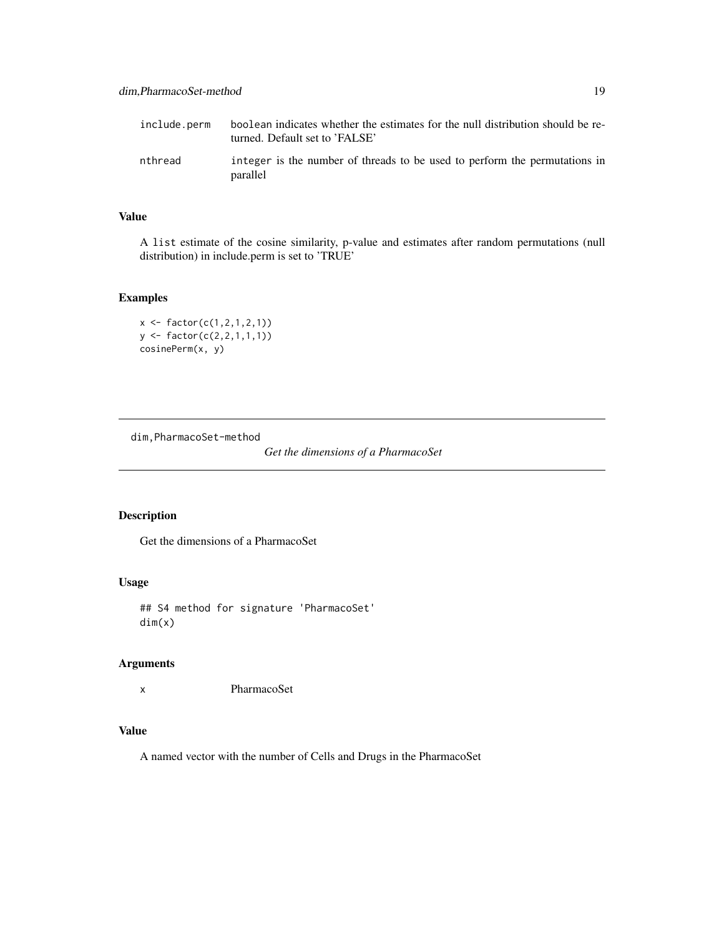<span id="page-18-0"></span>

| include.perm | boolean indicates whether the estimates for the null distribution should be re-<br>turned. Default set to 'FALSE' |
|--------------|-------------------------------------------------------------------------------------------------------------------|
| nthread      | integer is the number of threads to be used to perform the permutations in<br>parallel                            |

### Value

A list estimate of the cosine similarity, p-value and estimates after random permutations (null distribution) in include.perm is set to 'TRUE'

### Examples

```
x <- factor(c(1,2,1,2,1))
y <- factor(c(2,2,1,1,1))
cosinePerm(x, y)
```
dim,PharmacoSet-method

*Get the dimensions of a PharmacoSet*

### Description

Get the dimensions of a PharmacoSet

### Usage

## S4 method for signature 'PharmacoSet' dim(x)

### Arguments

x PharmacoSet

### Value

A named vector with the number of Cells and Drugs in the PharmacoSet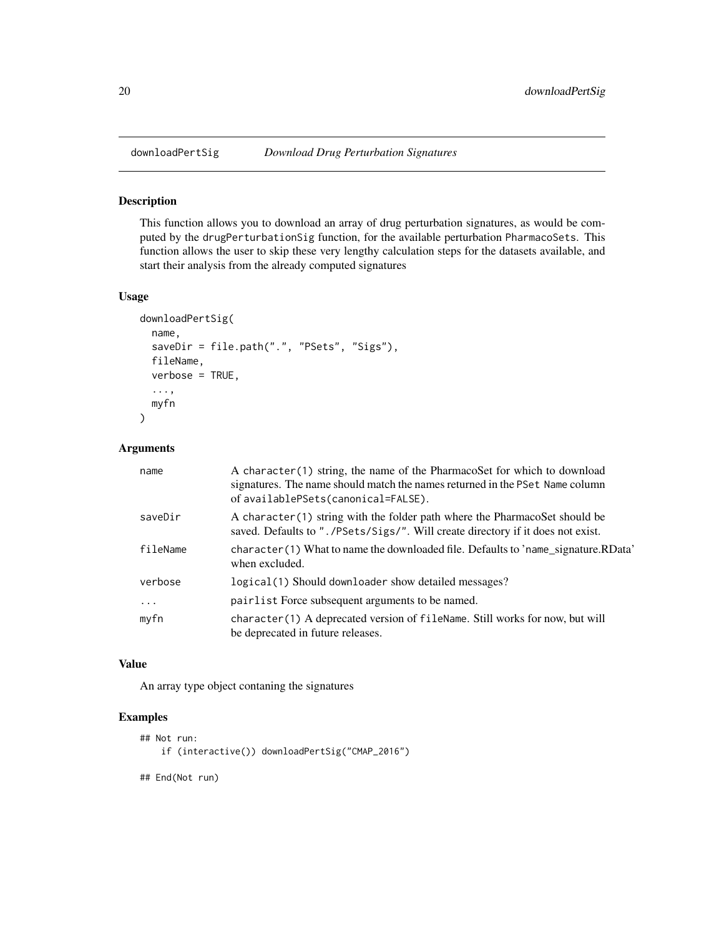<span id="page-19-0"></span>

### Description

This function allows you to download an array of drug perturbation signatures, as would be computed by the drugPerturbationSig function, for the available perturbation PharmacoSets. This function allows the user to skip these very lengthy calculation steps for the datasets available, and start their analysis from the already computed signatures

#### Usage

```
downloadPertSig(
 name,
  saveDir = file.path(".", "PSets", "Sigs"),
  fileName,
  verbose = TRUE,
  ...,
 myfn
\mathcal{L}
```
#### Arguments

| name       | A character (1) string, the name of the PharmacoSet for which to download<br>signatures. The name should match the names returned in the PSet Name column<br>of availablePSets(canonical=FALSE). |
|------------|--------------------------------------------------------------------------------------------------------------------------------------------------------------------------------------------------|
| saveDir    | A character (1) string with the folder path where the PharmacoSet should be<br>saved. Defaults to "./PSets/Sigs/". Will create directory if it does not exist.                                   |
| fileName   | character (1) What to name the downloaded file. Defaults to 'name_signature.RData'<br>when excluded.                                                                                             |
| verbose    | logical(1) Should downloader show detailed messages?                                                                                                                                             |
| $\ddots$ . | pairlist Force subsequent arguments to be named.                                                                                                                                                 |
| myfn       | character(1) A deprecated version of fileName. Still works for now, but will<br>be deprecated in future releases.                                                                                |

### Value

An array type object contaning the signatures

#### Examples

```
## Not run:
   if (interactive()) downloadPertSig("CMAP_2016")
## End(Not run)
```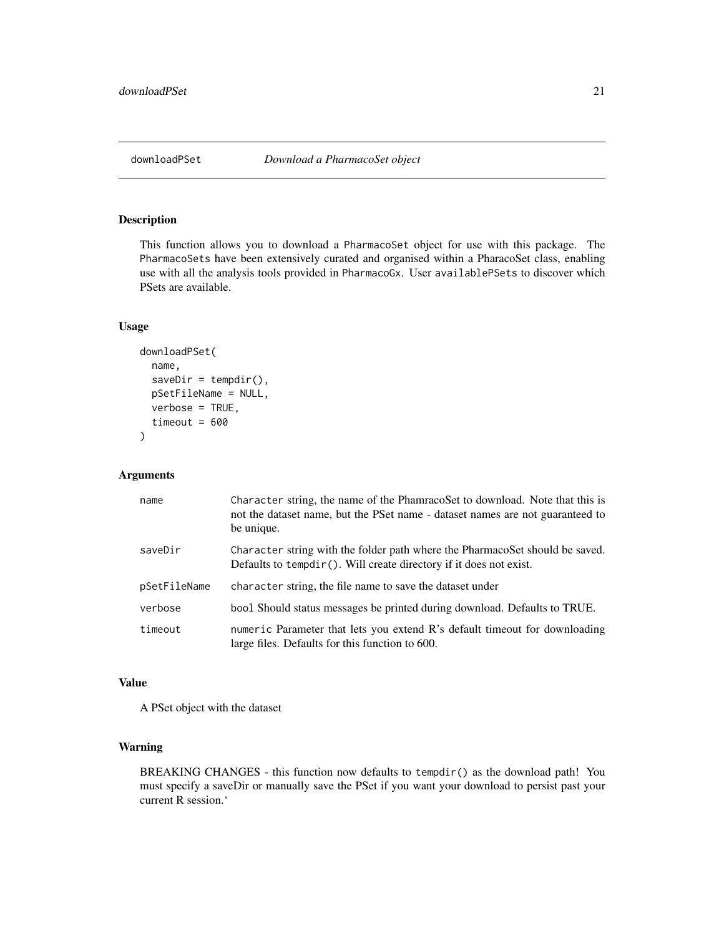<span id="page-20-0"></span>

### Description

This function allows you to download a PharmacoSet object for use with this package. The PharmacoSets have been extensively curated and organised within a PharacoSet class, enabling use with all the analysis tools provided in PharmacoGx. User availablePSets to discover which PSets are available.

#### Usage

```
downloadPSet(
 name,
  saveDir = tempdir(),
 pSetFileName = NULL,
 verbose = TRUE,
  timeout = 600)
```
### Arguments

| name         | Character string, the name of the PhamracoSet to download. Note that this is<br>not the dataset name, but the PSet name - dataset names are not guaranteed to<br>be unique. |
|--------------|-----------------------------------------------------------------------------------------------------------------------------------------------------------------------------|
| saveDir      | Character string with the folder path where the PharmacoSet should be saved.<br>Defaults to $tempdir()$ . Will create directory if it does not exist.                       |
| pSetFileName | character string, the file name to save the dataset under                                                                                                                   |
| verbose      | bool Should status messages be printed during download. Defaults to TRUE.                                                                                                   |
| timeout      | numeric Parameter that lets you extend R's default time out for downloading<br>large files. Defaults for this function to 600.                                              |

### Value

A PSet object with the dataset

### Warning

BREAKING CHANGES - this function now defaults to tempdir() as the download path! You must specify a saveDir or manually save the PSet if you want your download to persist past your current R session.'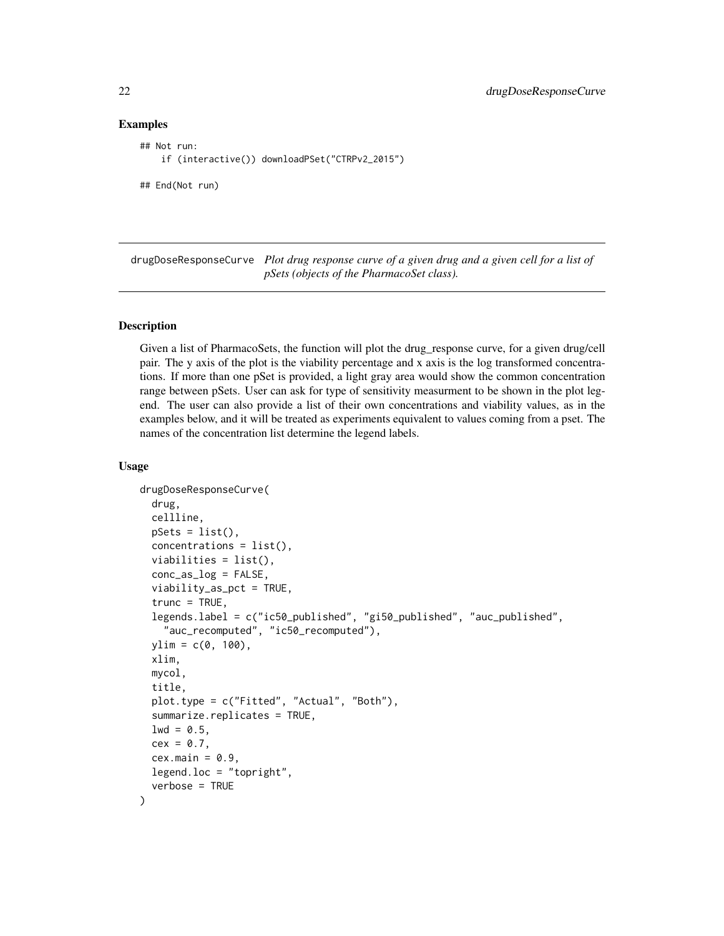#### Examples

```
## Not run:
    if (interactive()) downloadPSet("CTRPv2_2015")
```
## End(Not run)

drugDoseResponseCurve *Plot drug response curve of a given drug and a given cell for a list of pSets (objects of the PharmacoSet class).*

#### Description

Given a list of PharmacoSets, the function will plot the drug\_response curve, for a given drug/cell pair. The y axis of the plot is the viability percentage and x axis is the log transformed concentrations. If more than one pSet is provided, a light gray area would show the common concentration range between pSets. User can ask for type of sensitivity measurment to be shown in the plot legend. The user can also provide a list of their own concentrations and viability values, as in the examples below, and it will be treated as experiments equivalent to values coming from a pset. The names of the concentration list determine the legend labels.

```
drugDoseResponseCurve(
  drug,
  cellline,
  pSets = list(),concentrations = list(),viabilities = list(),
  conc_as_log = FALSE,
  viability_as_pct = TRUE,
  trunc = TRUE,
  legends.label = c("ic50_published", "gi50_published", "auc_published",
    "auc_recomputed", "ic50_recomputed"),
  vlim = c(0, 100),
 xlim,
 mycol,
  title,
  plot.type = c("Fitted", "Actual", "Both"),
  summarize.replicates = TRUE,
  1wd = 0.5,
  cex = 0.7,
  cex.main = 0.9,
  legend.loc = "topright",
  verbose = TRUE
)
```
<span id="page-21-0"></span>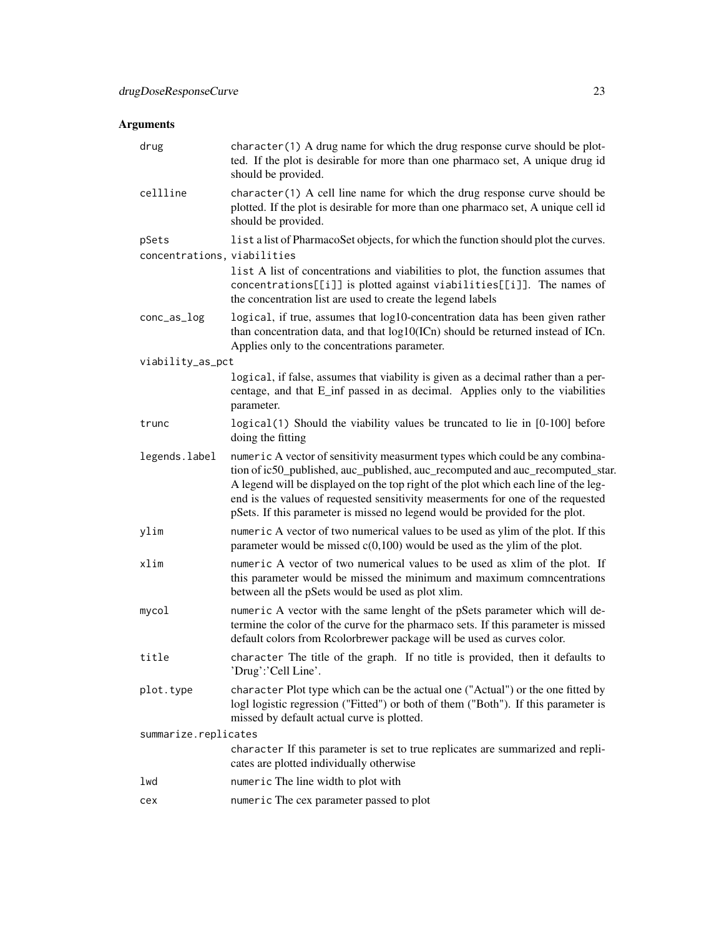| drug                        | character(1) A drug name for which the drug response curve should be plot-<br>ted. If the plot is desirable for more than one pharmaco set, A unique drug id<br>should be provided.                                                                                                                                                                                                                                      |
|-----------------------------|--------------------------------------------------------------------------------------------------------------------------------------------------------------------------------------------------------------------------------------------------------------------------------------------------------------------------------------------------------------------------------------------------------------------------|
| cellline                    | character(1) A cell line name for which the drug response curve should be<br>plotted. If the plot is desirable for more than one pharmaco set, A unique cell id<br>should be provided.                                                                                                                                                                                                                                   |
| pSets                       | list a list of PharmacoSet objects, for which the function should plot the curves.                                                                                                                                                                                                                                                                                                                                       |
| concentrations, viabilities |                                                                                                                                                                                                                                                                                                                                                                                                                          |
|                             | list A list of concentrations and viabilities to plot, the function assumes that<br>concentrations[[i]] is plotted against viabilities[[i]]. The names of<br>the concentration list are used to create the legend labels                                                                                                                                                                                                 |
| conc_as_log                 | logical, if true, assumes that log10-concentration data has been given rather<br>than concentration data, and that log10(ICn) should be returned instead of ICn.<br>Applies only to the concentrations parameter.                                                                                                                                                                                                        |
| viability_as_pct            |                                                                                                                                                                                                                                                                                                                                                                                                                          |
|                             | logical, if false, assumes that viability is given as a decimal rather than a per-<br>centage, and that E_inf passed in as decimal. Applies only to the viabilities<br>parameter.                                                                                                                                                                                                                                        |
| trunc                       | logical(1) Should the viability values be truncated to lie in [0-100] before<br>doing the fitting                                                                                                                                                                                                                                                                                                                        |
| legends.label               | numeric A vector of sensitivity measurment types which could be any combina-<br>tion of ic50_published, auc_published, auc_recomputed and auc_recomputed_star.<br>A legend will be displayed on the top right of the plot which each line of the leg-<br>end is the values of requested sensitivity measerments for one of the requested<br>pSets. If this parameter is missed no legend would be provided for the plot. |
| ylim                        | numeric A vector of two numerical values to be used as ylim of the plot. If this<br>parameter would be missed $c(0,100)$ would be used as the ylim of the plot.                                                                                                                                                                                                                                                          |
| xlim                        | numeric A vector of two numerical values to be used as xlim of the plot. If<br>this parameter would be missed the minimum and maximum comncentrations<br>between all the pSets would be used as plot xlim.                                                                                                                                                                                                               |
| mycol                       | numeric A vector with the same lenght of the pSets parameter which will de-<br>termine the color of the curve for the pharmaco sets. If this parameter is missed<br>default colors from Rcolorbrewer package will be used as curves color.                                                                                                                                                                               |
| title                       | character The title of the graph. If no title is provided, then it defaults to<br>'Drug':'Cell Line'.                                                                                                                                                                                                                                                                                                                    |
| plot.type                   | character Plot type which can be the actual one ("Actual") or the one fitted by<br>logl logistic regression ("Fitted") or both of them ("Both"). If this parameter is<br>missed by default actual curve is plotted.                                                                                                                                                                                                      |
| summarize.replicates        |                                                                                                                                                                                                                                                                                                                                                                                                                          |
|                             | character If this parameter is set to true replicates are summarized and repli-<br>cates are plotted individually otherwise                                                                                                                                                                                                                                                                                              |
| lwd                         | numeric The line width to plot with                                                                                                                                                                                                                                                                                                                                                                                      |
| cex                         | numeric The cex parameter passed to plot                                                                                                                                                                                                                                                                                                                                                                                 |
|                             |                                                                                                                                                                                                                                                                                                                                                                                                                          |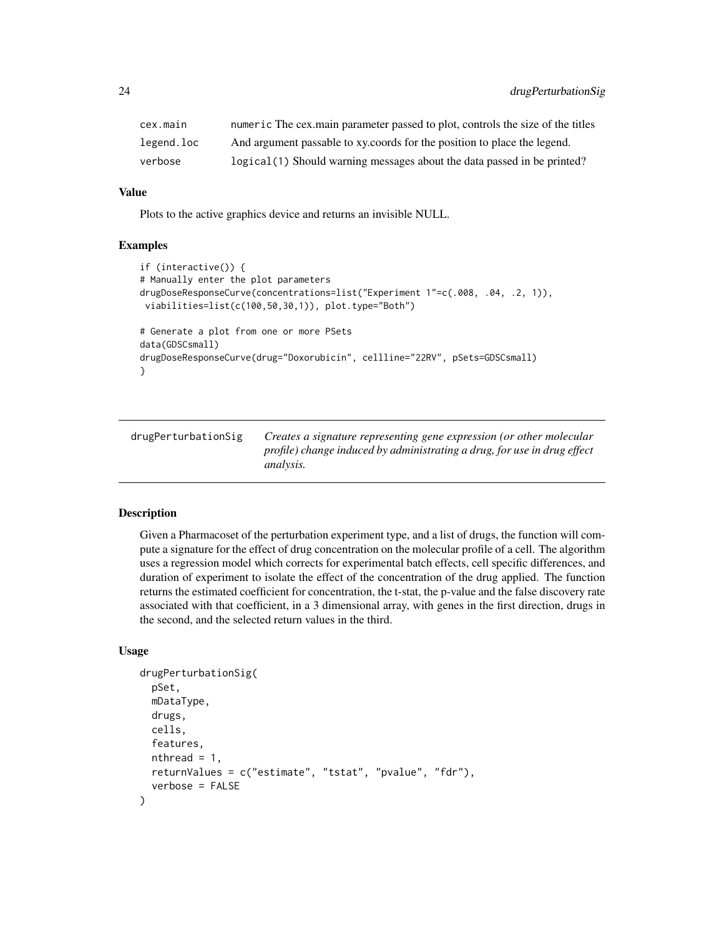<span id="page-23-0"></span>

| cex.main   | numeric The cex.main parameter passed to plot, controls the size of the titles |
|------------|--------------------------------------------------------------------------------|
| legend.loc | And argument passable to xy, coords for the position to place the legend.      |
| verbose    | logical (1) Should warning messages about the data passed in be printed?       |

#### Value

Plots to the active graphics device and returns an invisible NULL.

#### Examples

```
if (interactive()) {
# Manually enter the plot parameters
drugDoseResponseCurve(concentrations=list("Experiment 1"=c(.008, .04, .2, 1)),
viabilities=list(c(100,50,30,1)), plot.type="Both")
# Generate a plot from one or more PSets
data(GDSCsmall)
drugDoseResponseCurve(drug="Doxorubicin", cellline="22RV", pSets=GDSCsmall)
}
```

| drugPerturbationSig | Creates a signature representing gene expression (or other molecular     |
|---------------------|--------------------------------------------------------------------------|
|                     | profile) change induced by administrating a drug, for use in drug effect |
|                     | <i>analysis.</i>                                                         |

### Description

Given a Pharmacoset of the perturbation experiment type, and a list of drugs, the function will compute a signature for the effect of drug concentration on the molecular profile of a cell. The algorithm uses a regression model which corrects for experimental batch effects, cell specific differences, and duration of experiment to isolate the effect of the concentration of the drug applied. The function returns the estimated coefficient for concentration, the t-stat, the p-value and the false discovery rate associated with that coefficient, in a 3 dimensional array, with genes in the first direction, drugs in the second, and the selected return values in the third.

```
drugPerturbationSig(
  pSet,
  mDataType,
  drugs,
  cells,
  features,
  nthread = 1,
  returnValues = c("estimate", "tstat", "pvalue", "fdr"),
  verbose = FALSE
)
```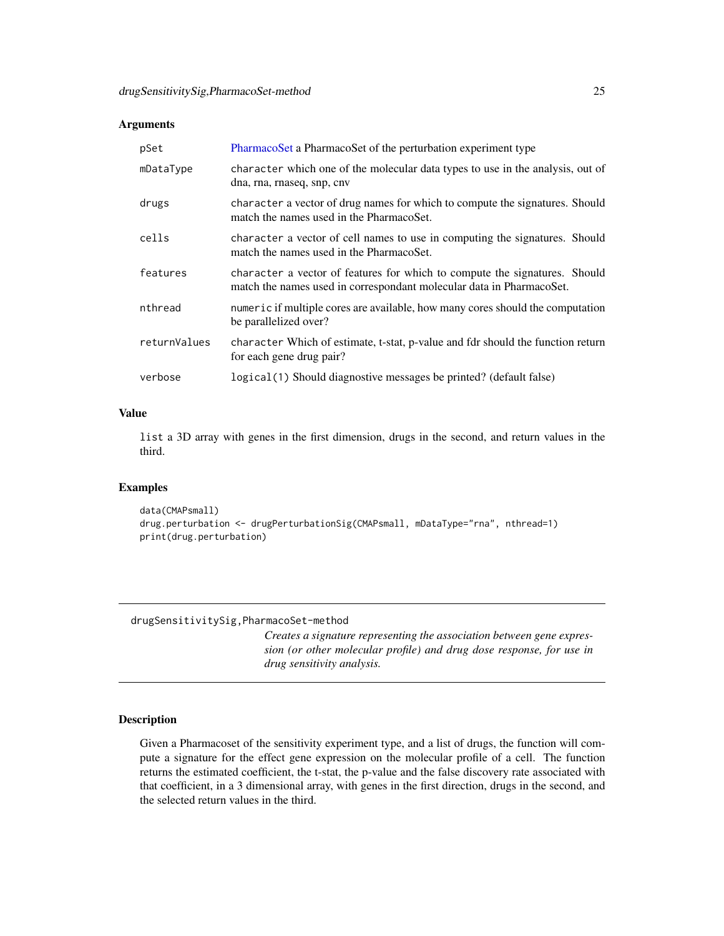<span id="page-24-0"></span>

| pSet         | PharmacoSet a PharmacoSet of the perturbation experiment type                                                                                      |
|--------------|----------------------------------------------------------------------------------------------------------------------------------------------------|
| mDataType    | character which one of the molecular data types to use in the analysis, out of<br>dna, rna, rnaseq, snp, cnv                                       |
| drugs        | character a vector of drug names for which to compute the signatures. Should<br>match the names used in the PharmacoSet.                           |
| cells        | character a vector of cell names to use in computing the signatures. Should<br>match the names used in the PharmacoSet.                            |
| features     | character a vector of features for which to compute the signatures. Should<br>match the names used in correspondant molecular data in PharmacoSet. |
| nthread      | numeric if multiple cores are available, how many cores should the computation<br>be parallelized over?                                            |
| returnValues | character Which of estimate, t-stat, p-value and fdr should the function return<br>for each gene drug pair?                                        |
| verbose      | logical (1) Should diagnostive messages be printed? (default false)                                                                                |

### Value

list a 3D array with genes in the first dimension, drugs in the second, and return values in the third.

### Examples

```
data(CMAPsmall)
drug.perturbation <- drugPerturbationSig(CMAPsmall, mDataType="rna", nthread=1)
print(drug.perturbation)
```
#### drugSensitivitySig,PharmacoSet-method

*Creates a signature representing the association between gene expression (or other molecular profile) and drug dose response, for use in drug sensitivity analysis.*

### Description

Given a Pharmacoset of the sensitivity experiment type, and a list of drugs, the function will compute a signature for the effect gene expression on the molecular profile of a cell. The function returns the estimated coefficient, the t-stat, the p-value and the false discovery rate associated with that coefficient, in a 3 dimensional array, with genes in the first direction, drugs in the second, and the selected return values in the third.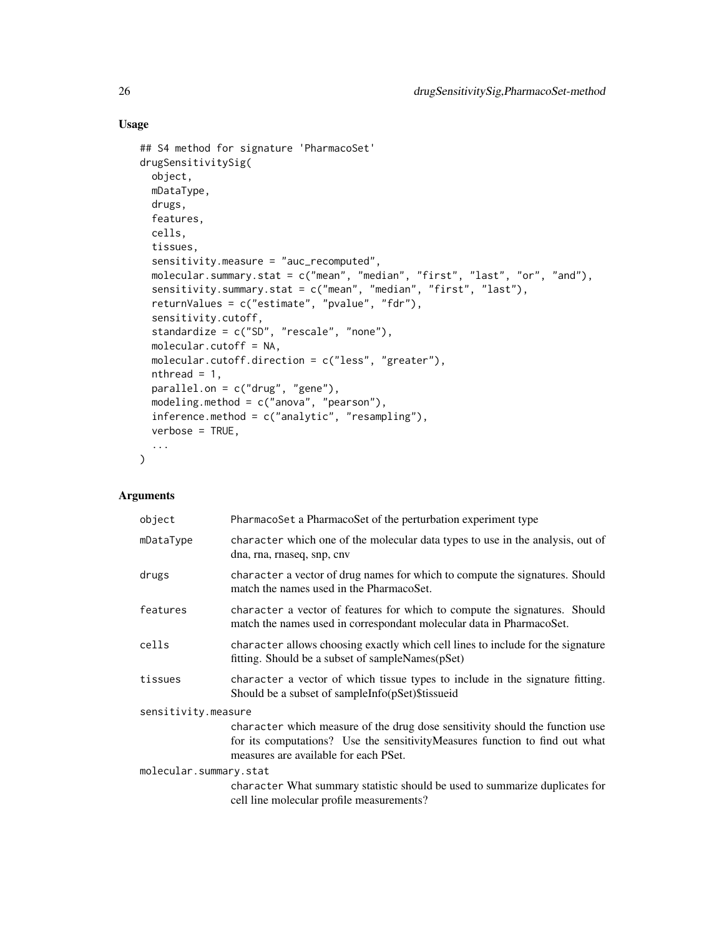### Usage

```
## S4 method for signature 'PharmacoSet'
drugSensitivitySig(
 object,
 mDataType,
 drugs,
 features,
 cells,
 tissues,
  sensitivity.measure = "auc_recomputed",
 molecular.summary.stat = c("mean", "median", "first", "last", "or", "and"),
 sensitivity.summary.stat = c("mean", "median", "first", "last"),
  returnValues = c("estimate", "pvalue", "fdr"),
  sensitivity.cutoff,
  standardize = c("SD", "rescale", "none"),
 molecular.cutoff = NA,
 molecular.cutoff.direction = c("less", "greater"),
 nthread = 1,
 parallel.on = c("drug", "gene"),
 modeling.method = c("anova", "pearson"),
 inference.method = c("analytic", "resampling"),
 verbose = TRUE,
  ...
\mathcal{L}
```

| object                 | PharmacoSet a PharmacoSet of the perturbation experiment type                                                                                                                                        |  |
|------------------------|------------------------------------------------------------------------------------------------------------------------------------------------------------------------------------------------------|--|
| mDataType              | character which one of the molecular data types to use in the analysis, out of<br>dna, rna, rnaseq, snp, cnv                                                                                         |  |
| drugs                  | character a vector of drug names for which to compute the signatures. Should<br>match the names used in the PharmacoSet.                                                                             |  |
| features               | character a vector of features for which to compute the signatures. Should<br>match the names used in correspondant molecular data in PharmacoSet.                                                   |  |
| cells                  | character allows choosing exactly which cell lines to include for the signature<br>fitting. Should be a subset of sampleNames(pSet)                                                                  |  |
| tissues                | character a vector of which tissue types to include in the signature fitting.<br>Should be a subset of sampleInfo(pSet)\$tissueid                                                                    |  |
| sensitivity.measure    |                                                                                                                                                                                                      |  |
|                        | character which measure of the drug dose sensitivity should the function use<br>for its computations? Use the sensitivityMeasures function to find out what<br>measures are available for each PSet. |  |
| molecular.summary.stat |                                                                                                                                                                                                      |  |
|                        | character What summary statistic should be used to summarize duplicates for<br>cell line molecular profile measurements?                                                                             |  |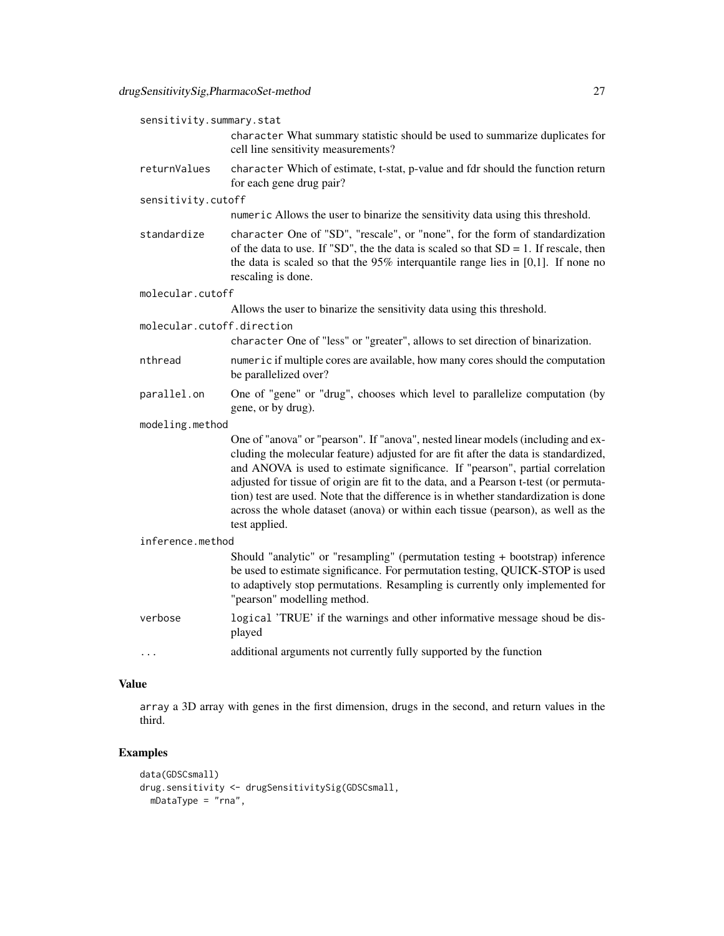| sensitivity.summary.stat   |                                                                                                                                                                                                                                                                                                                                                                                                                                                                                                                                              |  |  |
|----------------------------|----------------------------------------------------------------------------------------------------------------------------------------------------------------------------------------------------------------------------------------------------------------------------------------------------------------------------------------------------------------------------------------------------------------------------------------------------------------------------------------------------------------------------------------------|--|--|
|                            | character What summary statistic should be used to summarize duplicates for<br>cell line sensitivity measurements?                                                                                                                                                                                                                                                                                                                                                                                                                           |  |  |
| returnValues               | character Which of estimate, t-stat, p-value and fdr should the function return<br>for each gene drug pair?                                                                                                                                                                                                                                                                                                                                                                                                                                  |  |  |
| sensitivity.cutoff         |                                                                                                                                                                                                                                                                                                                                                                                                                                                                                                                                              |  |  |
|                            | numeric Allows the user to binarize the sensitivity data using this threshold.                                                                                                                                                                                                                                                                                                                                                                                                                                                               |  |  |
| standardize                | character One of "SD", "rescale", or "none", for the form of standardization<br>of the data to use. If "SD", the the data is scaled so that $SD = 1$ . If rescale, then<br>the data is scaled so that the $95\%$ interquantile range lies in [0,1]. If none no<br>rescaling is done.                                                                                                                                                                                                                                                         |  |  |
| molecular.cutoff           |                                                                                                                                                                                                                                                                                                                                                                                                                                                                                                                                              |  |  |
|                            | Allows the user to binarize the sensitivity data using this threshold.                                                                                                                                                                                                                                                                                                                                                                                                                                                                       |  |  |
| molecular.cutoff.direction |                                                                                                                                                                                                                                                                                                                                                                                                                                                                                                                                              |  |  |
|                            | character One of "less" or "greater", allows to set direction of binarization.                                                                                                                                                                                                                                                                                                                                                                                                                                                               |  |  |
| nthread                    | numeric if multiple cores are available, how many cores should the computation<br>be parallelized over?                                                                                                                                                                                                                                                                                                                                                                                                                                      |  |  |
| parallel.on                | One of "gene" or "drug", chooses which level to parallelize computation (by<br>gene, or by drug).                                                                                                                                                                                                                                                                                                                                                                                                                                            |  |  |
| modeling.method            |                                                                                                                                                                                                                                                                                                                                                                                                                                                                                                                                              |  |  |
|                            | One of "anova" or "pearson". If "anova", nested linear models (including and ex-<br>cluding the molecular feature) adjusted for are fit after the data is standardized,<br>and ANOVA is used to estimate significance. If "pearson", partial correlation<br>adjusted for tissue of origin are fit to the data, and a Pearson t-test (or permuta-<br>tion) test are used. Note that the difference is in whether standardization is done<br>across the whole dataset (anova) or within each tissue (pearson), as well as the<br>test applied. |  |  |
|                            | inference.method                                                                                                                                                                                                                                                                                                                                                                                                                                                                                                                             |  |  |
|                            | Should "analytic" or "resampling" (permutation testing + bootstrap) inference<br>be used to estimate significance. For permutation testing, QUICK-STOP is used<br>to adaptively stop permutations. Resampling is currently only implemented for<br>"pearson" modelling method.                                                                                                                                                                                                                                                               |  |  |
| verbose                    | logical 'TRUE' if the warnings and other informative message shoud be dis-<br>played                                                                                                                                                                                                                                                                                                                                                                                                                                                         |  |  |
| $\cdots$                   | additional arguments not currently fully supported by the function                                                                                                                                                                                                                                                                                                                                                                                                                                                                           |  |  |

### Value

array a 3D array with genes in the first dimension, drugs in the second, and return values in the third.

### Examples

```
data(GDSCsmall)
drug.sensitivity <- drugSensitivitySig(GDSCsmall,
 mDataType = "rna",
```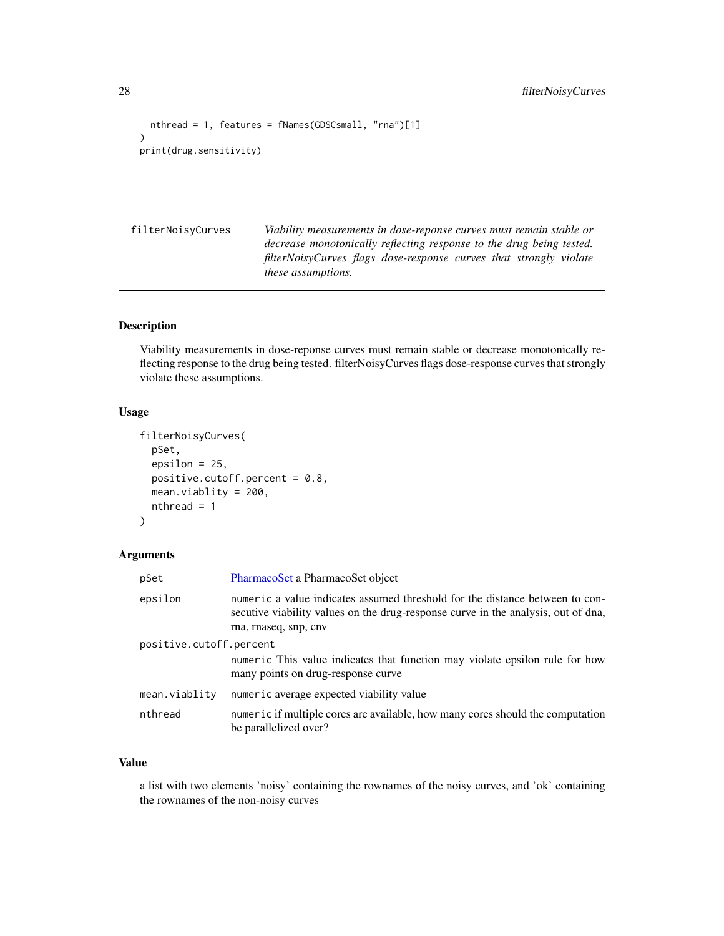```
nthread = 1, features = fNames(GDSCsmall, "rna")[1]
\mathcal{L}print(drug.sensitivity)
```
filterNoisyCurves *Viability measurements in dose-reponse curves must remain stable or decrease monotonically reflecting response to the drug being tested. filterNoisyCurves flags dose-response curves that strongly violate these assumptions.*

### Description

Viability measurements in dose-reponse curves must remain stable or decrease monotonically reflecting response to the drug being tested. filterNoisyCurves flags dose-response curves that strongly violate these assumptions.

### Usage

```
filterNoisyCurves(
  pSet,
  epsilon = 25,
 positive.cutoff.percent = 0.8,
 mean.viablity = 200,
  nthread = 1
)
```
#### Arguments

| pSet                    | PharmacoSet a PharmacoSet object                                                                                                                                                           |
|-------------------------|--------------------------------------------------------------------------------------------------------------------------------------------------------------------------------------------|
| epsilon                 | numeric a value indicates assumed threshold for the distance between to con-<br>secutive viability values on the drug-response curve in the analysis, out of dna,<br>rna, rnaseq, snp, cnv |
| positive.cutoff.percent | numeric This value indicates that function may violate epsilon rule for how<br>many points on drug-response curve                                                                          |
| mean.viablity           | numeric average expected viability value                                                                                                                                                   |
| nthread                 | numeric if multiple cores are available, how many cores should the computation<br>be parallelized over?                                                                                    |

### Value

a list with two elements 'noisy' containing the rownames of the noisy curves, and 'ok' containing the rownames of the non-noisy curves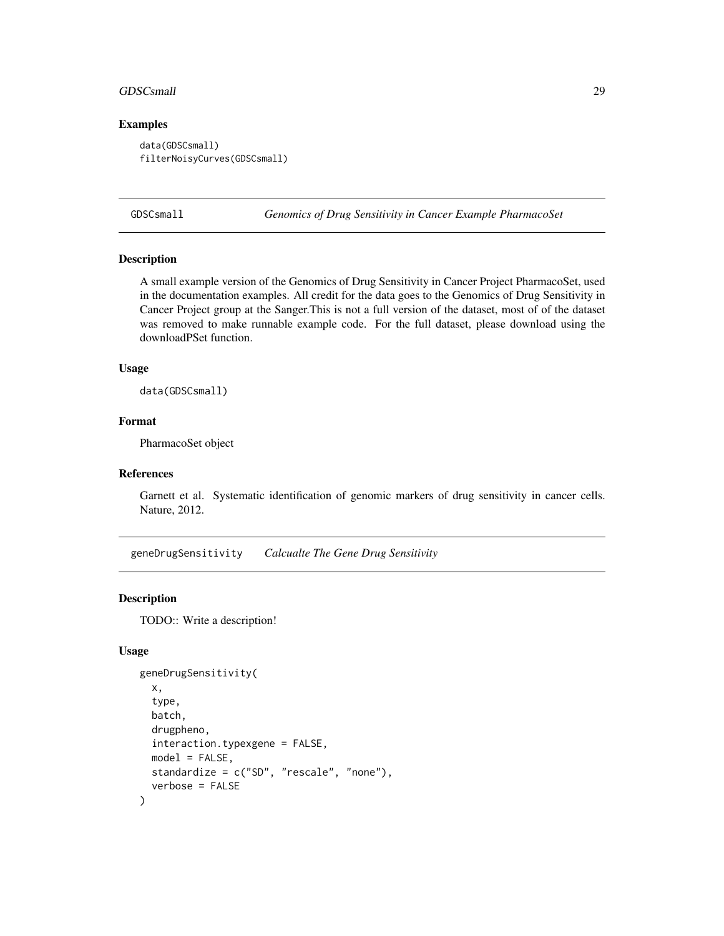#### <span id="page-28-0"></span>GDSCsmall 29

#### Examples

```
data(GDSCsmall)
filterNoisyCurves(GDSCsmall)
```
GDSCsmall *Genomics of Drug Sensitivity in Cancer Example PharmacoSet*

### Description

A small example version of the Genomics of Drug Sensitivity in Cancer Project PharmacoSet, used in the documentation examples. All credit for the data goes to the Genomics of Drug Sensitivity in Cancer Project group at the Sanger.This is not a full version of the dataset, most of of the dataset was removed to make runnable example code. For the full dataset, please download using the downloadPSet function.

#### Usage

data(GDSCsmall)

#### Format

PharmacoSet object

### References

Garnett et al. Systematic identification of genomic markers of drug sensitivity in cancer cells. Nature, 2012.

geneDrugSensitivity *Calcualte The Gene Drug Sensitivity*

#### Description

TODO:: Write a description!

```
geneDrugSensitivity(
  x,
  type,
 batch,
  drugpheno,
  interaction.typexgene = FALSE,
 model = FALSE,standardize = c("SD", "rescale", "none"),
  verbose = FALSE
)
```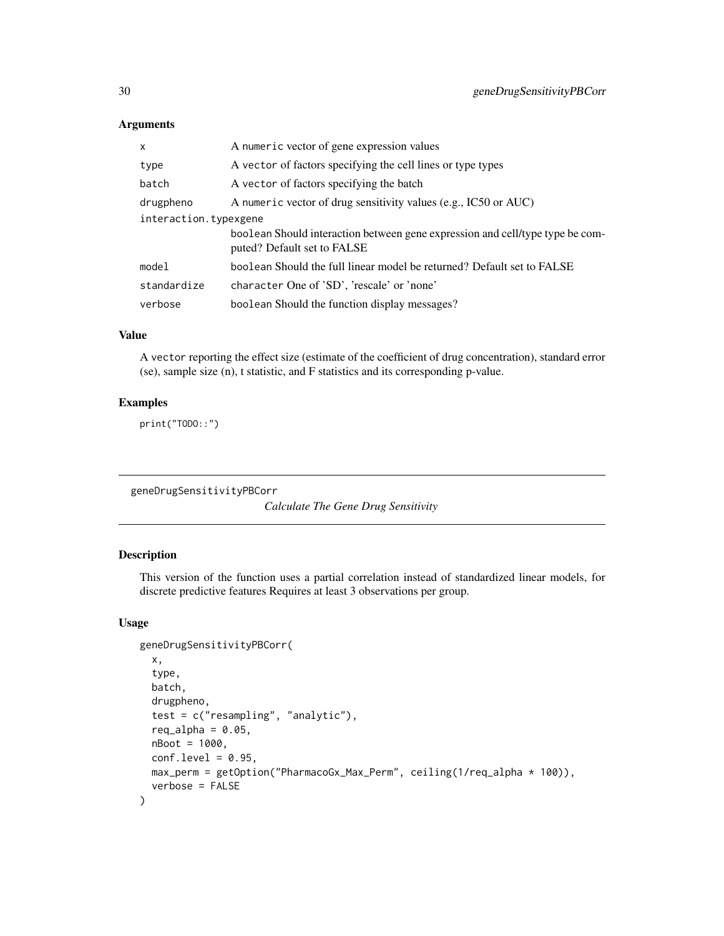| x                     | A numeric vector of gene expression values                                                                   |  |
|-----------------------|--------------------------------------------------------------------------------------------------------------|--|
| type                  | A vector of factors specifying the cell lines or type types                                                  |  |
| batch                 | A vector of factors specifying the batch                                                                     |  |
| drugpheno             | A numeric vector of drug sensitivity values (e.g., IC50 or AUC)                                              |  |
| interaction.typexgene |                                                                                                              |  |
|                       | boolean Should interaction between gene expression and cell/type type be com-<br>puted? Default set to FALSE |  |
| model                 | boolean Should the full linear model be returned? Default set to FALSE                                       |  |
| standardize           | character One of 'SD', 'rescale' or 'none'                                                                   |  |
| verbose               | boolean Should the function display messages?                                                                |  |

### Value

A vector reporting the effect size (estimate of the coefficient of drug concentration), standard error (se), sample size (n), t statistic, and F statistics and its corresponding p-value.

### Examples

print("TODO::")

geneDrugSensitivityPBCorr

*Calculate The Gene Drug Sensitivity*

### Description

This version of the function uses a partial correlation instead of standardized linear models, for discrete predictive features Requires at least 3 observations per group.

```
geneDrugSensitivityPBCorr(
  x,
  type,
  batch,
  drugpheno,
  test = c("resampling", "analytic"),
  req_alpha = 0.05,
 nBoot = 1000,
  conf. level = 0.95,
 max_perm = getOption("PharmacoGx_Max_Perm", ceiling(1/req_alpha * 100)),
  verbose = FALSE
\mathcal{E}
```
<span id="page-29-0"></span>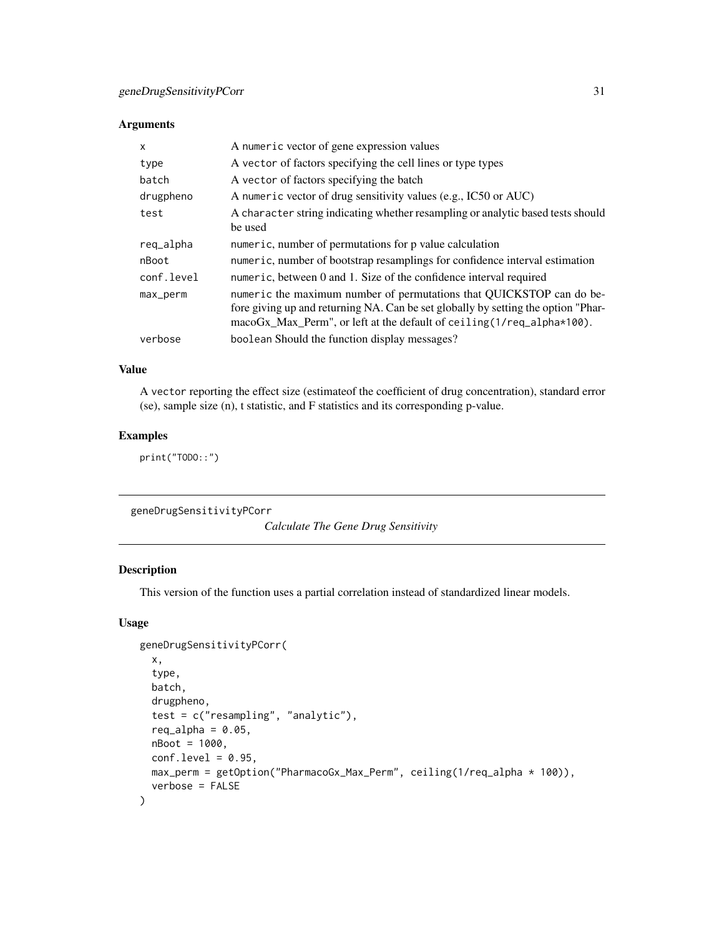<span id="page-30-0"></span>

| $\mathsf{x}$ | A numeric vector of gene expression values                                                                                                                                                                                               |
|--------------|------------------------------------------------------------------------------------------------------------------------------------------------------------------------------------------------------------------------------------------|
| type         | A vector of factors specifying the cell lines or type types                                                                                                                                                                              |
| batch        | A vector of factors specifying the batch                                                                                                                                                                                                 |
| drugpheno    | A numeric vector of drug sensitivity values (e.g., IC50 or AUC)                                                                                                                                                                          |
| test         | A character string indicating whether resampling or analytic based tests should<br>be used                                                                                                                                               |
| req_alpha    | numeric, number of permutations for p value calculation                                                                                                                                                                                  |
| nBoot        | numeric, number of bootstrap resamplings for confidence interval estimation                                                                                                                                                              |
| conf.level   | numeric, between 0 and 1. Size of the confidence interval required                                                                                                                                                                       |
| max_perm     | numeric the maximum number of permutations that QUICKSTOP can do be-<br>fore giving up and returning NA. Can be set globally by setting the option "Phar-<br>$macoGx_Max_Perm$ , or left at the default of ceiling $(1/req_a1pha*100)$ . |
| verbose      | boolean Should the function display messages?                                                                                                                                                                                            |

### Value

A vector reporting the effect size (estimateof the coefficient of drug concentration), standard error (se), sample size (n), t statistic, and F statistics and its corresponding p-value.

### Examples

print("TODO::")

geneDrugSensitivityPCorr

*Calculate The Gene Drug Sensitivity*

### Description

This version of the function uses a partial correlation instead of standardized linear models.

```
geneDrugSensitivityPCorr(
  x,
  type,
 batch,
  drugpheno,
  test = c("resampling", "analytic"),
  req_alpha = 0.05,
 nBoot = 1000,
 conf. level = 0.95,
 max_perm = getOption("PharmacoGx_Max_Perm", ceiling(1/req_alpha * 100)),
  verbose = FALSE
\mathcal{E}
```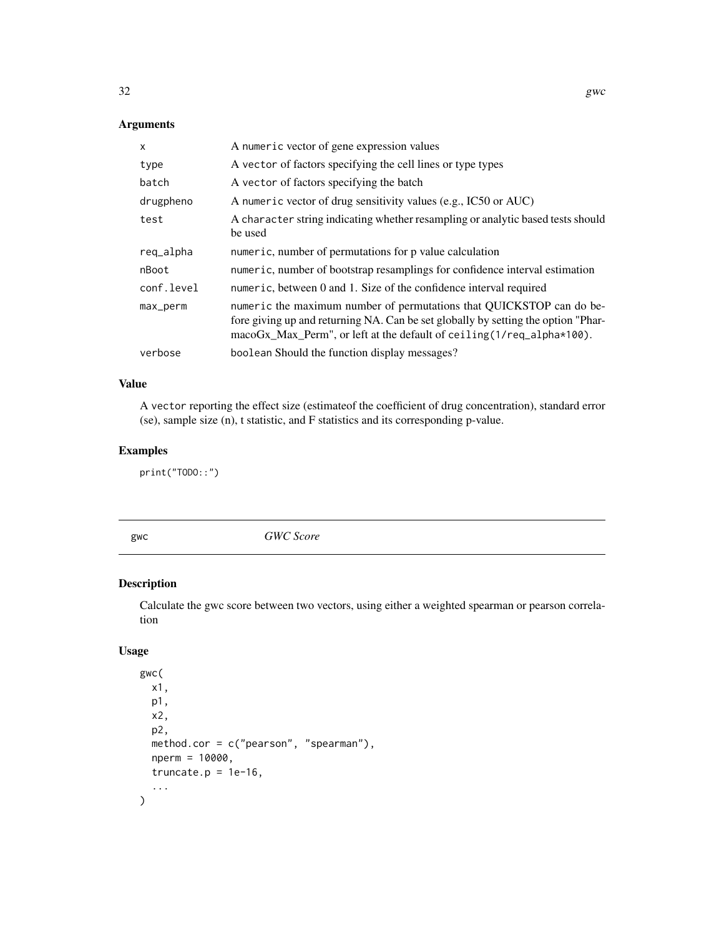<span id="page-31-0"></span>

| $\mathsf{x}$ | A numeric vector of gene expression values                                                                                                                                                                                               |
|--------------|------------------------------------------------------------------------------------------------------------------------------------------------------------------------------------------------------------------------------------------|
| type         | A vector of factors specifying the cell lines or type types                                                                                                                                                                              |
| batch        | A vector of factors specifying the batch                                                                                                                                                                                                 |
| drugpheno    | A numeric vector of drug sensitivity values (e.g., IC50 or AUC)                                                                                                                                                                          |
| test         | A character string indicating whether resampling or analytic based tests should<br>be used                                                                                                                                               |
| req_alpha    | numeric, number of permutations for p value calculation                                                                                                                                                                                  |
| nBoot        | numeric, number of bootstrap resamplings for confidence interval estimation                                                                                                                                                              |
| conf.level   | numeric, between 0 and 1. Size of the confidence interval required                                                                                                                                                                       |
| max_perm     | numeric the maximum number of permutations that QUICKSTOP can do be-<br>fore giving up and returning NA. Can be set globally by setting the option "Phar-<br>$macoGx_Max_Perm$ , or left at the default of ceiling $(1/req_a1pha*100)$ . |
| verbose      | boolean Should the function display messages?                                                                                                                                                                                            |

### Value

A vector reporting the effect size (estimateof the coefficient of drug concentration), standard error (se), sample size (n), t statistic, and F statistics and its corresponding p-value.

### Examples

print("TODO::")

gwc *GWC Score*

### Description

Calculate the gwc score between two vectors, using either a weighted spearman or pearson correlation

```
gwc(
  x1,
  p1,
  x2,
  p2,
  method.cor = c("pearson", "spearman"),
  nperm = 10000,
  truncate.p = 1e-16,
  ...
\mathcal{L}
```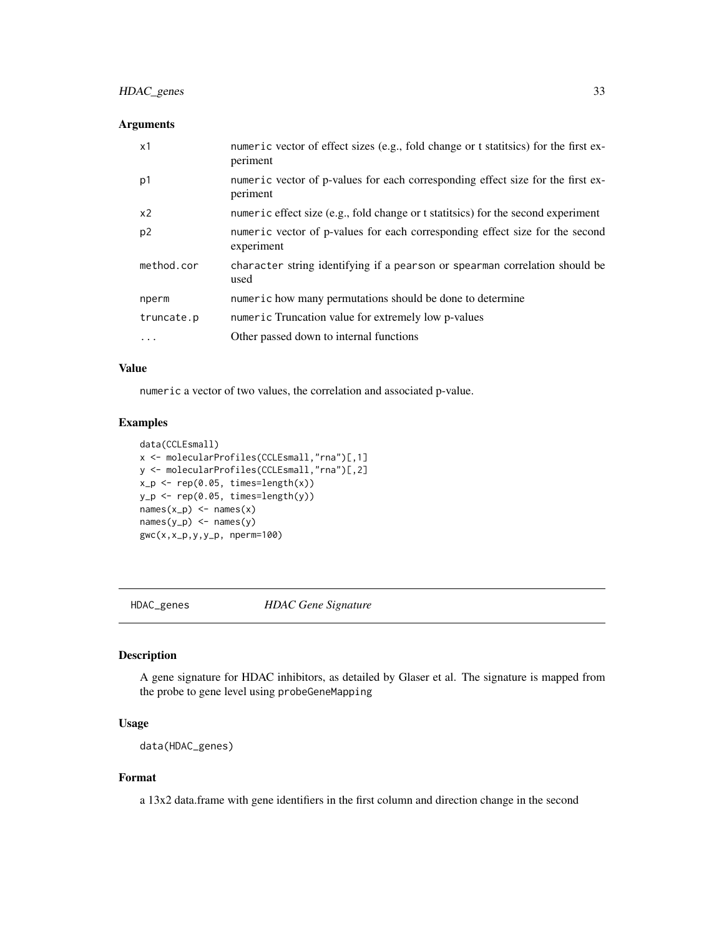### <span id="page-32-0"></span>HDAC\_genes 33

### Arguments

| x1             | numeric vector of effect sizes (e.g., fold change or t statistics) for the first ex-<br>periment |
|----------------|--------------------------------------------------------------------------------------------------|
| p1             | numeric vector of p-values for each corresponding effect size for the first ex-<br>periment      |
| x2             | numeric effect size (e.g., fold change or t statitsics) for the second experiment                |
| p <sub>2</sub> | numeric vector of p-values for each corresponding effect size for the second<br>experiment       |
| method.cor     | character string identifying if a pearson or spearman correlation should be<br>used              |
| nperm          | numeric how many permutations should be done to determine                                        |
| truncate.p     | numeric Truncation value for extremely low p-values                                              |
| $\cdots$       | Other passed down to internal functions                                                          |

#### Value

numeric a vector of two values, the correlation and associated p-value.

### Examples

```
data(CCLEsmall)
x <- molecularProfiles(CCLEsmall,"rna")[,1]
y <- molecularProfiles(CCLEsmall,"rna")[,2]
x_p \leftarrow rep(0.05, times = length(x))y_p \leftarrow rep(0.05, times = length(y))names(x_p) <- names(x)names(y_p) <- names(y)gwc(x,x_p,y,y_p, nperm=100)
```
HDAC\_genes *HDAC Gene Signature*

### Description

A gene signature for HDAC inhibitors, as detailed by Glaser et al. The signature is mapped from the probe to gene level using probeGeneMapping

#### Usage

data(HDAC\_genes)

### Format

a 13x2 data.frame with gene identifiers in the first column and direction change in the second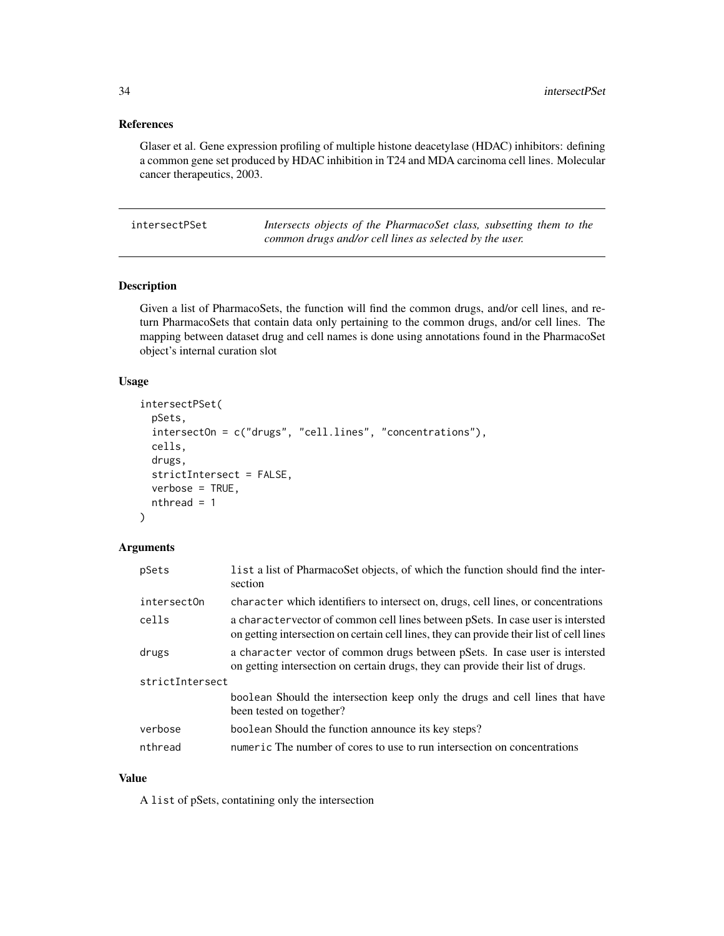#### <span id="page-33-0"></span>References

Glaser et al. Gene expression profiling of multiple histone deacetylase (HDAC) inhibitors: defining a common gene set produced by HDAC inhibition in T24 and MDA carcinoma cell lines. Molecular cancer therapeutics, 2003.

intersectPSet *Intersects objects of the PharmacoSet class, subsetting them to the common drugs and/or cell lines as selected by the user.*

### Description

Given a list of PharmacoSets, the function will find the common drugs, and/or cell lines, and return PharmacoSets that contain data only pertaining to the common drugs, and/or cell lines. The mapping between dataset drug and cell names is done using annotations found in the PharmacoSet object's internal curation slot

#### Usage

```
intersectPSet(
  pSets,
  intersectOn = c("drugs", "cell.lines", "concentrations"),
  cells,
  drugs,
  strictIntersect = FALSE,
  verbose = TRUE,
  nthread = 1
)
```
#### Arguments

| pSets           | list a list of PharmacoSet objects, of which the function should find the inter-<br>section                                                                                 |  |
|-----------------|-----------------------------------------------------------------------------------------------------------------------------------------------------------------------------|--|
| intersectOn     | character which identifiers to intersect on, drugs, cell lines, or concentrations                                                                                           |  |
| cells           | a charactervector of common cell lines between pSets. In case user is intersted<br>on getting intersection on certain cell lines, they can provide their list of cell lines |  |
| drugs           | a character vector of common drugs between pSets. In case user is intersted<br>on getting intersection on certain drugs, they can provide their list of drugs.              |  |
| strictIntersect |                                                                                                                                                                             |  |
|                 | boolean Should the intersection keep only the drugs and cell lines that have<br>been tested on together?                                                                    |  |
| verbose         | boolean Should the function announce its key steps?                                                                                                                         |  |
| nthread         | numeric The number of cores to use to run intersection on concentrations                                                                                                    |  |

### Value

A list of pSets, contatining only the intersection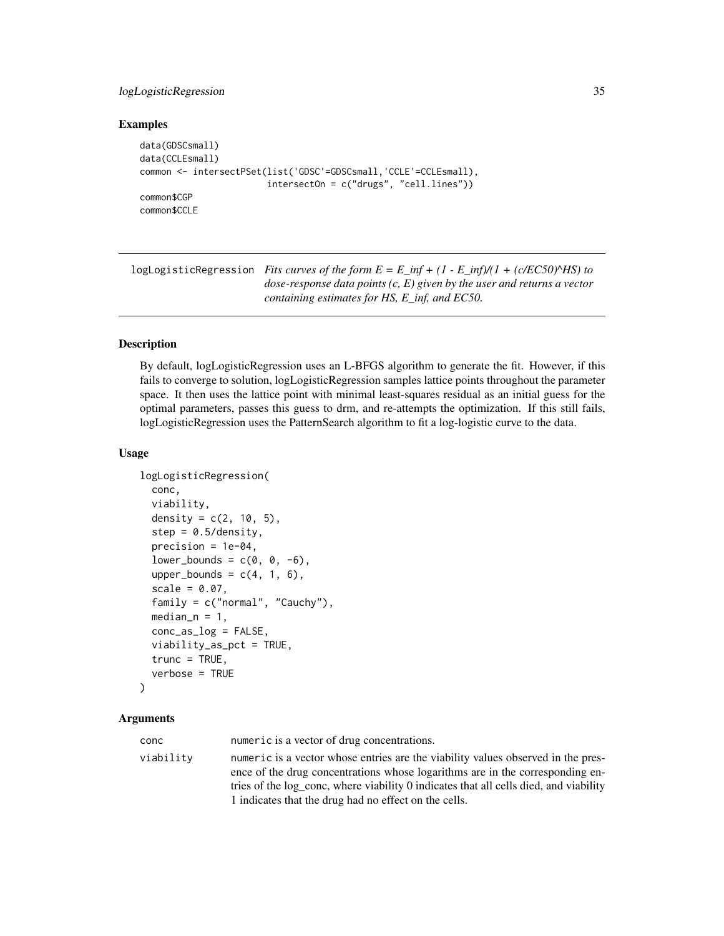#### <span id="page-34-0"></span>logLogisticRegression 35

#### Examples

```
data(GDSCsmall)
data(CCLEsmall)
common <- intersectPSet(list('GDSC'=GDSCsmall,'CCLE'=CCLEsmall),
                        intersectOn = c("drugs", "cell.lines"))
common$CGP
common$CCLE
```
logLogisticRegression *Fits curves of the form E = E\_inf + (1 - E\_inf)/(1 + (c/EC50)^HS) to dose-response data points (c, E) given by the user and returns a vector containing estimates for HS, E\_inf, and EC50.*

### **Description**

By default, logLogisticRegression uses an L-BFGS algorithm to generate the fit. However, if this fails to converge to solution, logLogisticRegression samples lattice points throughout the parameter space. It then uses the lattice point with minimal least-squares residual as an initial guess for the optimal parameters, passes this guess to drm, and re-attempts the optimization. If this still fails, logLogisticRegression uses the PatternSearch algorithm to fit a log-logistic curve to the data.

### Usage

```
logLogisticRegression(
  conc,
  viability,
  density = c(2, 10, 5),
  step = 0.5/density,
  precision = 1e-04,
  lower_bound = c(0, 0, -6),
  upper_bounds = c(4, 1, 6),
  scale = 0.07.
  family = c("normal", "Cauchy"),
  median_n = 1,
  conc_as_log = FALSE,
  viability_as_pct = TRUE,
  trunc = TRUE,
  verbose = TRUE
)
```
### Arguments

conc numeric is a vector of drug concentrations. viability numeric is a vector whose entries are the viability values observed in the presence of the drug concentrations whose logarithms are in the corresponding entries of the log\_conc, where viability 0 indicates that all cells died, and viability 1 indicates that the drug had no effect on the cells.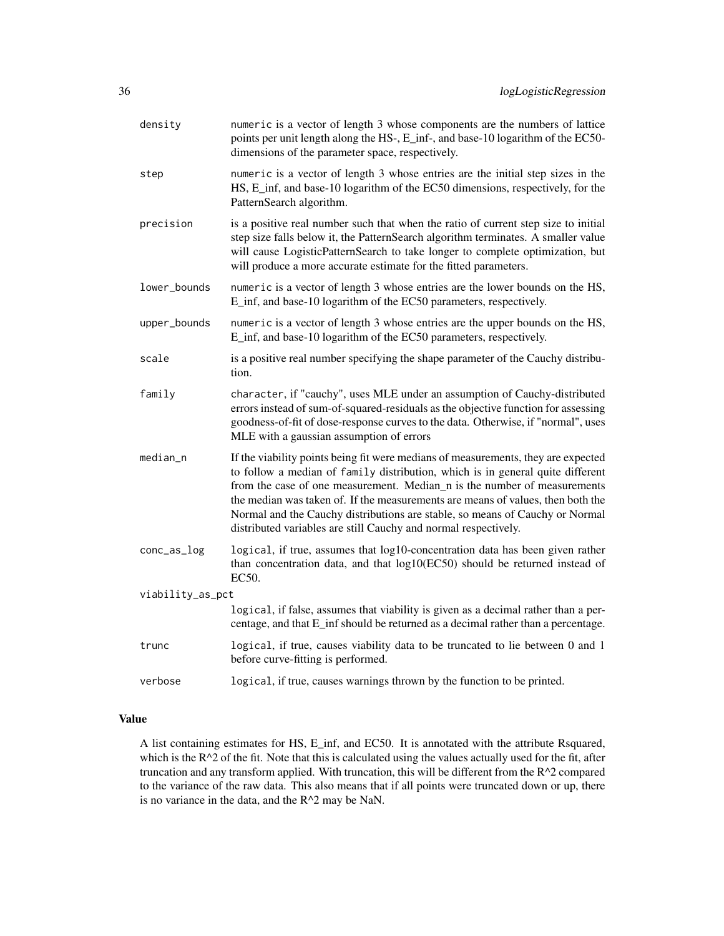| density          | numeric is a vector of length 3 whose components are the numbers of lattice<br>points per unit length along the HS-, E_inf-, and base-10 logarithm of the EC50-<br>dimensions of the parameter space, respectively.                                                                                                                                                                                                                                                                   |  |
|------------------|---------------------------------------------------------------------------------------------------------------------------------------------------------------------------------------------------------------------------------------------------------------------------------------------------------------------------------------------------------------------------------------------------------------------------------------------------------------------------------------|--|
| step             | numeric is a vector of length 3 whose entries are the initial step sizes in the<br>HS, E_inf, and base-10 logarithm of the EC50 dimensions, respectively, for the<br>PatternSearch algorithm.                                                                                                                                                                                                                                                                                         |  |
| precision        | is a positive real number such that when the ratio of current step size to initial<br>step size falls below it, the PatternSearch algorithm terminates. A smaller value<br>will cause LogisticPatternSearch to take longer to complete optimization, but<br>will produce a more accurate estimate for the fitted parameters.                                                                                                                                                          |  |
| lower_bounds     | numeric is a vector of length 3 whose entries are the lower bounds on the HS,<br>E_inf, and base-10 logarithm of the EC50 parameters, respectively.                                                                                                                                                                                                                                                                                                                                   |  |
| upper_bounds     | numeric is a vector of length 3 whose entries are the upper bounds on the HS,<br>E_inf, and base-10 logarithm of the EC50 parameters, respectively.                                                                                                                                                                                                                                                                                                                                   |  |
| scale            | is a positive real number specifying the shape parameter of the Cauchy distribu-<br>tion.                                                                                                                                                                                                                                                                                                                                                                                             |  |
| family           | character, if "cauchy", uses MLE under an assumption of Cauchy-distributed<br>errors instead of sum-of-squared-residuals as the objective function for assessing<br>goodness-of-fit of dose-response curves to the data. Otherwise, if "normal", uses<br>MLE with a gaussian assumption of errors                                                                                                                                                                                     |  |
| median_n         | If the viability points being fit were medians of measurements, they are expected<br>to follow a median of family distribution, which is in general quite different<br>from the case of one measurement. Median_n is the number of measurements<br>the median was taken of. If the measurements are means of values, then both the<br>Normal and the Cauchy distributions are stable, so means of Cauchy or Normal<br>distributed variables are still Cauchy and normal respectively. |  |
| conc_as_log      | logical, if true, assumes that log10-concentration data has been given rather<br>than concentration data, and that log10(EC50) should be returned instead of<br>EC50.                                                                                                                                                                                                                                                                                                                 |  |
| viability_as_pct |                                                                                                                                                                                                                                                                                                                                                                                                                                                                                       |  |
|                  | logical, if false, assumes that viability is given as a decimal rather than a per-<br>centage, and that E_inf should be returned as a decimal rather than a percentage.                                                                                                                                                                                                                                                                                                               |  |
| trunc            | logical, if true, causes viability data to be truncated to lie between 0 and 1<br>before curve-fitting is performed.                                                                                                                                                                                                                                                                                                                                                                  |  |
| verbose          | logical, if true, causes warnings thrown by the function to be printed.                                                                                                                                                                                                                                                                                                                                                                                                               |  |
|                  |                                                                                                                                                                                                                                                                                                                                                                                                                                                                                       |  |

### Value

A list containing estimates for HS, E\_inf, and EC50. It is annotated with the attribute Rsquared, which is the R^2 of the fit. Note that this is calculated using the values actually used for the fit, after truncation and any transform applied. With truncation, this will be different from the R^2 compared to the variance of the raw data. This also means that if all points were truncated down or up, there is no variance in the data, and the  $R^2$  may be NaN.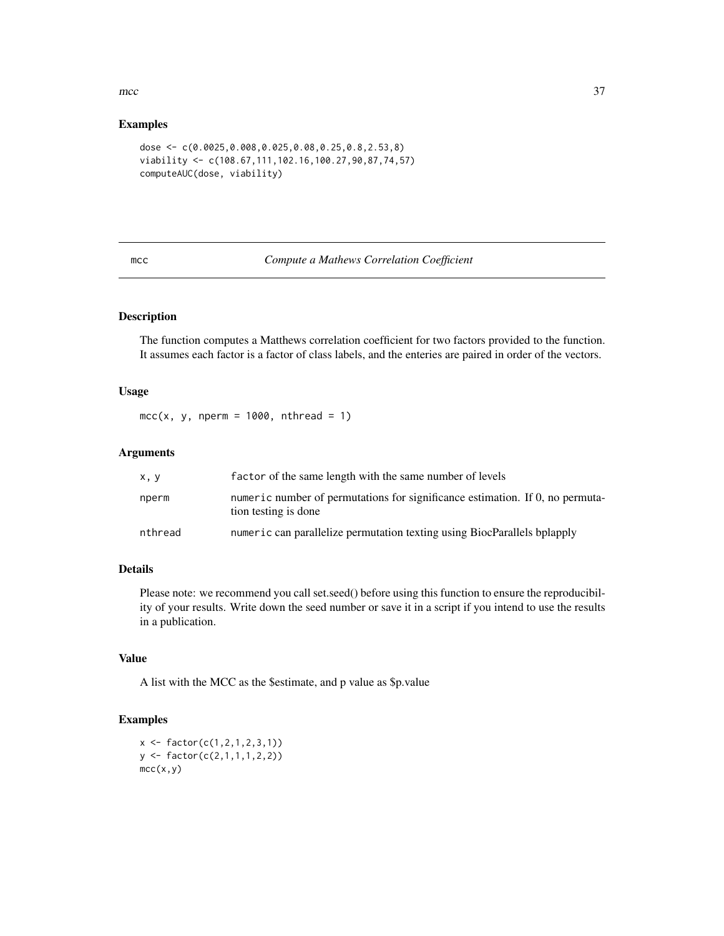#### <span id="page-36-0"></span> $\text{mcc}$  37

#### Examples

```
dose <- c(0.0025,0.008,0.025,0.08,0.25,0.8,2.53,8)
viability <- c(108.67,111,102.16,100.27,90,87,74,57)
computeAUC(dose, viability)
```
mcc *Compute a Mathews Correlation Coefficient*

#### Description

The function computes a Matthews correlation coefficient for two factors provided to the function. It assumes each factor is a factor of class labels, and the enteries are paired in order of the vectors.

### Usage

 $mcc(x, y, nperm = 1000, nthread = 1)$ 

#### Arguments

| x, y    | factor of the same length with the same number of levels                                              |
|---------|-------------------------------------------------------------------------------------------------------|
| nperm   | numeric number of permutations for significance estimation. If 0, no permuta-<br>tion testing is done |
| nthread | numeric can parallelize permutation texting using BiocParallels bplapply                              |

### Details

Please note: we recommend you call set.seed() before using this function to ensure the reproducibility of your results. Write down the seed number or save it in a script if you intend to use the results in a publication.

### Value

A list with the MCC as the \$estimate, and p value as \$p.value

#### Examples

```
x \leftarrow factor(c(1,2,1,2,3,1))
y \leftarrow factor(c(2,1,1,1,2,2))mcc(x,y)
```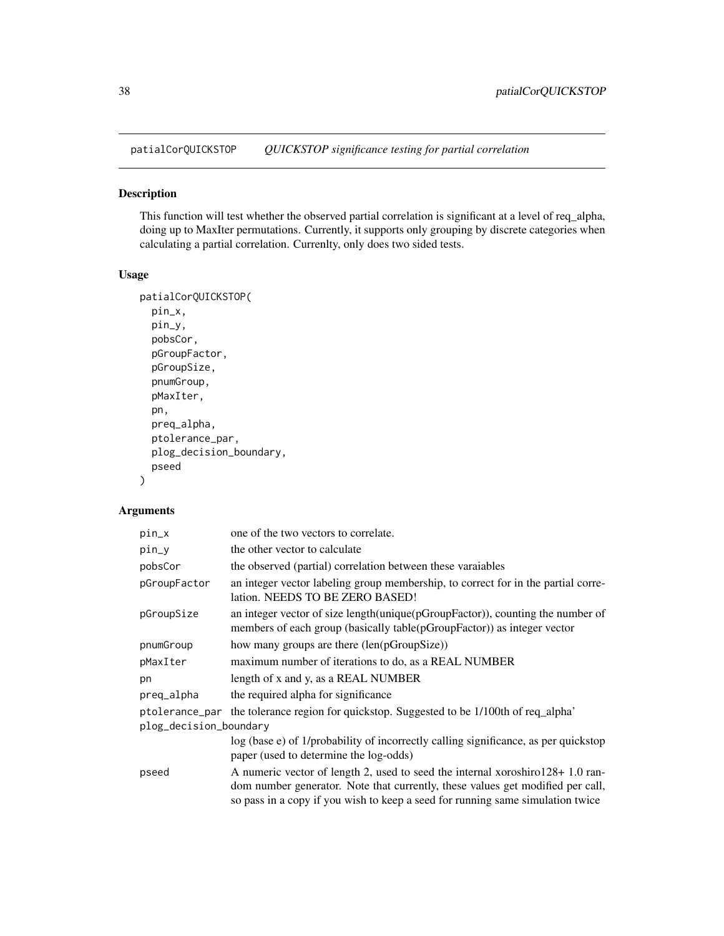<span id="page-37-0"></span>patialCorQUICKSTOP *QUICKSTOP significance testing for partial correlation*

### Description

This function will test whether the observed partial correlation is significant at a level of req\_alpha, doing up to MaxIter permutations. Currently, it supports only grouping by discrete categories when calculating a partial correlation. Currenlty, only does two sided tests.

### Usage

```
patialCorQUICKSTOP(
 pin_x,
 pin_y,
 pobsCor,
 pGroupFactor,
  pGroupSize,
  pnumGroup,
  pMaxIter,
 pn,
  preq_alpha,
 ptolerance_par,
  plog_decision_boundary,
 pseed
\mathcal{L}
```

| pin_x                  | one of the two vectors to correlate.                                                                                                                                                                                                              |  |
|------------------------|---------------------------------------------------------------------------------------------------------------------------------------------------------------------------------------------------------------------------------------------------|--|
| pin_y                  | the other vector to calculate                                                                                                                                                                                                                     |  |
| pobsCor                | the observed (partial) correlation between these varaiables                                                                                                                                                                                       |  |
| pGroupFactor           | an integer vector labeling group membership, to correct for in the partial corre-<br>lation. NEEDS TO BE ZERO BASED!                                                                                                                              |  |
| pGroupSize             | an integer vector of size length(unique(pGroupFactor)), counting the number of<br>members of each group (basically table(pGroupFactor)) as integer vector                                                                                         |  |
| pnumGroup              | how many groups are there (len(pGroupSize))                                                                                                                                                                                                       |  |
| pMaxIter               | maximum number of iterations to do, as a REAL NUMBER                                                                                                                                                                                              |  |
| pn                     | length of x and y, as a REAL NUMBER                                                                                                                                                                                                               |  |
| preq_alpha             | the required alpha for significance                                                                                                                                                                                                               |  |
|                        | ptolerance_par the tolerance region for quickstop. Suggested to be 1/100th of req_alpha'                                                                                                                                                          |  |
| plog_decision_boundary |                                                                                                                                                                                                                                                   |  |
|                        | log (base e) of 1/probability of incorrectly calling significance, as per quickstop<br>paper (used to determine the log-odds)                                                                                                                     |  |
| pseed                  | A numeric vector of length 2, used to seed the internal xoroshiro128+1.0 ran-<br>dom number generator. Note that currently, these values get modified per call,<br>so pass in a copy if you wish to keep a seed for running same simulation twice |  |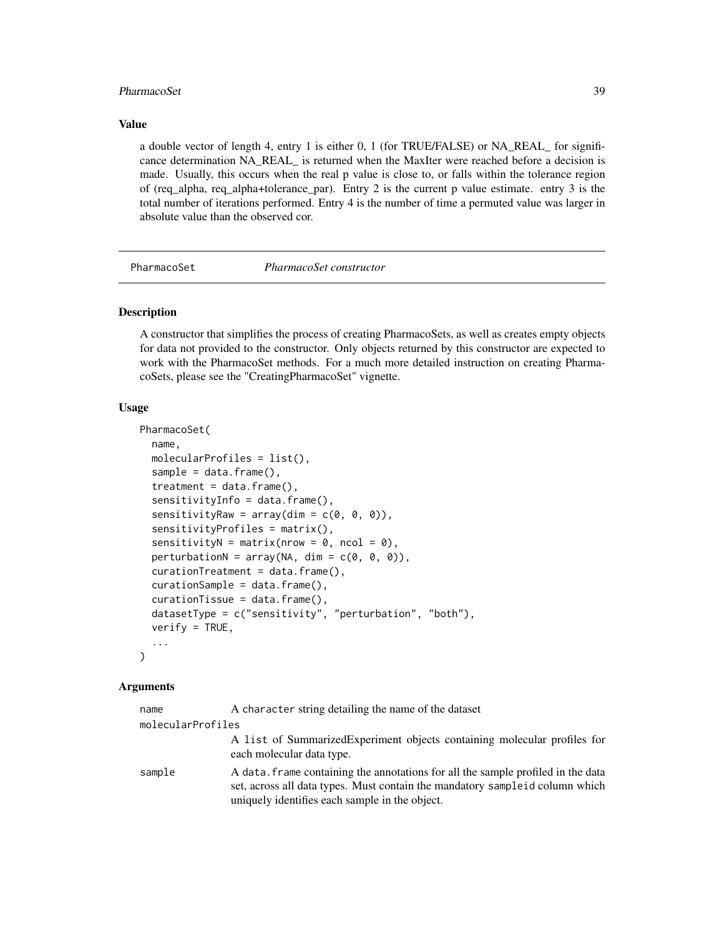#### <span id="page-38-0"></span>PharmacoSet 39

#### Value

a double vector of length 4, entry 1 is either 0, 1 (for TRUE/FALSE) or NA\_REAL\_ for significance determination NA\_REAL\_ is returned when the MaxIter were reached before a decision is made. Usually, this occurs when the real p value is close to, or falls within the tolerance region of (req\_alpha, req\_alpha+tolerance\_par). Entry 2 is the current p value estimate. entry 3 is the total number of iterations performed. Entry 4 is the number of time a permuted value was larger in absolute value than the observed cor.

<span id="page-38-1"></span>

PharmacoSet *PharmacoSet constructor*

### Description

A constructor that simplifies the process of creating PharmacoSets, as well as creates empty objects for data not provided to the constructor. Only objects returned by this constructor are expected to work with the PharmacoSet methods. For a much more detailed instruction on creating PharmacoSets, please see the "CreatingPharmacoSet" vignette.

#### Usage

```
PharmacoSet(
  name,
 molecularProfiles = list(),
  sample = data.frame(),treatment = data.frame(),
  sensitivityInfo = data.frame(),
  sensitivityRaw = array(dim = c(0, 0, 0)),
  sensitivityProfiles = matrix(),
  sensitivityN = matrix(nrow = 0, ncol = 0),
  perturbationN = array(NA, dim = c(0, 0, 0)),curationTreatment = data.frame(),curationSample = data.frame(),
  curationTissue = data.frame(),datasetType = c("sensitivity", "perturbation", "both"),
  verify = TRUE,...
)
```

| name              | A character string detailing the name of the dataset                                                                                                                                                                |
|-------------------|---------------------------------------------------------------------------------------------------------------------------------------------------------------------------------------------------------------------|
| molecularProfiles |                                                                                                                                                                                                                     |
|                   | A list of Summarized Experiment objects containing molecular profiles for<br>each molecular data type.                                                                                                              |
| sample            | A data. Frame containing the annotations for all the sample profiled in the data<br>set, across all data types. Must contain the mandatory sample id column which<br>uniquely identifies each sample in the object. |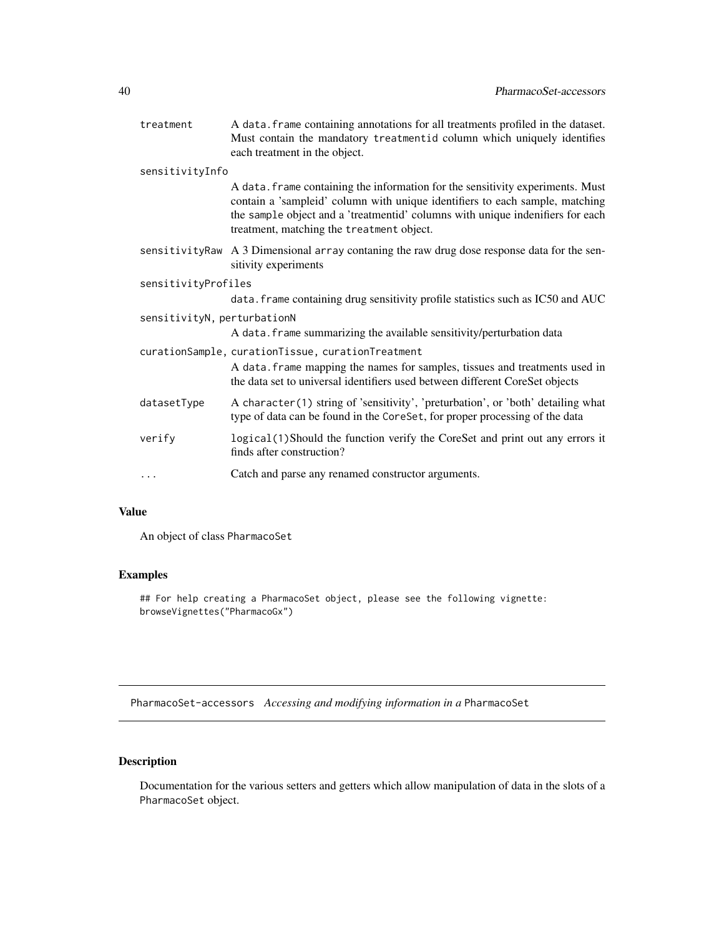<span id="page-39-0"></span>

| treatment                   | A data. frame containing annotations for all treatments profiled in the dataset.<br>Must contain the mandatory treatmentid column which uniquely identifies<br>each treatment in the object.                                                                                                  |  |
|-----------------------------|-----------------------------------------------------------------------------------------------------------------------------------------------------------------------------------------------------------------------------------------------------------------------------------------------|--|
| sensitivityInfo             |                                                                                                                                                                                                                                                                                               |  |
|                             | A data. frame containing the information for the sensitivity experiments. Must<br>contain a 'sampleid' column with unique identifiers to each sample, matching<br>the sample object and a 'treatmentid' columns with unique indenifiers for each<br>treatment, matching the treatment object. |  |
|                             | sensitivityRaw A 3 Dimensional array contaning the raw drug dose response data for the sen-<br>sitivity experiments                                                                                                                                                                           |  |
| sensitivityProfiles         |                                                                                                                                                                                                                                                                                               |  |
|                             | data. frame containing drug sensitivity profile statistics such as IC50 and AUC                                                                                                                                                                                                               |  |
| sensitivityN, perturbationN |                                                                                                                                                                                                                                                                                               |  |
|                             | A data. frame summarizing the available sensitivity/perturbation data                                                                                                                                                                                                                         |  |
|                             | curationSample, curationTissue, curationTreatment                                                                                                                                                                                                                                             |  |
|                             | A data. frame mapping the names for samples, tissues and treatments used in<br>the data set to universal identifiers used between different CoreSet objects                                                                                                                                   |  |
| datasetType                 | A character(1) string of 'sensitivity', 'preturbation', or 'both' detailing what<br>type of data can be found in the CoreSet, for proper processing of the data                                                                                                                               |  |
| verify                      | logical(1)Should the function verify the CoreSet and print out any errors it<br>finds after construction?                                                                                                                                                                                     |  |
| .                           | Catch and parse any renamed constructor arguments.                                                                                                                                                                                                                                            |  |

### Value

An object of class PharmacoSet

### Examples

## For help creating a PharmacoSet object, please see the following vignette: browseVignettes("PharmacoGx")

PharmacoSet-accessors *Accessing and modifying information in a* PharmacoSet

### Description

Documentation for the various setters and getters which allow manipulation of data in the slots of a PharmacoSet object.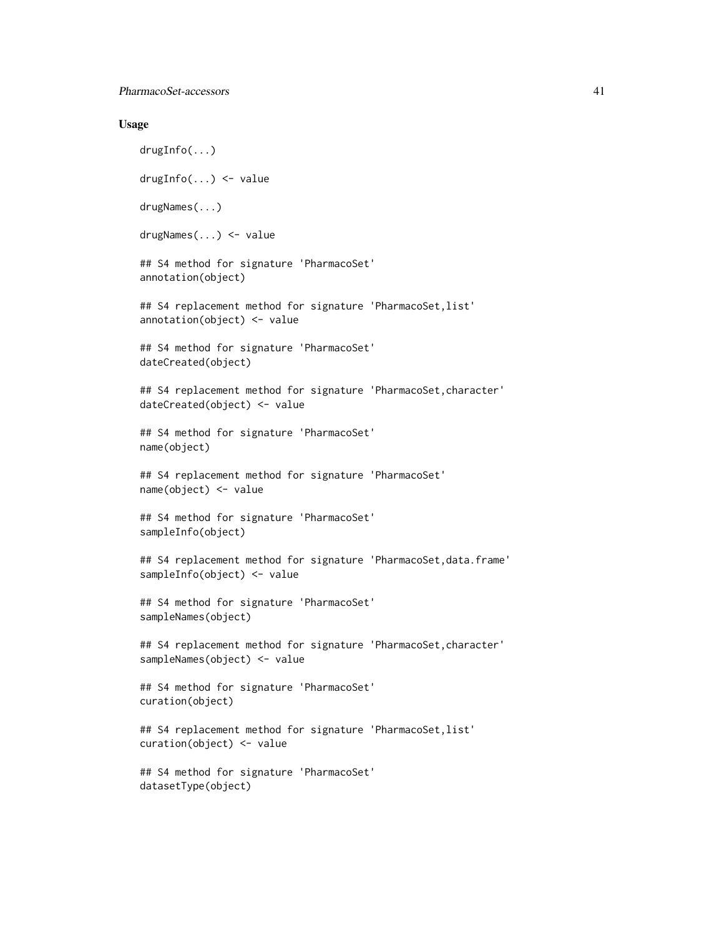#### Usage

drugInfo(...) drugInfo(...) <- value drugNames(...) drugNames(...) <- value ## S4 method for signature 'PharmacoSet' annotation(object) ## S4 replacement method for signature 'PharmacoSet, list' annotation(object) <- value ## S4 method for signature 'PharmacoSet' dateCreated(object) ## S4 replacement method for signature 'PharmacoSet,character' dateCreated(object) <- value ## S4 method for signature 'PharmacoSet' name(object) ## S4 replacement method for signature 'PharmacoSet' name(object) <- value ## S4 method for signature 'PharmacoSet' sampleInfo(object) ## S4 replacement method for signature 'PharmacoSet,data.frame' sampleInfo(object) <- value ## S4 method for signature 'PharmacoSet' sampleNames(object) ## S4 replacement method for signature 'PharmacoSet,character' sampleNames(object) <- value ## S4 method for signature 'PharmacoSet' curation(object) ## S4 replacement method for signature 'PharmacoSet,list' curation(object) <- value ## S4 method for signature 'PharmacoSet' datasetType(object)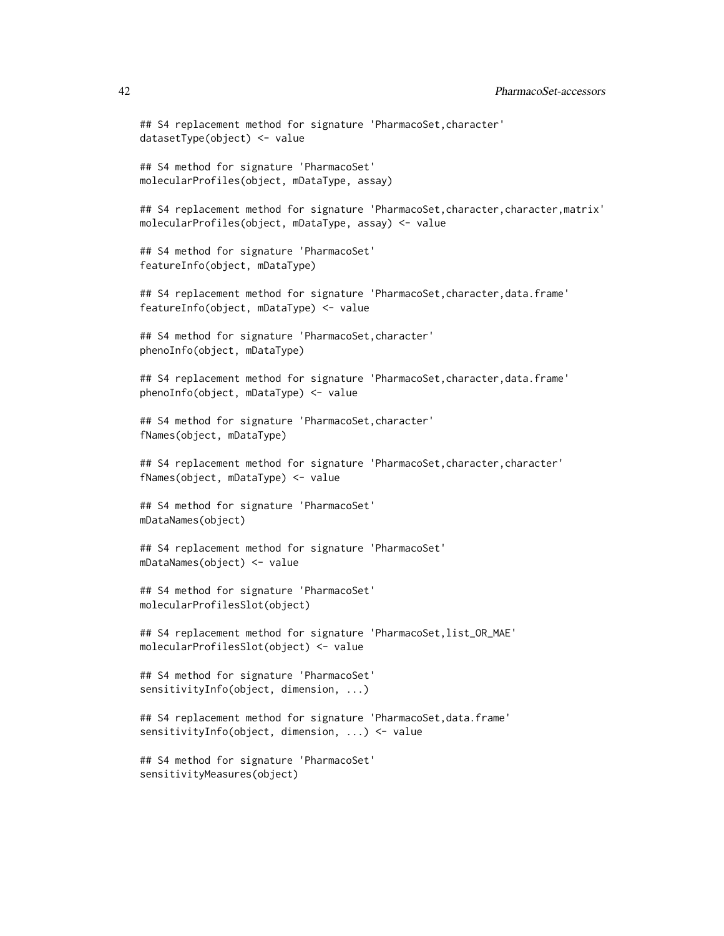```
## S4 replacement method for signature 'PharmacoSet,character'
datasetType(object) <- value
## S4 method for signature 'PharmacoSet'
molecularProfiles(object, mDataType, assay)
## S4 replacement method for signature 'PharmacoSet,character,character,matrix'
molecularProfiles(object, mDataType, assay) <- value
## S4 method for signature 'PharmacoSet'
featureInfo(object, mDataType)
## S4 replacement method for signature 'PharmacoSet,character,data.frame'
featureInfo(object, mDataType) <- value
## S4 method for signature 'PharmacoSet,character'
phenoInfo(object, mDataType)
## S4 replacement method for signature 'PharmacoSet, character, data.frame'
phenoInfo(object, mDataType) <- value
## S4 method for signature 'PharmacoSet,character'
fNames(object, mDataType)
## S4 replacement method for signature 'PharmacoSet, character, character'
fNames(object, mDataType) <- value
## S4 method for signature 'PharmacoSet'
mDataNames(object)
## S4 replacement method for signature 'PharmacoSet'
mDataNames(object) <- value
## S4 method for signature 'PharmacoSet'
molecularProfilesSlot(object)
## S4 replacement method for signature 'PharmacoSet,list_OR_MAE'
molecularProfilesSlot(object) <- value
## S4 method for signature 'PharmacoSet'
sensitivityInfo(object, dimension, ...)
## S4 replacement method for signature 'PharmacoSet,data.frame'
sensitivityInfo(object, dimension, ...) <- value
## S4 method for signature 'PharmacoSet'
```
sensitivityMeasures(object)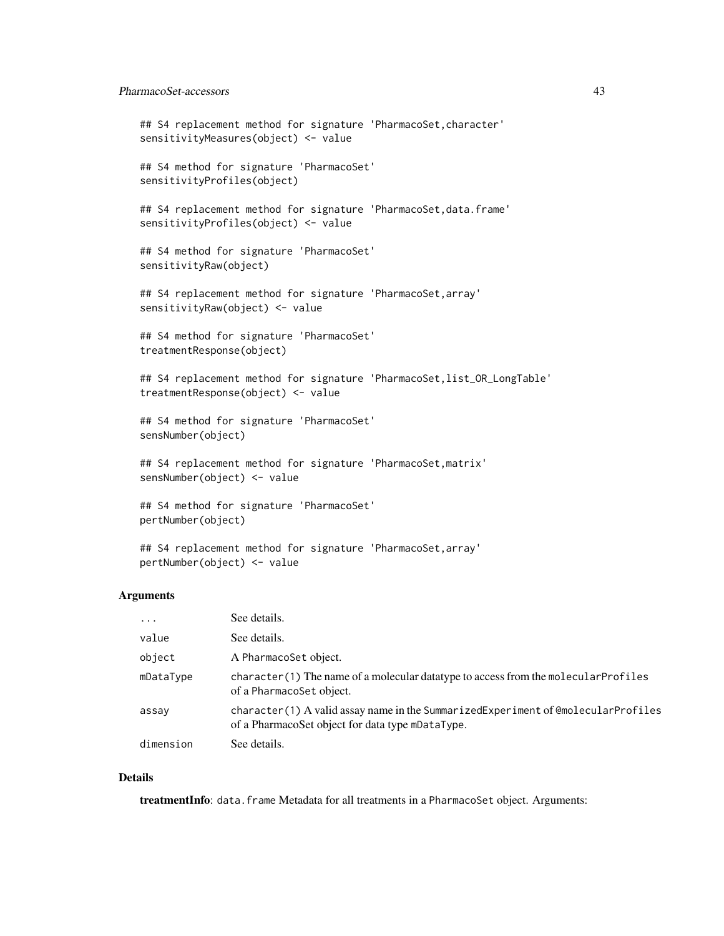#### PharmacoSet-accessors 43

```
## S4 replacement method for signature 'PharmacoSet, character'
sensitivityMeasures(object) <- value
## S4 method for signature 'PharmacoSet'
sensitivityProfiles(object)
## S4 replacement method for signature 'PharmacoSet, data.frame'
sensitivityProfiles(object) <- value
## S4 method for signature 'PharmacoSet'
sensitivityRaw(object)
## S4 replacement method for signature 'PharmacoSet,array'
sensitivityRaw(object) <- value
## S4 method for signature 'PharmacoSet'
treatmentResponse(object)
## S4 replacement method for signature 'PharmacoSet,list_OR_LongTable'
treatmentResponse(object) <- value
## S4 method for signature 'PharmacoSet'
sensNumber(object)
## S4 replacement method for signature 'PharmacoSet,matrix'
sensNumber(object) <- value
## S4 method for signature 'PharmacoSet'
pertNumber(object)
## S4 replacement method for signature 'PharmacoSet,array'
```
#### Arguments

pertNumber(object) <- value

| $\cdot$ $\cdot$ $\cdot$ | See details.                                                                                                                          |
|-------------------------|---------------------------------------------------------------------------------------------------------------------------------------|
| value                   | See details.                                                                                                                          |
| object                  | A PharmacoSet object.                                                                                                                 |
| mDataType               | character (1) The name of a molecular data type to access from the molecular Profiles<br>of a PharmacoSet object.                     |
| assay                   | character(1) A valid assay name in the SummarizedExperiment of @molecularProfiles<br>of a PharmacoSet object for data type mDataType. |
| dimension               | See details.                                                                                                                          |

### Details

treatmentInfo: data.frame Metadata for all treatments in a PharmacoSet object. Arguments: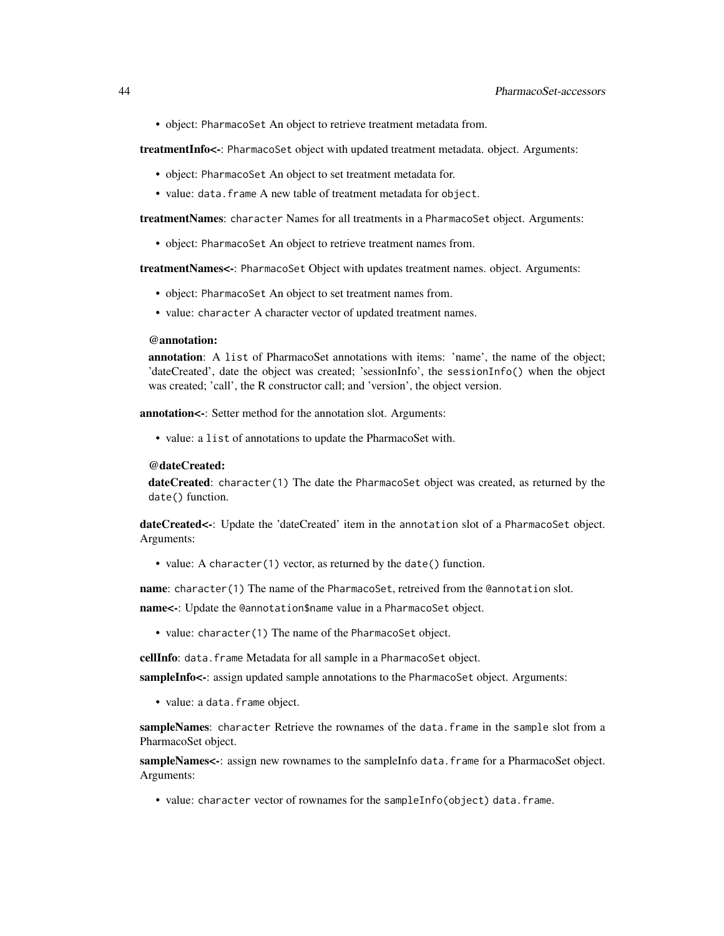• object: PharmacoSet An object to retrieve treatment metadata from.

treatmentInfo<-: PharmacoSet object with updated treatment metadata. object. Arguments:

- object: PharmacoSet An object to set treatment metadata for.
- value: data.frame A new table of treatment metadata for object.

treatmentNames: character Names for all treatments in a PharmacoSet object. Arguments:

• object: PharmacoSet An object to retrieve treatment names from.

treatmentNames<-: PharmacoSet Object with updates treatment names. object. Arguments:

- object: PharmacoSet An object to set treatment names from.
- value: character A character vector of updated treatment names.

#### @annotation:

annotation: A list of PharmacoSet annotations with items: 'name', the name of the object; 'dateCreated', date the object was created; 'sessionInfo', the sessionInfo() when the object was created; 'call', the R constructor call; and 'version', the object version.

annotation<-: Setter method for the annotation slot. Arguments:

• value: a list of annotations to update the PharmacoSet with.

#### @dateCreated:

dateCreated: character(1) The date the PharmacoSet object was created, as returned by the date() function.

dateCreated<-: Update the 'dateCreated' item in the annotation slot of a PharmacoSet object. Arguments:

• value: A character(1) vector, as returned by the date() function.

name: character(1) The name of the PharmacoSet, retreived from the @annotation slot.

name<-: Update the @annotation\$name value in a PharmacoSet object.

• value: character(1) The name of the PharmacoSet object.

cellInfo: data.frame Metadata for all sample in a PharmacoSet object.

sampleInfo<-: assign updated sample annotations to the PharmacoSet object. Arguments:

• value: a data.frame object.

sampleNames: character Retrieve the rownames of the data.frame in the sample slot from a PharmacoSet object.

sampleNames<-: assign new rownames to the sampleInfo data.frame for a PharmacoSet object. Arguments:

• value: character vector of rownames for the sampleInfo(object) data.frame.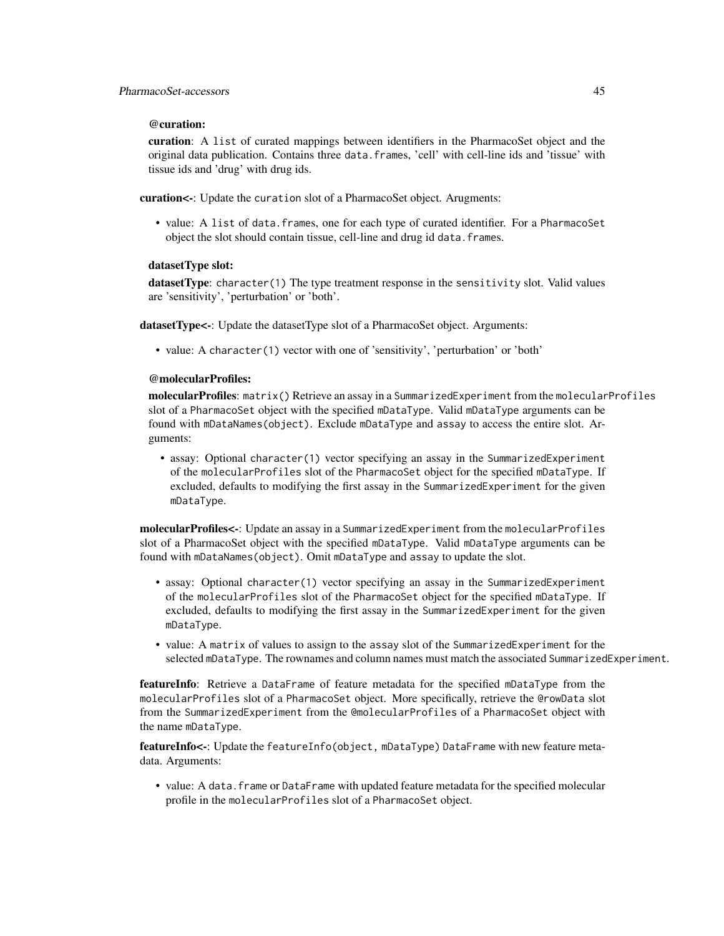### @curation:

curation: A list of curated mappings between identifiers in the PharmacoSet object and the original data publication. Contains three data.frames, 'cell' with cell-line ids and 'tissue' with tissue ids and 'drug' with drug ids.

curation<-: Update the curation slot of a PharmacoSet object. Arugments:

• value: A list of data.frames, one for each type of curated identifier. For a PharmacoSet object the slot should contain tissue, cell-line and drug id data.frames.

### datasetType slot:

datasetType: character(1) The type treatment response in the sensitivity slot. Valid values are 'sensitivity', 'perturbation' or 'both'.

datasetType<-: Update the datasetType slot of a PharmacoSet object. Arguments:

• value: A character(1) vector with one of 'sensitivity', 'perturbation' or 'both'

#### @molecularProfiles:

molecularProfiles: matrix() Retrieve an assay in a SummarizedExperiment from the molecularProfiles slot of a PharmacoSet object with the specified mDataType. Valid mDataType arguments can be found with mDataNames(object). Exclude mDataType and assay to access the entire slot. Arguments:

• assay: Optional character(1) vector specifying an assay in the SummarizedExperiment of the molecularProfiles slot of the PharmacoSet object for the specified mDataType. If excluded, defaults to modifying the first assay in the SummarizedExperiment for the given mDataType.

molecularProfiles<-: Update an assay in a SummarizedExperiment from the molecularProfiles slot of a PharmacoSet object with the specified mDataType. Valid mDataType arguments can be found with mDataNames(object). Omit mDataType and assay to update the slot.

- assay: Optional character(1) vector specifying an assay in the SummarizedExperiment of the molecularProfiles slot of the PharmacoSet object for the specified mDataType. If excluded, defaults to modifying the first assay in the SummarizedExperiment for the given mDataType.
- value: A matrix of values to assign to the assay slot of the SummarizedExperiment for the selected mDataType. The rownames and column names must match the associated SummarizedExperiment.

featureInfo: Retrieve a DataFrame of feature metadata for the specified mDataType from the molecularProfiles slot of a PharmacoSet object. More specifically, retrieve the @rowData slot from the SummarizedExperiment from the @molecularProfiles of a PharmacoSet object with the name mDataType.

featureInfo<-: Update the featureInfo(object, mDataType) DataFrame with new feature metadata. Arguments:

• value: A data.frame or DataFrame with updated feature metadata for the specified molecular profile in the molecularProfiles slot of a PharmacoSet object.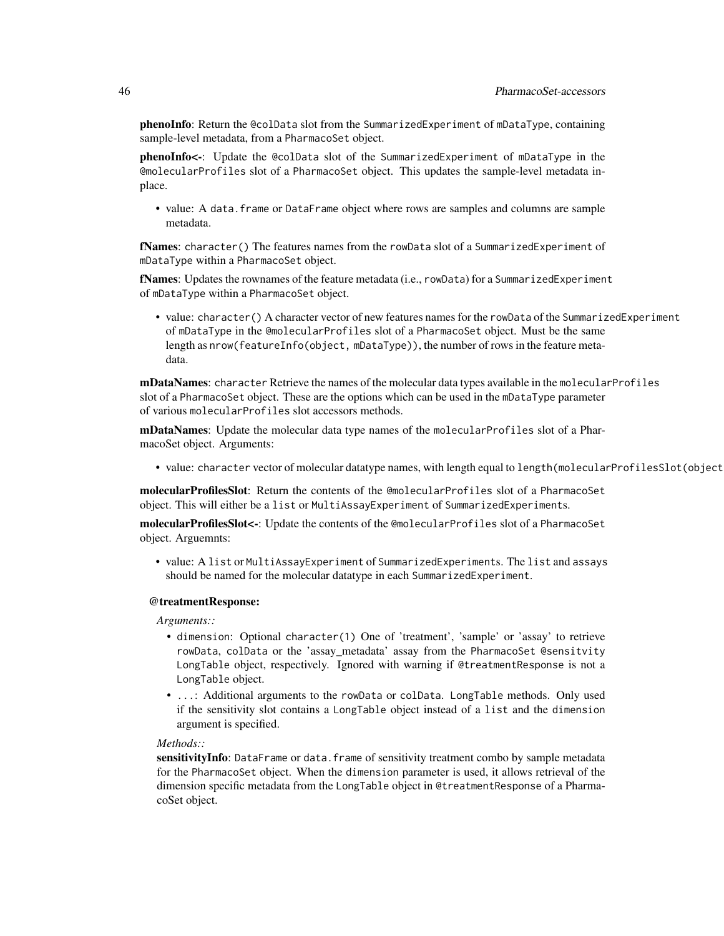phenoInfo: Return the @colData slot from the SummarizedExperiment of mDataType, containing sample-level metadata, from a PharmacoSet object.

phenoInfo<-: Update the @colData slot of the SummarizedExperiment of mDataType in the @molecularProfiles slot of a PharmacoSet object. This updates the sample-level metadata inplace.

• value: A data.frame or DataFrame object where rows are samples and columns are sample metadata.

fNames: character() The features names from the rowData slot of a SummarizedExperiment of mDataType within a PharmacoSet object.

fNames: Updates the rownames of the feature metadata (i.e., rowData) for a SummarizedExperiment of mDataType within a PharmacoSet object.

• value: character() A character vector of new features names for the rowData of the SummarizedExperiment of mDataType in the @molecularProfiles slot of a PharmacoSet object. Must be the same length as nrow(featureInfo(object, mDataType)), the number of rows in the feature metadata.

mDataNames: character Retrieve the names of the molecular data types available in the molecular Profiles slot of a PharmacoSet object. These are the options which can be used in the mDataType parameter of various molecularProfiles slot accessors methods.

mDataNames: Update the molecular data type names of the molecularProfiles slot of a PharmacoSet object. Arguments:

• value: character vector of molecular datatype names, with length equal to length(molecularProfilesSlot(object

molecularProfilesSlot: Return the contents of the @molecularProfiles slot of a PharmacoSet object. This will either be a list or MultiAssayExperiment of SummarizedExperiments.

molecularProfilesSlot<-: Update the contents of the @molecularProfiles slot of a PharmacoSet object. Arguemnts:

• value: A list or MultiAssayExperiment of SummarizedExperiments. The list and assays should be named for the molecular datatype in each SummarizedExperiment.

#### @treatmentResponse:

*Arguments::*

- dimension: Optional character(1) One of 'treatment', 'sample' or 'assay' to retrieve rowData, colData or the 'assay\_metadata' assay from the PharmacoSet @sensitvity LongTable object, respectively. Ignored with warning if @treatmentResponse is not a LongTable object.
- ...: Additional arguments to the rowData or colData. LongTable methods. Only used if the sensitivity slot contains a LongTable object instead of a list and the dimension argument is specified.

#### *Methods::*

sensitivityInfo: DataFrame or data.frame of sensitivity treatment combo by sample metadata for the PharmacoSet object. When the dimension parameter is used, it allows retrieval of the dimension specific metadata from the LongTable object in @treatmentResponse of a PharmacoSet object.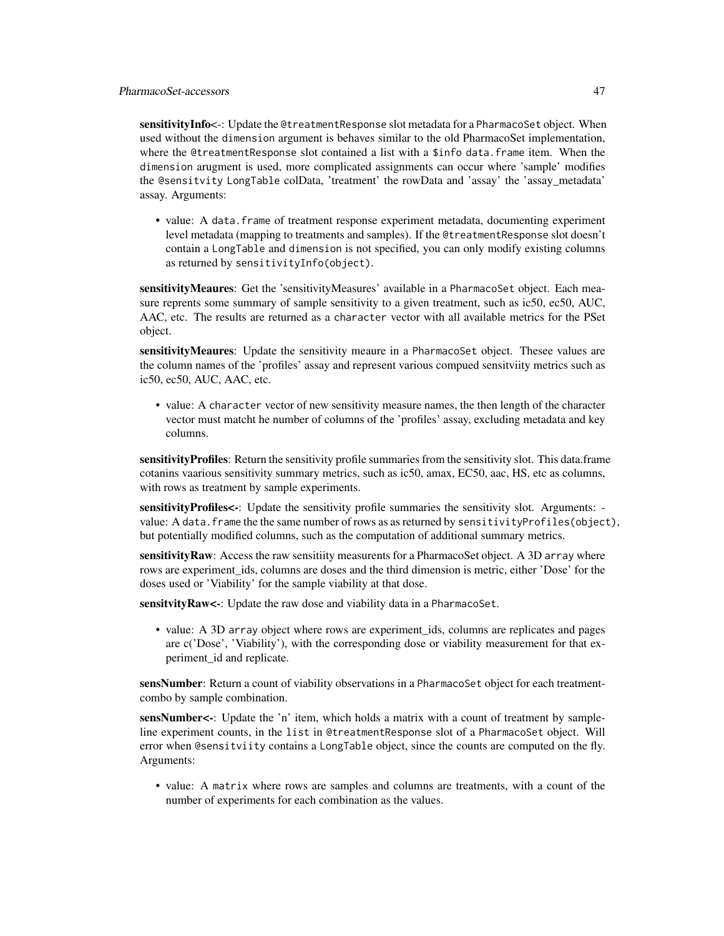sensitivityInfo<-: Update the @treatmentResponse slot metadata for a PharmacoSet object. When used without the dimension argument is behaves similar to the old PharmacoSet implementation, where the @treatmentResponse slot contained a list with a \$info data.frame item. When the dimension arugment is used, more complicated assignments can occur where 'sample' modifies the @sensitvity LongTable colData, 'treatment' the rowData and 'assay' the 'assay\_metadata' assay. Arguments:

• value: A data.frame of treatment response experiment metadata, documenting experiment level metadata (mapping to treatments and samples). If the @treatmentResponse slot doesn't contain a LongTable and dimension is not specified, you can only modify existing columns as returned by sensitivityInfo(object).

sensitivityMeaures: Get the 'sensitivityMeasures' available in a PharmacoSet object. Each measure reprents some summary of sample sensitivity to a given treatment, such as ic50, ec50, AUC, AAC, etc. The results are returned as a character vector with all available metrics for the PSet object.

sensitivityMeaures: Update the sensitivity meaure in a PharmacoSet object. Thesee values are the column names of the 'profiles' assay and represent various compued sensitviity metrics such as ic50, ec50, AUC, AAC, etc.

• value: A character vector of new sensitivity measure names, the then length of the character vector must matcht he number of columns of the 'profiles' assay, excluding metadata and key columns.

sensitivity Profiles: Return the sensitivity profile summaries from the sensitivity slot. This data.frame cotanins vaarious sensitivity summary metrics, such as ic50, amax, EC50, aac, HS, etc as columns, with rows as treatment by sample experiments.

sensitivityProfiles<-: Update the sensitivity profile summaries the sensitivity slot. Arguments: value: A data.frame the the same number of rows as as returned by sensitivityProfiles(object), but potentially modified columns, such as the computation of additional summary metrics.

sensitivityRaw: Access the raw sensitiity measurents for a PharmacoSet object. A 3D array where rows are experiment\_ids, columns are doses and the third dimension is metric, either 'Dose' for the doses used or 'Viability' for the sample viability at that dose.

sensitvity Raw<-: Update the raw dose and viability data in a PharmacoSet.

• value: A 3D array object where rows are experiment ids, columns are replicates and pages are c('Dose', 'Viability'), with the corresponding dose or viability measurement for that experiment\_id and replicate.

sensNumber: Return a count of viability observations in a PharmacoSet object for each treatmentcombo by sample combination.

sensNumber<-: Update the 'n' item, which holds a matrix with a count of treatment by sampleline experiment counts, in the list in @treatmentResponse slot of a PharmacoSet object. Will error when @sensitviity contains a LongTable object, since the counts are computed on the fly. Arguments:

• value: A matrix where rows are samples and columns are treatments, with a count of the number of experiments for each combination as the values.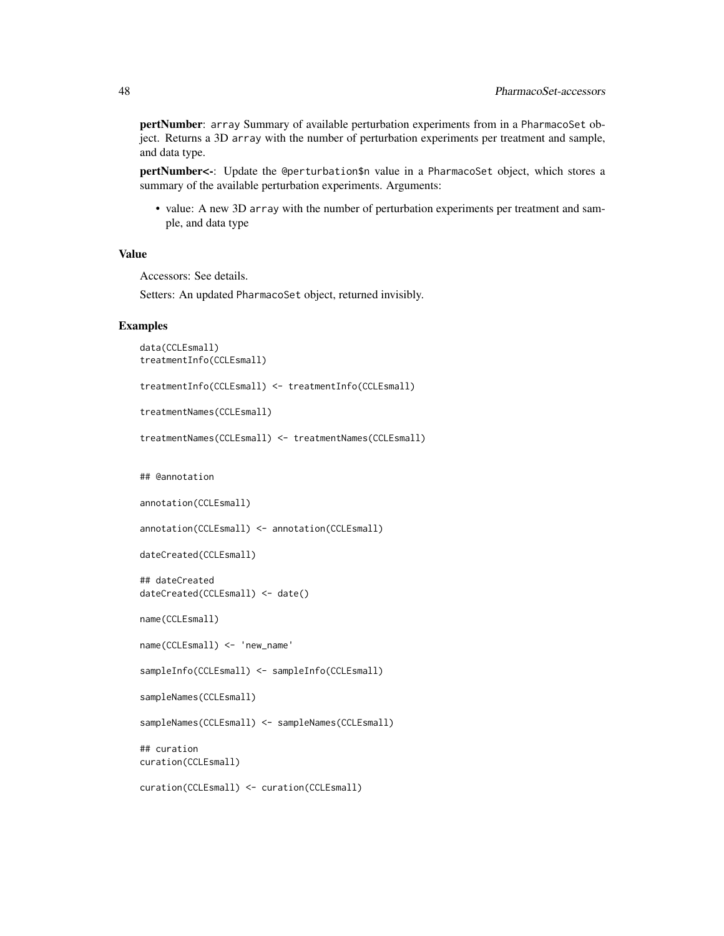pertNumber: array Summary of available perturbation experiments from in a PharmacoSet object. Returns a 3D array with the number of perturbation experiments per treatment and sample, and data type.

pertNumber<-: Update the @perturbation\$n value in a PharmacoSet object, which stores a summary of the available perturbation experiments. Arguments:

• value: A new 3D array with the number of perturbation experiments per treatment and sample, and data type

#### Value

Accessors: See details.

Setters: An updated PharmacoSet object, returned invisibly.

#### Examples

```
data(CCLEsmall)
treatmentInfo(CCLEsmall)
treatmentInfo(CCLEsmall) <- treatmentInfo(CCLEsmall)
treatmentNames(CCLEsmall)
treatmentNames(CCLEsmall) <- treatmentNames(CCLEsmall)
## @annotation
annotation(CCLEsmall)
annotation(CCLEsmall) <- annotation(CCLEsmall)
dateCreated(CCLEsmall)
## dateCreated
dateCreated(CCLEsmall) <- date()
name(CCLEsmall)
name(CCLEsmall) <- 'new_name'
sampleInfo(CCLEsmall) <- sampleInfo(CCLEsmall)
sampleNames(CCLEsmall)
sampleNames(CCLEsmall) <- sampleNames(CCLEsmall)
## curation
curation(CCLEsmall)
curation(CCLEsmall) <- curation(CCLEsmall)
```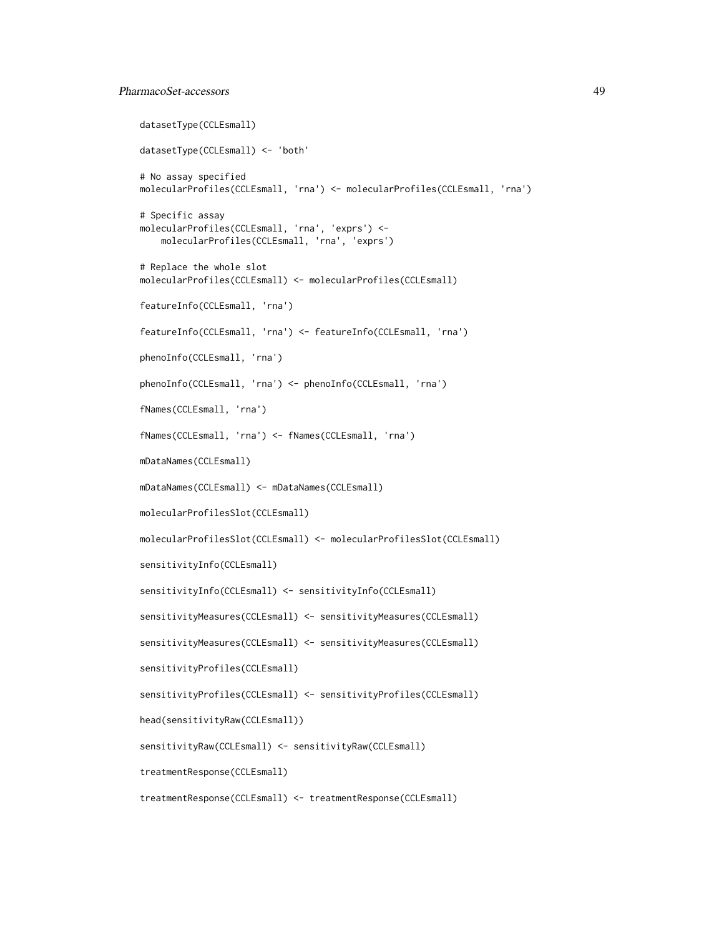### PharmacoSet-accessors 49

```
datasetType(CCLEsmall)
datasetType(CCLEsmall) <- 'both'
# No assay specified
molecularProfiles(CCLEsmall, 'rna') <- molecularProfiles(CCLEsmall, 'rna')
# Specific assay
molecularProfiles(CCLEsmall, 'rna', 'exprs') <-
   molecularProfiles(CCLEsmall, 'rna', 'exprs')
# Replace the whole slot
molecularProfiles(CCLEsmall) <- molecularProfiles(CCLEsmall)
featureInfo(CCLEsmall, 'rna')
featureInfo(CCLEsmall, 'rna') <- featureInfo(CCLEsmall, 'rna')
phenoInfo(CCLEsmall, 'rna')
phenoInfo(CCLEsmall, 'rna') <- phenoInfo(CCLEsmall, 'rna')
fNames(CCLEsmall, 'rna')
fNames(CCLEsmall, 'rna') <- fNames(CCLEsmall, 'rna')
mDataNames(CCLEsmall)
mDataNames(CCLEsmall) <- mDataNames(CCLEsmall)
molecularProfilesSlot(CCLEsmall)
molecularProfilesSlot(CCLEsmall) <- molecularProfilesSlot(CCLEsmall)
sensitivityInfo(CCLEsmall)
sensitivityInfo(CCLEsmall) <- sensitivityInfo(CCLEsmall)
sensitivityMeasures(CCLEsmall) <- sensitivityMeasures(CCLEsmall)
sensitivityMeasures(CCLEsmall) <- sensitivityMeasures(CCLEsmall)
sensitivityProfiles(CCLEsmall)
sensitivityProfiles(CCLEsmall) <- sensitivityProfiles(CCLEsmall)
head(sensitivityRaw(CCLEsmall))
sensitivityRaw(CCLEsmall) <- sensitivityRaw(CCLEsmall)
treatmentResponse(CCLEsmall)
treatmentResponse(CCLEsmall) <- treatmentResponse(CCLEsmall)
```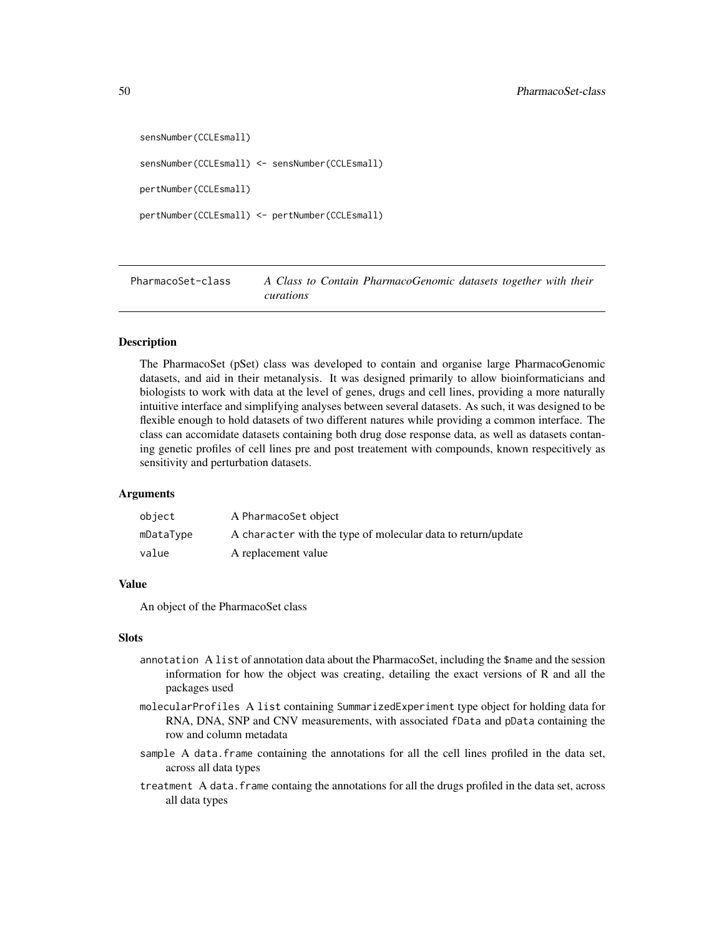```
sensNumber(CCLEsmall)
sensNumber(CCLEsmall) <- sensNumber(CCLEsmall)
pertNumber(CCLEsmall)
pertNumber(CCLEsmall) <- pertNumber(CCLEsmall)
```
PharmacoSet-class *A Class to Contain PharmacoGenomic datasets together with their curations*

#### Description

The PharmacoSet (pSet) class was developed to contain and organise large PharmacoGenomic datasets, and aid in their metanalysis. It was designed primarily to allow bioinformaticians and biologists to work with data at the level of genes, drugs and cell lines, providing a more naturally intuitive interface and simplifying analyses between several datasets. As such, it was designed to be flexible enough to hold datasets of two different natures while providing a common interface. The class can accomidate datasets containing both drug dose response data, as well as datasets contaning genetic profiles of cell lines pre and post treatement with compounds, known respecitively as sensitivity and perturbation datasets.

#### Arguments

| object    | A PharmacoSet object                                         |
|-----------|--------------------------------------------------------------|
| mDataType | A character with the type of molecular data to return/update |
| value     | A replacement value                                          |

### Value

An object of the PharmacoSet class

#### Slots

- annotation A list of annotation data about the PharmacoSet, including the \$name and the session information for how the object was creating, detailing the exact versions of R and all the packages used
- molecularProfiles A list containing SummarizedExperiment type object for holding data for RNA, DNA, SNP and CNV measurements, with associated fData and pData containing the row and column metadata
- sample A data. frame containing the annotations for all the cell lines profiled in the data set, across all data types
- treatment A data.frame containg the annotations for all the drugs profiled in the data set, across all data types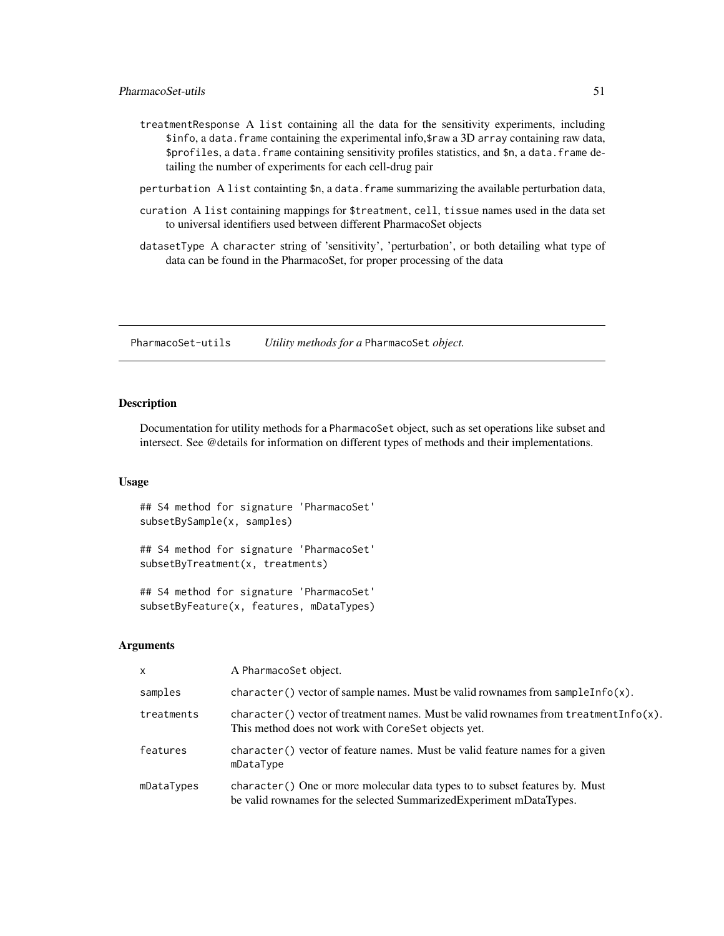- <span id="page-50-0"></span>treatmentResponse A list containing all the data for the sensitivity experiments, including \$info, a data.frame containing the experimental info,\$raw a 3D array containing raw data, \$profiles, a data.frame containing sensitivity profiles statistics, and \$n, a data.frame detailing the number of experiments for each cell-drug pair
- perturbation A list containting \$n, a data.frame summarizing the available perturbation data,
- curation A list containing mappings for \$treatment, cell, tissue names used in the data set to universal identifiers used between different PharmacoSet objects
- datasetType A character string of 'sensitivity', 'perturbation', or both detailing what type of data can be found in the PharmacoSet, for proper processing of the data

PharmacoSet-utils *Utility methods for a* PharmacoSet *object.*

### Description

Documentation for utility methods for a PharmacoSet object, such as set operations like subset and intersect. See @details for information on different types of methods and their implementations.

### Usage

## S4 method for signature 'PharmacoSet' subsetBySample(x, samples)

## S4 method for signature 'PharmacoSet' subsetByTreatment(x, treatments)

## S4 method for signature 'PharmacoSet' subsetByFeature(x, features, mDataTypes)

| $\mathsf{x}$ | A PharmacoSet object.                                                                                                                                |
|--------------|------------------------------------------------------------------------------------------------------------------------------------------------------|
| samples      | character () vector of sample names. Must be valid rownames from sample Info(x).                                                                     |
| treatments   | character() vector of treatment names. Must be valid rownames from treatment Info(x).<br>This method does not work with CoreSet objects yet.         |
| features     | character () vector of feature names. Must be valid feature names for a given<br>mDataType                                                           |
| mDataTypes   | character () One or more molecular data types to to subset features by. Must<br>be valid rownames for the selected Summarized Experiment mDataTypes. |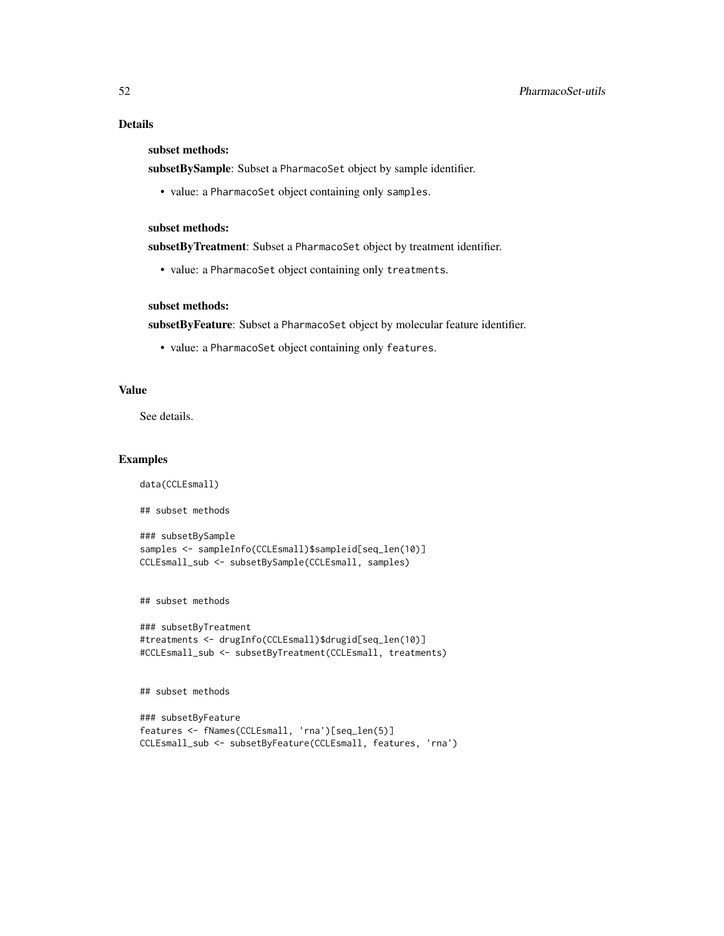### Details

### subset methods:

subsetBySample: Subset a PharmacoSet object by sample identifier.

• value: a PharmacoSet object containing only samples.

### subset methods:

subsetByTreatment: Subset a PharmacoSet object by treatment identifier.

• value: a PharmacoSet object containing only treatments.

### subset methods:

subsetByFeature: Subset a PharmacoSet object by molecular feature identifier.

• value: a PharmacoSet object containing only features.

#### Value

See details.

#### Examples

```
data(CCLEsmall)
```
## subset methods

```
### subsetBySample
samples <- sampleInfo(CCLEsmall)$sampleid[seq_len(10)]
CCLEsmall_sub <- subsetBySample(CCLEsmall, samples)
```
## subset methods

```
### subsetByTreatment
#treatments <- drugInfo(CCLEsmall)$drugid[seq_len(10)]
#CCLEsmall_sub <- subsetByTreatment(CCLEsmall, treatments)
```
## subset methods

```
### subsetByFeature
features <- fNames(CCLEsmall, 'rna')[seq_len(5)]
CCLEsmall_sub <- subsetByFeature(CCLEsmall, features, 'rna')
```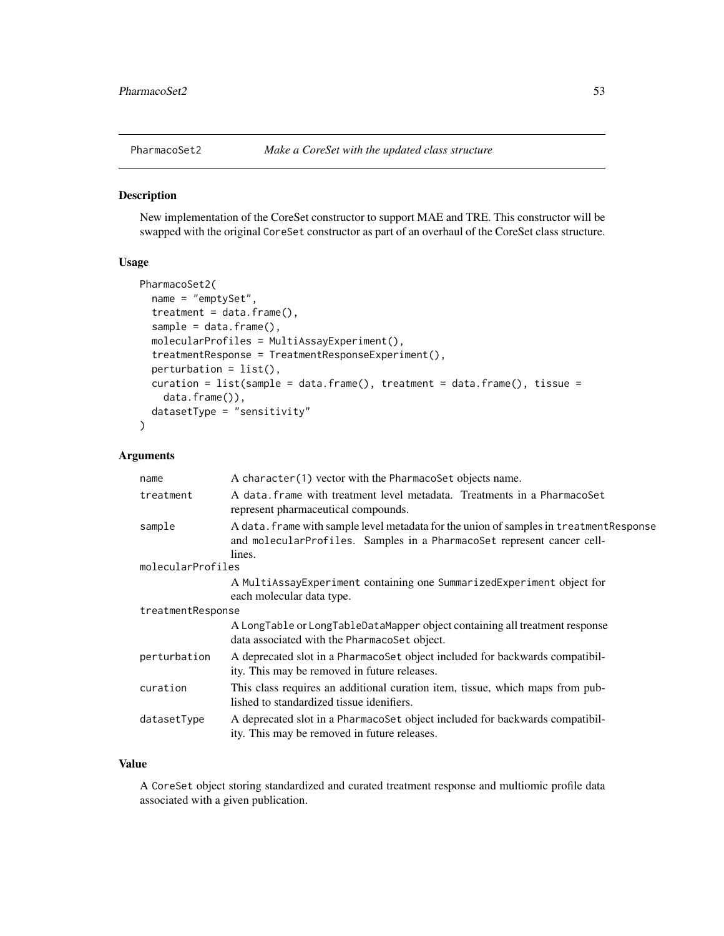<span id="page-52-0"></span>

### Description

New implementation of the CoreSet constructor to support MAE and TRE. This constructor will be swapped with the original CoreSet constructor as part of an overhaul of the CoreSet class structure.

#### Usage

```
PharmacoSet2(
  name = "emptySet",
  treatment = data.frame(),sample = data frame(),molecularProfiles = MultiAssayExperiment(),
  treatmentResponse = TreatmentResponseExperiment(),
  perturbation = list(),
  curation = list(sample = data.frame(), treatment = data.frame(), tissue =
    data.frame()),
  datasetType = "sensitivity"
)
```
### Arguments

| A data. frame with treatment level metadata. Treatments in a PharmacoSet<br>treatment<br>represent pharmaceutical compounds.                                                          |  |  |
|---------------------------------------------------------------------------------------------------------------------------------------------------------------------------------------|--|--|
|                                                                                                                                                                                       |  |  |
| A data. frame with sample level metadata for the union of samples in treatment Response<br>sample<br>and molecularProfiles. Samples in a PharmacoSet represent cancer cell-<br>lines. |  |  |
| molecularProfiles                                                                                                                                                                     |  |  |
| A MultiAssayExperiment containing one SummarizedExperiment object for<br>each molecular data type.                                                                                    |  |  |
| treatmentResponse                                                                                                                                                                     |  |  |
| A LongTable or LongTableDataMapper object containing all treatment response<br>data associated with the PharmacoSet object.                                                           |  |  |
| A deprecated slot in a PharmacoSet object included for backwards compatibil-<br>perturbation<br>ity. This may be removed in future releases.                                          |  |  |
| This class requires an additional curation item, tissue, which maps from pub-<br>curation<br>lished to standardized tissue idenifiers.                                                |  |  |
| A deprecated slot in a PharmacoSet object included for backwards compatibil-<br>datasetType<br>ity. This may be removed in future releases.                                           |  |  |

### Value

A CoreSet object storing standardized and curated treatment response and multiomic profile data associated with a given publication.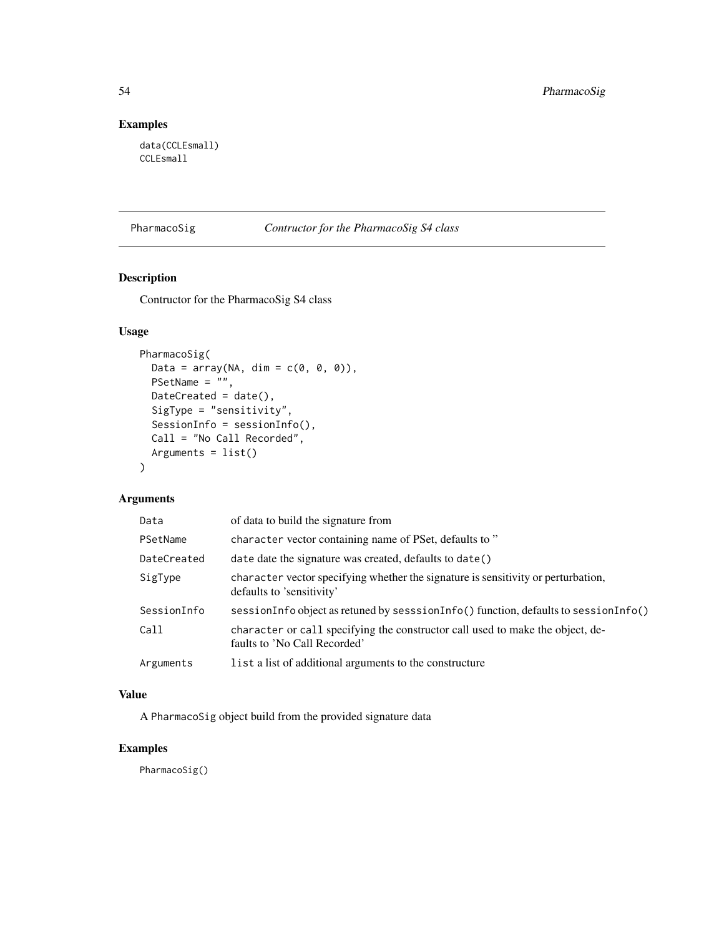### Examples

data(CCLEsmall) CCLEsmall

| PharmacoSig | Contructor for the PharmacoSig S4 class |  |
|-------------|-----------------------------------------|--|
|             |                                         |  |

### Description

Contructor for the PharmacoSig S4 class

### Usage

```
PharmacoSig(
  Data = array(NA, dim = c(\emptyset, \emptyset, \emptyset)),
  PSetName = ",
  DateCreated = date(),
  SigType = "sensitivity",
  SessionInfo = sessionInfo(),
  Call = "No Call Recorded",
  Arguments = list()
\mathcal{L}
```
#### Arguments

| Data        | of data to build the signature from                                                                            |
|-------------|----------------------------------------------------------------------------------------------------------------|
| PSetName    | character vector containing name of PSet, defaults to"                                                         |
| DateCreated | date date the signature was created, defaults to date()                                                        |
| SigType     | character vector specifying whether the signature is sensitivity or perturbation,<br>defaults to 'sensitivity' |
| SessionInfo | sessionInfo object as retuned by sesssionInfo() function, defaults to sessionInfo()                            |
| Call        | character or call specifying the constructor call used to make the object, de-<br>faults to 'No Call Recorded' |
| Arguments   | list a list of additional arguments to the constructure                                                        |

### Value

A PharmacoSig object build from the provided signature data

### Examples

PharmacoSig()

<span id="page-53-0"></span>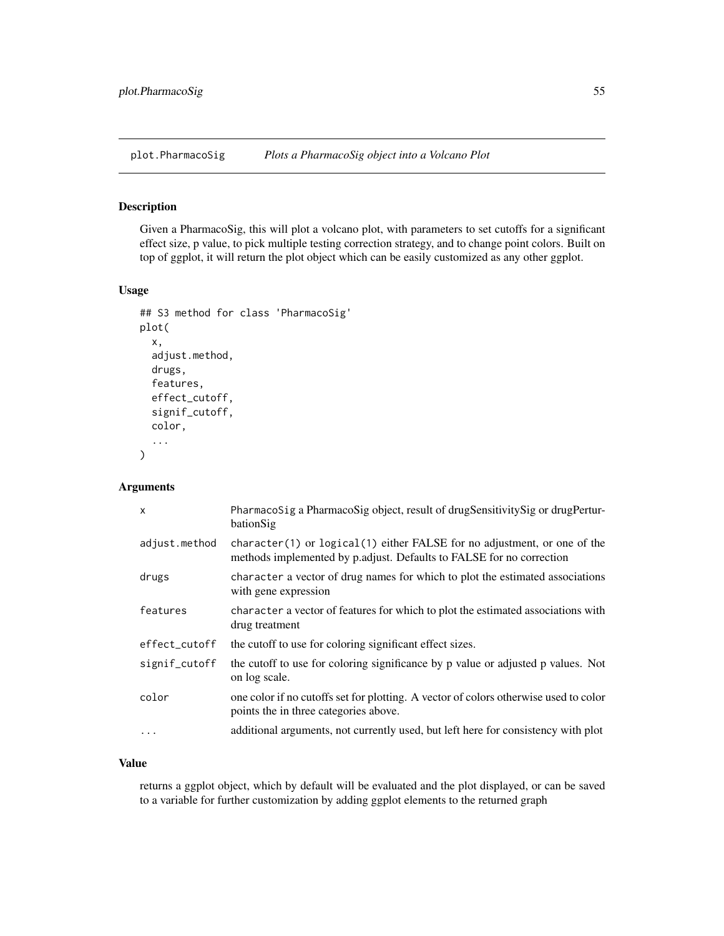<span id="page-54-0"></span>

#### Description

Given a PharmacoSig, this will plot a volcano plot, with parameters to set cutoffs for a significant effect size, p value, to pick multiple testing correction strategy, and to change point colors. Built on top of ggplot, it will return the plot object which can be easily customized as any other ggplot.

#### Usage

```
## S3 method for class 'PharmacoSig'
plot(
  x,
  adjust.method,
  drugs,
  features,
  effect_cutoff,
  signif_cutoff,
  color,
  ...
\mathcal{E}
```
### Arguments

| $\mathsf{x}$  | PharmacoSig a PharmacoSig object, result of drugSensitivitySig or drugPertur-<br>bationSig                                                         |
|---------------|----------------------------------------------------------------------------------------------------------------------------------------------------|
| adjust.method | character(1) or $logical(1)$ either FALSE for no adjustment, or one of the<br>methods implemented by p.adjust. Defaults to FALSE for no correction |
| drugs         | character a vector of drug names for which to plot the estimated associations<br>with gene expression                                              |
| features      | character a vector of features for which to plot the estimated associations with<br>drug treatment                                                 |
| effect_cutoff | the cutoff to use for coloring significant effect sizes.                                                                                           |
| signif_cutoff | the cutoff to use for coloring significance by p value or adjusted p values. Not<br>on log scale.                                                  |
| color         | one color if no cutoffs set for plotting. A vector of colors otherwise used to color<br>points the in three categories above.                      |
| $\cdots$      | additional arguments, not currently used, but left here for consistency with plot                                                                  |

#### Value

returns a ggplot object, which by default will be evaluated and the plot displayed, or can be saved to a variable for further customization by adding ggplot elements to the returned graph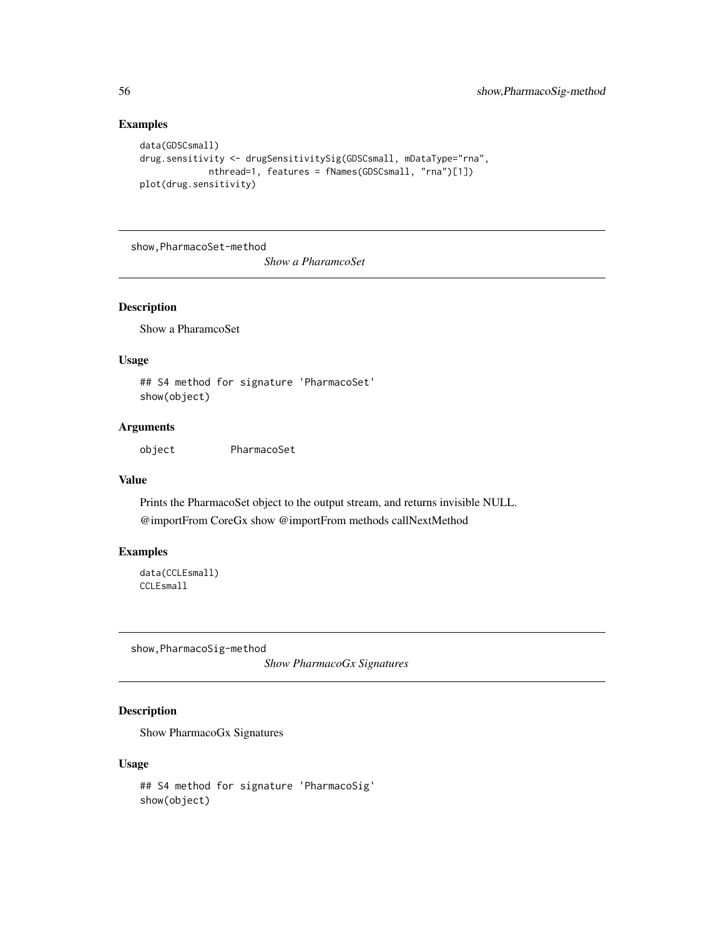### Examples

```
data(GDSCsmall)
drug.sensitivity <- drugSensitivitySig(GDSCsmall, mDataType="rna",
            nthread=1, features = fNames(GDSCsmall, "rna")[1])
plot(drug.sensitivity)
```
show,PharmacoSet-method

*Show a PharamcoSet*

### Description

Show a PharamcoSet

### Usage

## S4 method for signature 'PharmacoSet' show(object)

#### Arguments

object PharmacoSet

#### Value

Prints the PharmacoSet object to the output stream, and returns invisible NULL. @importFrom CoreGx show @importFrom methods callNextMethod

### Examples

data(CCLEsmall) CCLEsmall

show,PharmacoSig-method

*Show PharmacoGx Signatures*

### Description

Show PharmacoGx Signatures

```
## S4 method for signature 'PharmacoSig'
show(object)
```
<span id="page-55-0"></span>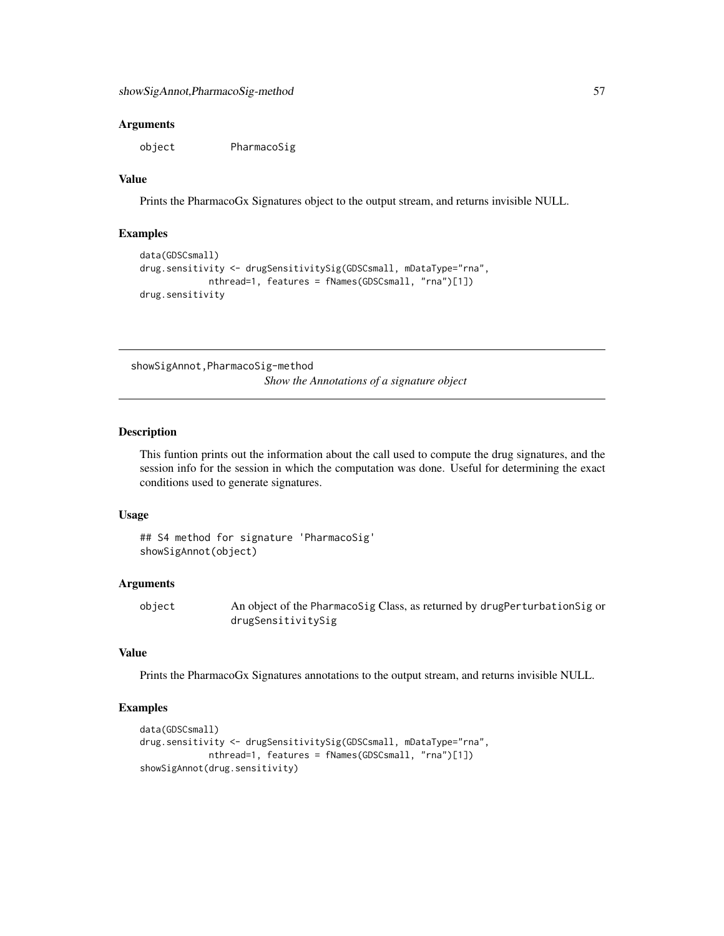<span id="page-56-0"></span>object PharmacoSig

### Value

Prints the PharmacoGx Signatures object to the output stream, and returns invisible NULL.

#### Examples

```
data(GDSCsmall)
drug.sensitivity <- drugSensitivitySig(GDSCsmall, mDataType="rna",
             nthread=1, features = fNames(GDSCsmall, "rna")[1])
drug.sensitivity
```
showSigAnnot,PharmacoSig-method

*Show the Annotations of a signature object*

#### Description

This funtion prints out the information about the call used to compute the drug signatures, and the session info for the session in which the computation was done. Useful for determining the exact conditions used to generate signatures.

#### Usage

## S4 method for signature 'PharmacoSig' showSigAnnot(object)

#### Arguments

object An object of the PharmacoSig Class, as returned by drugPerturbationSig or drugSensitivitySig

### Value

Prints the PharmacoGx Signatures annotations to the output stream, and returns invisible NULL.

### Examples

```
data(GDSCsmall)
drug.sensitivity <- drugSensitivitySig(GDSCsmall, mDataType="rna",
            nthread=1, features = fNames(GDSCsmall, "rna")[1])
showSigAnnot(drug.sensitivity)
```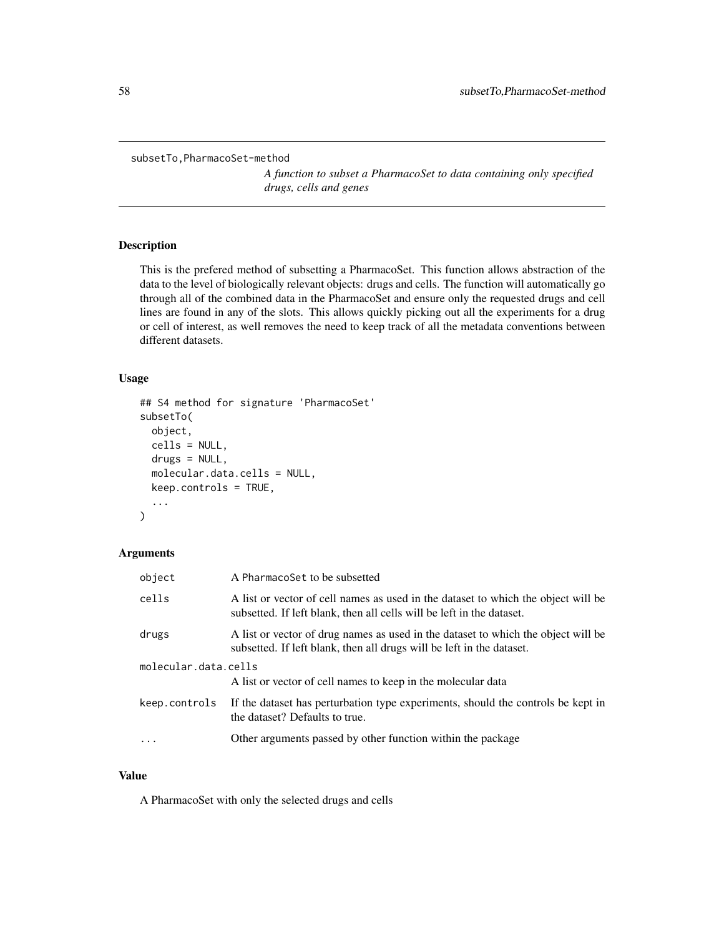```
subsetTo,PharmacoSet-method
```
*A function to subset a PharmacoSet to data containing only specified drugs, cells and genes*

### Description

This is the prefered method of subsetting a PharmacoSet. This function allows abstraction of the data to the level of biologically relevant objects: drugs and cells. The function will automatically go through all of the combined data in the PharmacoSet and ensure only the requested drugs and cell lines are found in any of the slots. This allows quickly picking out all the experiments for a drug or cell of interest, as well removes the need to keep track of all the metadata conventions between different datasets.

### Usage

```
## S4 method for signature 'PharmacoSet'
subsetTo(
  object,
  cells = NULL,
  drugs = NULL,
  molecular.data.cells = NULL,
  keep.controls = TRUE,
  ...
\mathcal{L}
```
### Arguments

| object               | A PharmacoSet to be subsetted                                                                                                                              |  |
|----------------------|------------------------------------------------------------------------------------------------------------------------------------------------------------|--|
| cells                | A list or vector of cell names as used in the dataset to which the object will be<br>subsetted. If left blank, then all cells will be left in the dataset. |  |
| drugs                | A list or vector of drug names as used in the dataset to which the object will be<br>subsetted. If left blank, then all drugs will be left in the dataset. |  |
| molecular.data.cells |                                                                                                                                                            |  |
|                      | A list or vector of cell names to keep in the molecular data                                                                                               |  |
| keep.controls        | If the dataset has perturbation type experiments, should the controls be kept in<br>the dataset? Defaults to true.                                         |  |
| .                    | Other arguments passed by other function within the package                                                                                                |  |

#### Value

A PharmacoSet with only the selected drugs and cells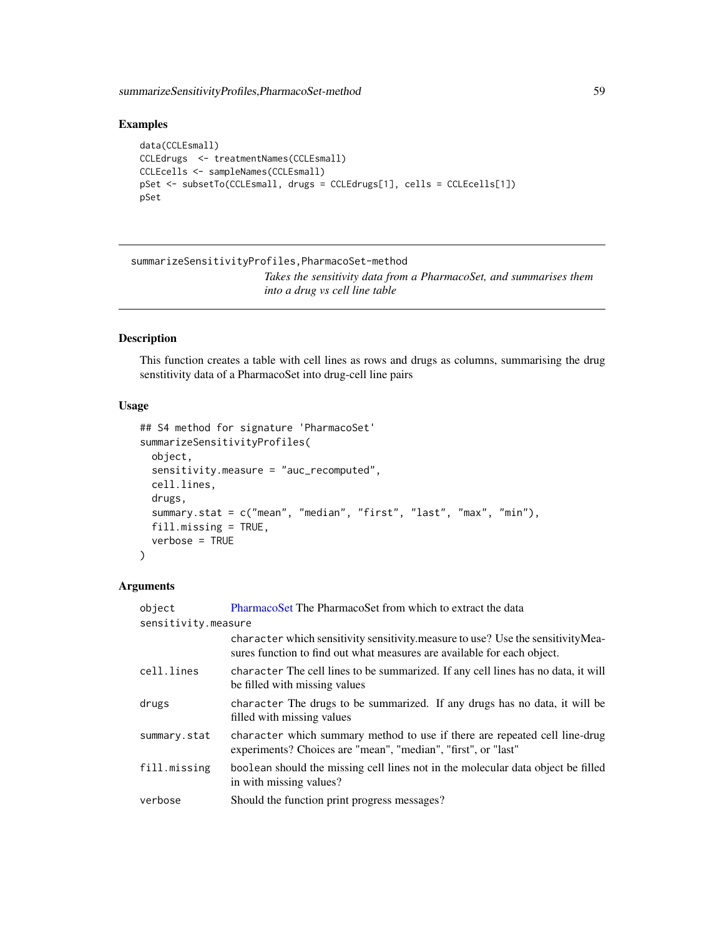<span id="page-58-0"></span>summarizeSensitivityProfiles,PharmacoSet-method 59

### Examples

```
data(CCLEsmall)
CCLEdrugs <- treatmentNames(CCLEsmall)
CCLEcells <- sampleNames(CCLEsmall)
pSet <- subsetTo(CCLEsmall, drugs = CCLEdrugs[1], cells = CCLEcells[1])
pSet
```

```
summarizeSensitivityProfiles,PharmacoSet-method
                         Takes the sensitivity data from a PharmacoSet, and summarises them
                         into a drug vs cell line table
```
### Description

This function creates a table with cell lines as rows and drugs as columns, summarising the drug senstitivity data of a PharmacoSet into drug-cell line pairs

#### Usage

```
## S4 method for signature 'PharmacoSet'
summarizeSensitivityProfiles(
 object,
  sensitivity.measure = "auc_recomputed",
  cell.lines,
  drugs,
  summary.stat = c("mean", "median", "first", "last", "max", "min"),
 fill.missing = TRUE,
  verbose = TRUE
)
```

| object              | PharmacoSet The PharmacoSet from which to extract the data                                                                                                  |
|---------------------|-------------------------------------------------------------------------------------------------------------------------------------------------------------|
| sensitivity.measure |                                                                                                                                                             |
|                     | character which sensitivity sensitivity measure to use? Use the sensitivity Mea-<br>sures function to find out what measures are available for each object. |
| cell.lines          | character The cell lines to be summarized. If any cell lines has no data, it will<br>be filled with missing values                                          |
| drugs               | character The drugs to be summarized. If any drugs has no data, it will be<br>filled with missing values                                                    |
| summary.stat        | character which summary method to use if there are repeated cell line-drug<br>experiments? Choices are "mean", "median", "first", or "last"                 |
| fill.missing        | boolean should the missing cell lines not in the molecular data object be filled<br>in with missing values?                                                 |
| verbose             | Should the function print progress messages?                                                                                                                |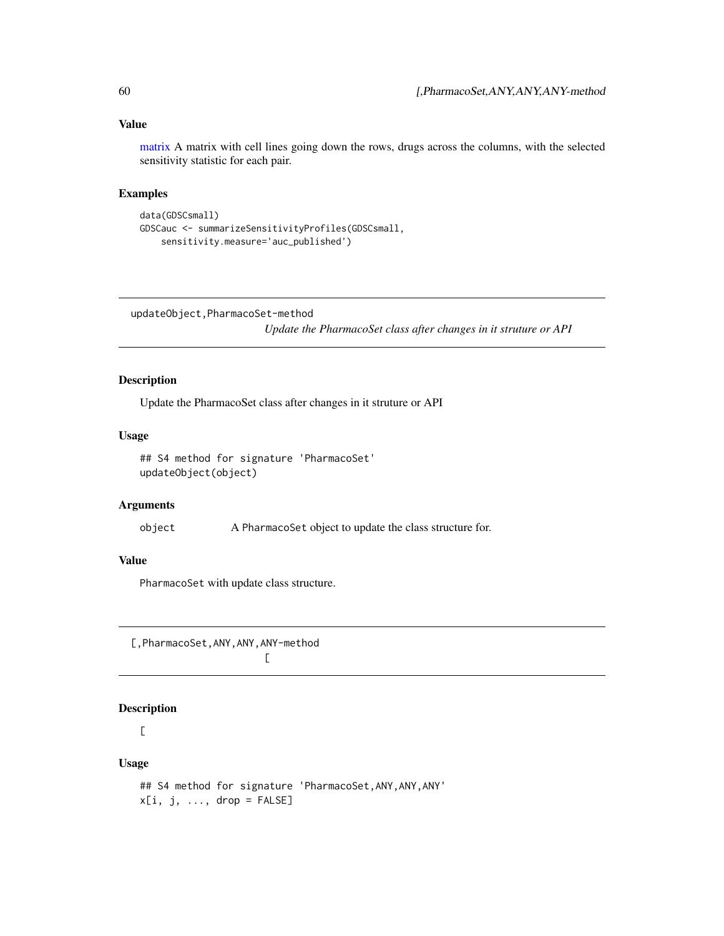### <span id="page-59-0"></span>Value

[matrix](#page-0-0) A matrix with cell lines going down the rows, drugs across the columns, with the selected sensitivity statistic for each pair.

### Examples

```
data(GDSCsmall)
GDSCauc <- summarizeSensitivityProfiles(GDSCsmall,
    sensitivity.measure='auc_published')
```
updateObject,PharmacoSet-method

*Update the PharmacoSet class after changes in it struture or API*

### Description

Update the PharmacoSet class after changes in it struture or API

### Usage

```
## S4 method for signature 'PharmacoSet'
updateObject(object)
```
#### Arguments

object A PharmacoSet object to update the class structure for.

### Value

PharmacoSet with update class structure.

[,PharmacoSet,ANY,ANY,ANY-method  $\Gamma$ 

### Description

### $\Gamma$

```
## S4 method for signature 'PharmacoSet, ANY, ANY, ANY'
x[i, j, ..., drop = FALSE]
```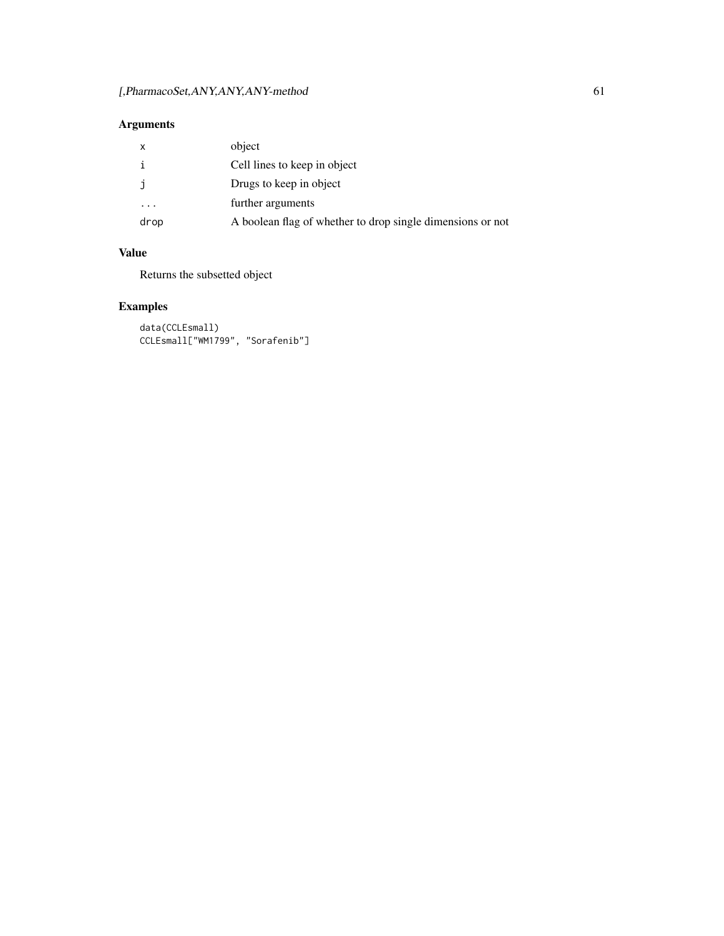| $\mathsf{X}$ | object                                                     |
|--------------|------------------------------------------------------------|
|              | Cell lines to keep in object                               |
|              | Drugs to keep in object                                    |
| .            | further arguments                                          |
| drop         | A boolean flag of whether to drop single dimensions or not |

### Value

Returns the subsetted object

### Examples

data(CCLEsmall) CCLEsmall["WM1799", "Sorafenib"]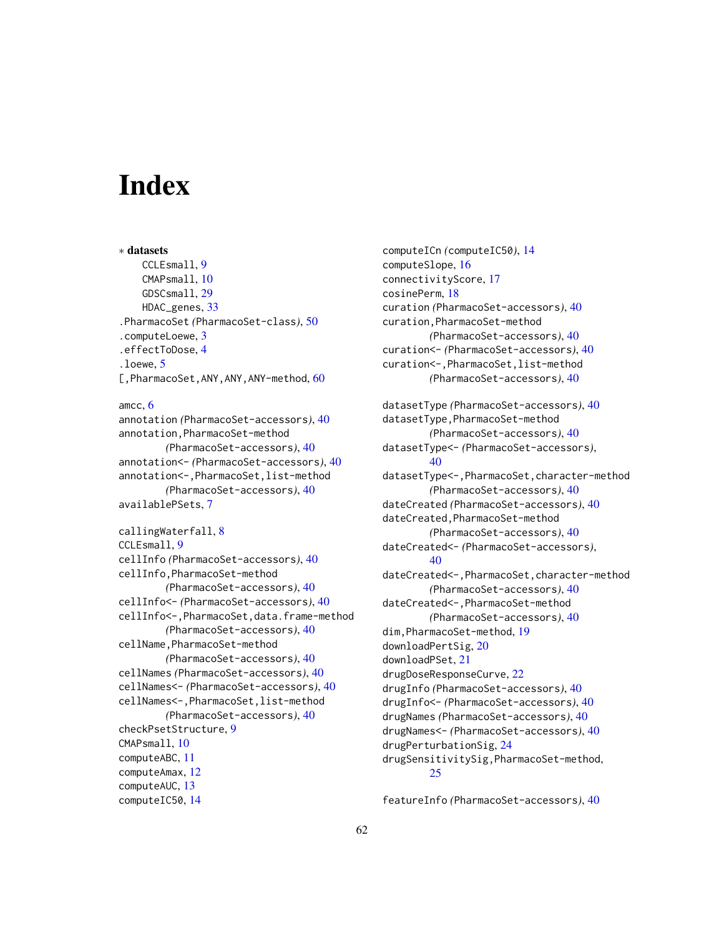# <span id="page-61-0"></span>**Index**

∗ datasets CCLEsmall, [9](#page-8-0) CMAPsmall, [10](#page-9-0) GDSCsmall, [29](#page-28-0) HDAC\_genes, [33](#page-32-0) .PharmacoSet *(*PharmacoSet-class*)*, [50](#page-49-0) .computeLoewe, [3](#page-2-0) .effectToDose, [4](#page-3-0) .loewe, [5](#page-4-0) [, PharmacoSet, ANY, ANY, ANY-method, [60](#page-59-0) amcc, [6](#page-5-0) annotation *(*PharmacoSet-accessors*)*, [40](#page-39-0) annotation,PharmacoSet-method *(*PharmacoSet-accessors*)*, [40](#page-39-0) annotation<- *(*PharmacoSet-accessors*)*, [40](#page-39-0) annotation<-,PharmacoSet,list-method *(*PharmacoSet-accessors*)*, [40](#page-39-0) availablePSets, [7](#page-6-0) callingWaterfall, [8](#page-7-0) CCLEsmall, [9](#page-8-0) cellInfo *(*PharmacoSet-accessors*)*, [40](#page-39-0) cellInfo,PharmacoSet-method *(*PharmacoSet-accessors*)*, [40](#page-39-0) cellInfo<- *(*PharmacoSet-accessors*)*, [40](#page-39-0) cellInfo<-,PharmacoSet,data.frame-method *(*PharmacoSet-accessors*)*, [40](#page-39-0) cellName, PharmacoSet-method *(*PharmacoSet-accessors*)*, [40](#page-39-0) cellNames *(*PharmacoSet-accessors*)*, [40](#page-39-0) cellNames<- *(*PharmacoSet-accessors*)*, [40](#page-39-0) cellNames<-,PharmacoSet,list-method *(*PharmacoSet-accessors*)*, [40](#page-39-0) checkPsetStructure, [9](#page-8-0) CMAPsmall, [10](#page-9-0) computeABC, [11](#page-10-0) computeAmax, [12](#page-11-0) computeAUC, [13](#page-12-0) computeIC50, [14](#page-13-0)

computeICn *(*computeIC50*)*, [14](#page-13-0) computeSlope, [16](#page-15-0) connectivityScore, [17](#page-16-0) cosinePerm, [18](#page-17-0) curation *(*PharmacoSet-accessors*)*, [40](#page-39-0) curation,PharmacoSet-method *(*PharmacoSet-accessors*)*, [40](#page-39-0) curation<- *(*PharmacoSet-accessors*)*, [40](#page-39-0) curation<-, PharmacoSet, list-method *(*PharmacoSet-accessors*)*, [40](#page-39-0) datasetType *(*PharmacoSet-accessors*)*, [40](#page-39-0) datasetType,PharmacoSet-method *(*PharmacoSet-accessors*)*, [40](#page-39-0) datasetType<- *(*PharmacoSet-accessors*)*, [40](#page-39-0) datasetType<-,PharmacoSet,character-method *(*PharmacoSet-accessors*)*, [40](#page-39-0) dateCreated *(*PharmacoSet-accessors*)*, [40](#page-39-0) dateCreated,PharmacoSet-method *(*PharmacoSet-accessors*)*, [40](#page-39-0) dateCreated<- *(*PharmacoSet-accessors*)*, [40](#page-39-0) dateCreated<-,PharmacoSet,character-method *(*PharmacoSet-accessors*)*, [40](#page-39-0) dateCreated<-,PharmacoSet-method *(*PharmacoSet-accessors*)*, [40](#page-39-0) dim,PharmacoSet-method, [19](#page-18-0) downloadPertSig, [20](#page-19-0) downloadPSet, [21](#page-20-0) drugDoseResponseCurve, [22](#page-21-0) drugInfo *(*PharmacoSet-accessors*)*, [40](#page-39-0) drugInfo<- *(*PharmacoSet-accessors*)*, [40](#page-39-0) drugNames *(*PharmacoSet-accessors*)*, [40](#page-39-0) drugNames<- *(*PharmacoSet-accessors*)*, [40](#page-39-0) drugPerturbationSig, [24](#page-23-0) drugSensitivitySig,PharmacoSet-method, [25](#page-24-0)

featureInfo *(*PharmacoSet-accessors*)*, [40](#page-39-0)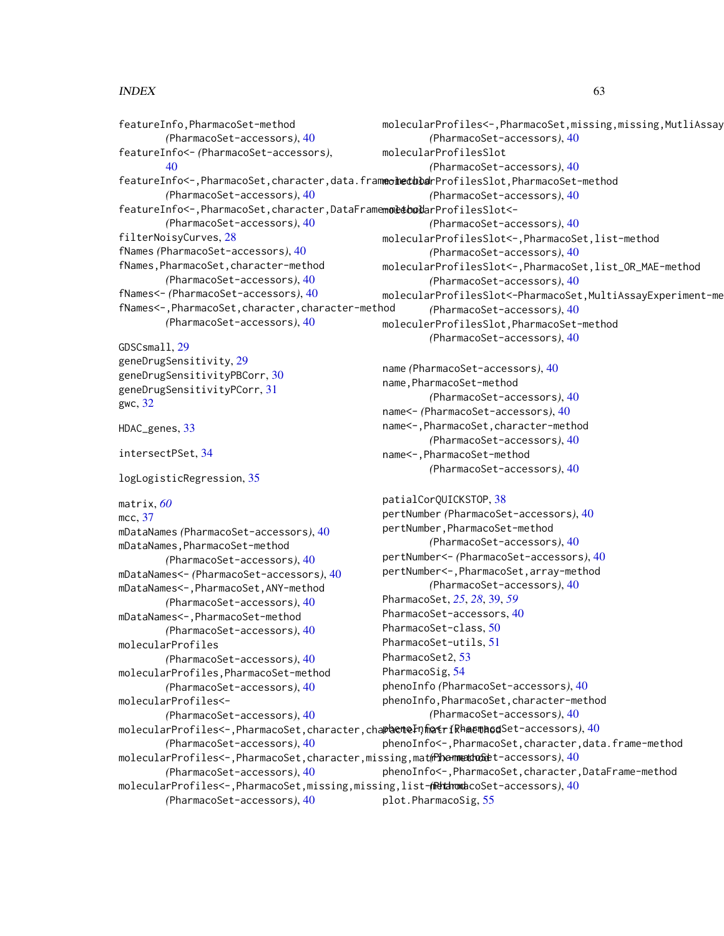#### $I<sub>N</sub>DEX$  63

featureInfo,PharmacoSet-method *(*PharmacoSet-accessors*)*, [40](#page-39-0) featureInfo<- *(*PharmacoSet-accessors*)*,  $40$ featureInfo<-,PharmacoSet,character,data.frameoledubdrProfilesSlot,PharmacoSet-method *(*PharmacoSet-accessors*)*, [40](#page-39-0) featureInfo<-,PharmacoSet,character,DataFramemoletoolarProfilesSlot<-*(*PharmacoSet-accessors*)*, [40](#page-39-0) filterNoisyCurves, [28](#page-27-0) fNames *(*PharmacoSet-accessors*)*, [40](#page-39-0) fNames,PharmacoSet,character-method *(*PharmacoSet-accessors*)*, [40](#page-39-0) fNames<- *(*PharmacoSet-accessors*)*, [40](#page-39-0) fNames<-,PharmacoSet,character,character-method *(*PharmacoSet-accessors*)*, [40](#page-39-0) GDSCsmall, [29](#page-28-0) geneDrugSensitivity, [29](#page-28-0) molecularProfiles<-,PharmacoSet,missing,missing,MutliAssay *(*PharmacoSet-accessors*)*, [40](#page-39-0) molecularProfilesSlot *(*PharmacoSet-accessors*)*, [40](#page-39-0) *(*PharmacoSet-accessors*)*, [40](#page-39-0) *(*PharmacoSet-accessors*)*, [40](#page-39-0) *(*PharmacoSet-accessors*)*, [40](#page-39-0) *(*PharmacoSet-accessors*)*, [40](#page-39-0) *(*PharmacoSet-accessors*)*, [40](#page-39-0) moleculerProfilesSlot,PharmacoSet-method *(*PharmacoSet-accessors*)*, [40](#page-39-0) name *(*PharmacoSet-accessors*)*, [40](#page-39-0)

geneDrugSensitivityPBCorr, [30](#page-29-0) geneDrugSensitivityPCorr, [31](#page-30-0) gwc, [32](#page-31-0)

HDAC\_genes, [33](#page-32-0)

intersectPSet, [34](#page-33-0)

logLogisticRegression, [35](#page-34-0)

matrix, *[60](#page-59-0)*

mcc, [37](#page-36-0) mDataNames *(*PharmacoSet-accessors*)*, [40](#page-39-0) mDataNames,PharmacoSet-method *(*PharmacoSet-accessors*)*, [40](#page-39-0) mDataNames<- *(*PharmacoSet-accessors*)*, [40](#page-39-0) mDataNames<-,PharmacoSet,ANY-method *(*PharmacoSet-accessors*)*, [40](#page-39-0) mDataNames<-,PharmacoSet-method *(*PharmacoSet-accessors*)*, [40](#page-39-0) molecularProfiles *(*PharmacoSet-accessors*)*, [40](#page-39-0) molecularProfiles,PharmacoSet-method *(*PharmacoSet-accessors*)*, [40](#page-39-0) molecularProfiles<- *(*PharmacoSet-accessors*)*, [40](#page-39-0) *(*PharmacoSet-accessors*)*, [40](#page-39-0) *(*PharmacoSet-accessors*)*, [40](#page-39-0)

molecularProfilesSlot<-,PharmacoSet,list-method molecularProfilesSlot<-,PharmacoSet,list\_OR\_MAE-method molecularProfilesSlot<-PharmacoSet,MultiAssayExperiment-me name,PharmacoSet-method *(*PharmacoSet-accessors*)*, [40](#page-39-0) name<- *(*PharmacoSet-accessors*)*, [40](#page-39-0) name<-,PharmacoSet,character-method *(*PharmacoSet-accessors*)*, [40](#page-39-0) name<-,PharmacoSet-method

*(*PharmacoSet-accessors*)*, [40](#page-39-0)

molecularProfiles<-,PharmacoSet,character,cha**phenteInfinitriRhmembod**Set-accessors), [40](#page-39-0) molecularProfiles<-,PharmacoSet,character,missing,matrix-method *(*PharmacoSet-accessors*)*, [40](#page-39-0) molecularProfiles<-,PharmacoSet,missing,missing,list-method *(*PharmacoSet-accessors*)*, [40](#page-39-0) *(*PharmacoSet-accessors*)*, [40](#page-39-0) patialCorQUICKSTOP, [38](#page-37-0) pertNumber *(*PharmacoSet-accessors*)*, [40](#page-39-0) pertNumber,PharmacoSet-method *(*PharmacoSet-accessors*)*, [40](#page-39-0) pertNumber<- *(*PharmacoSet-accessors*)*, [40](#page-39-0) pertNumber<-,PharmacoSet,array-method *(*PharmacoSet-accessors*)*, [40](#page-39-0) PharmacoSet, *[25](#page-24-0)*, *[28](#page-27-0)*, [39,](#page-38-0) *[59](#page-58-0)* PharmacoSet-accessors, [40](#page-39-0) PharmacoSet-class, [50](#page-49-0) PharmacoSet-utils, [51](#page-50-0) PharmacoSet2, [53](#page-52-0) PharmacoSig, [54](#page-53-0) phenoInfo *(*PharmacoSet-accessors*)*, [40](#page-39-0) phenoInfo,PharmacoSet,character-method *(*PharmacoSet-accessors*)*, [40](#page-39-0) phenoInfo<-,PharmacoSet,character,data.frame-method phenoInfo<-,PharmacoSet,character,DataFrame-method plot.PharmacoSig, [55](#page-54-0)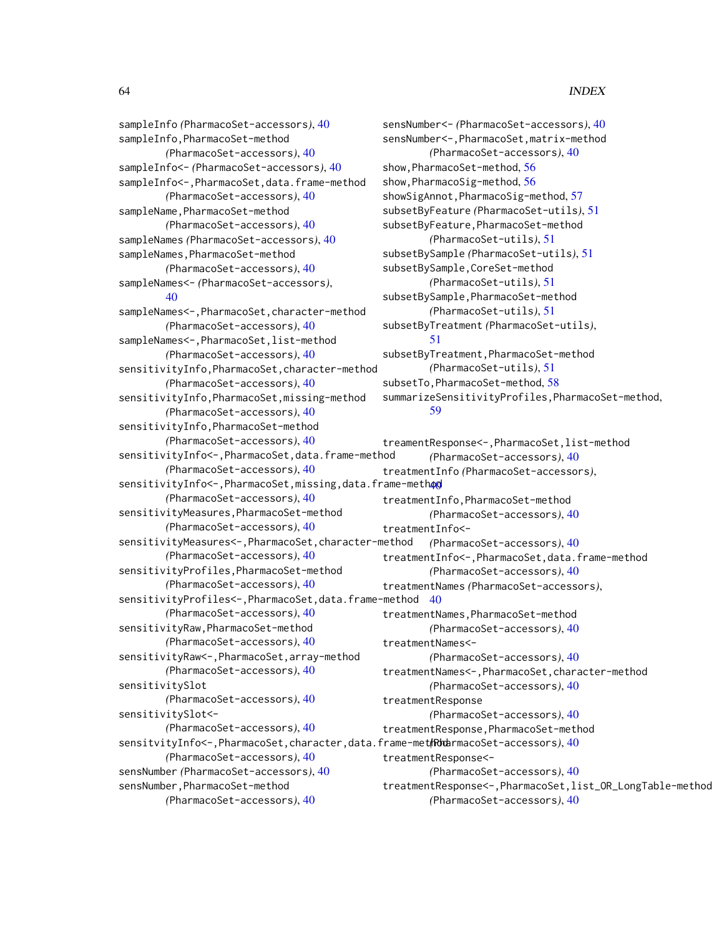sampleInfo *(*PharmacoSet-accessors*)*, [40](#page-39-0) sampleInfo,PharmacoSet-method *(*PharmacoSet-accessors*)*, [40](#page-39-0) sampleInfo<- *(*PharmacoSet-accessors*)*, [40](#page-39-0) sampleInfo <-, PharmacoSet, data.frame-method *(*PharmacoSet-accessors*)*, [40](#page-39-0) sampleName, PharmacoSet-method *(*PharmacoSet-accessors*)*, [40](#page-39-0) sampleNames *(*PharmacoSet-accessors*)*, [40](#page-39-0) sampleNames,PharmacoSet-method *(*PharmacoSet-accessors*)*, [40](#page-39-0) sampleNames<- *(*PharmacoSet-accessors*)*, [40](#page-39-0) sampleNames<-,PharmacoSet,character-method *(*PharmacoSet-accessors*)*, [40](#page-39-0) sampleNames<-,PharmacoSet,list-method *(*PharmacoSet-accessors*)*, [40](#page-39-0) sensitivityInfo, PharmacoSet, character-method *(*PharmacoSet-accessors*)*, [40](#page-39-0) sensitivityInfo,PharmacoSet,missing-method *(*PharmacoSet-accessors*)*, [40](#page-39-0) sensitivityInfo,PharmacoSet-method *(*PharmacoSet-accessors*)*, [40](#page-39-0) sensitivityInfo<-,PharmacoSet,data.frame-method *(*PharmacoSet-accessors*)*, [40](#page-39-0) sensitivityInfo<-,PharmacoSet,missing,data.frame-methoo *(*PharmacoSet-accessors*)*, [40](#page-39-0) sensitivityMeasures,PharmacoSet-method *(*PharmacoSet-accessors*)*, [40](#page-39-0) sensitivityMeasures<-,PharmacoSet,character-method *(*PharmacoSet-accessors*)*, [40](#page-39-0) sensitivityProfiles,PharmacoSet-method *(*PharmacoSet-accessors*)*, [40](#page-39-0) sensitivityProfiles<-,PharmacoSet,data.frame-method [40](#page-39-0) *(*PharmacoSet-accessors*)*, [40](#page-39-0) sensitivityRaw,PharmacoSet-method *(*PharmacoSet-accessors*)*, [40](#page-39-0) sensitivityRaw<-,PharmacoSet,array-method *(*PharmacoSet-accessors*)*, [40](#page-39-0) sensitivitySlot *(*PharmacoSet-accessors*)*, [40](#page-39-0) sensitivitySlot<- *(*PharmacoSet-accessors*)*, [40](#page-39-0) *(*PharmacoSet-accessors*)*, [40](#page-39-0) sensNumber *(*PharmacoSet-accessors*)*, [40](#page-39-0) sensNumber,PharmacoSet-method

```
sensNumber<- (PharmacoSet-accessors), 40
sensNumber<-,PharmacoSet,matrix-method
       (PharmacoSet-accessors), 40
show,PharmacoSet-method, 56
show,PharmacoSig-method, 56
57
subsetByFeature (PharmacoSet-utils), 51
subsetByFeature,PharmacoSet-method
       (PharmacoSet-utils), 51
subsetBySample (PharmacoSet-utils), 51
subsetBySample,CoreSet-method
        (PharmacoSet-utils), 51
subsetBySample,PharmacoSet-method
        (PharmacoSet-utils), 51
subsetByTreatment (PharmacoSet-utils),
        51
subsetByTreatment,PharmacoSet-method
        (PharmacoSet-utils), 51
subsetTo,PharmacoSet-method, 58
summarizeSensitivityProfiles,PharmacoSet-method,
        59
```

```
sensitvityInfo<-,PharmacoSet,character,data.frame-method
(PharmacoSet-accessors), 40
       (PharmacoSet-accessors), 40
                                              treamentResponse<-,PharmacoSet,list-method
                                                       (PharmacoSet-accessors), 40
                                              treatmentInfo (PharmacoSet-accessors),
                                              treatmentInfo,PharmacoSet-method
                                                      (PharmacoSet-accessors), 40
                                              treatmentInfo<-
                                                      (PharmacoSet-accessors), 40
                                              treatmentInfo<-,PharmacoSet,data.frame-method
                                                      (PharmacoSet-accessors), 40
                                              treatmentNames (PharmacoSet-accessors),
                                              treatmentNames,PharmacoSet-method
                                                       (PharmacoSet-accessors), 40
                                              treatmentNames<-
                                                       (PharmacoSet-accessors), 40
                                              treatmentNames<-,PharmacoSet,character-method
                                                       (PharmacoSet-accessors), 40
                                              treatmentResponse
                                                       (PharmacoSet-accessors), 40
                                              treatmentResponse,PharmacoSet-method
                                              treatmentResponse<-
                                                       (PharmacoSet-accessors), 40
                                              treatmentResponse<-,PharmacoSet,list_OR_LongTable-method
                                                       (PharmacoSet-accessors), 40
```